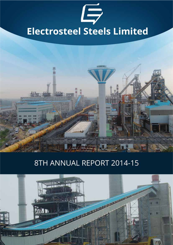



# 8TH ANNUAL REPORT 2014-15

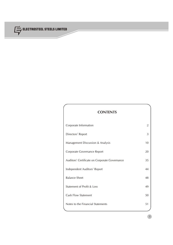

## **CONTENTS**

| Corporate Information                         | 2  |
|-----------------------------------------------|----|
| Directors' Report                             | 3  |
| Management Discussion & Analysis              | 10 |
| Corporate Governance Report                   | 20 |
| Auditors' Certificate on Corporate Governance | 35 |
| Independent Auditors' Report                  | 44 |
| <b>Balance Sheet</b>                          | 48 |
| Statement of Profit & Loss                    | 49 |
| <b>Cash Flow Statement</b>                    | 50 |
| Notes to the Financial Statements             | 51 |
|                                               |    |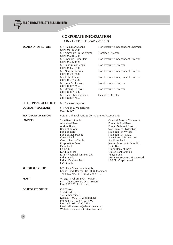

## **CORPORATE INFORMATION** CIN - L27310JH2006PLC012663 **BOARD OF DIRECTORS** Mr. Rajkumar Khanna Non-Executive Independent Chairman

|                                | (DIN: 05180042)<br>Mr. Amrendra Prasad Verma<br>(DIN: 00236108)<br>Mr. Jinendra Kumar Jain<br>(DIN: 00737352)<br>Mr. Lalit Kumar Singhi<br>(DIN: 00893144)<br>Mr. Naresh Pachisia<br>(DIN: 00233768)<br>Ms. Rishu Kumari<br>(DIN: 00729938)<br>Mr. Sunil V Diwakar                                                        | Nominee Director<br>Non-Executive Independent Director<br>Non-Executive Director<br>Non-Executive Independent Director<br>Non-Executive Independent Director<br>Non-Executive Director                                                                                                                                                                                       |
|--------------------------------|---------------------------------------------------------------------------------------------------------------------------------------------------------------------------------------------------------------------------------------------------------------------------------------------------------------------------|------------------------------------------------------------------------------------------------------------------------------------------------------------------------------------------------------------------------------------------------------------------------------------------------------------------------------------------------------------------------------|
|                                | (DIN: 00089266)<br>Mr. Umang Kejriwal<br>(DIN: 00065173)                                                                                                                                                                                                                                                                  | Non-Executive Director                                                                                                                                                                                                                                                                                                                                                       |
|                                | Mr. Rama Shankar Singh<br>(DIN: 02093276)                                                                                                                                                                                                                                                                                 | <b>Executive Director</b>                                                                                                                                                                                                                                                                                                                                                    |
| <b>CHIEF FINANCIAL OFFICER</b> | Mr. Ashutosh Agarwal                                                                                                                                                                                                                                                                                                      |                                                                                                                                                                                                                                                                                                                                                                              |
| <b>COMPANY SECRETARY</b>       | Mr. Anubhav Maheshwari<br>$(ACS-22829)$                                                                                                                                                                                                                                                                                   |                                                                                                                                                                                                                                                                                                                                                                              |
| <b>STATUTORY AUDITORS</b>      | M/s. B. Chhawchharia & Co., Chartered Accountants                                                                                                                                                                                                                                                                         |                                                                                                                                                                                                                                                                                                                                                                              |
| <b>LENDERS</b>                 | State Bank of India<br>Allahabad Bank<br>Andhra Bank<br>Bank of Baroda<br>Bank of India<br>Bank of Maharashtra<br>Canara Bank<br>Central Bank of India<br><b>Corporation Bank</b><br>Dena Bank<br><b>HUDCO</b><br>ICICI Bank Ltd.<br>IL&FS Financial Services Ltd.<br>Indian Bank<br>Indian Overseas Bank<br>LIC of India | Oriental Bank of Commerce<br>Punjab & Sind Bank<br>Punjab National Bank<br>State Bank of Hyderabad<br>State Bank of Mysore<br>State Bank of Patiala<br>State Bank of Travancore<br>Syndicate Bank<br>Jammu & Kashmir Bank Ltd.<br><b>UCO Bank</b><br>Union Bank of India<br>United Bank of India<br>Vijaya Bank<br>SREI Insfrastructure Finance Ltd.<br>L&T Fin Corp Limited |
| <b>REGISTERED OFFICE</b>       | 801, Uma Shanti Apartments,<br>Kanke Road, Ranchi - 834 008, Jharkhand.<br>Tel & Fax No.: +91 0651 228 5636                                                                                                                                                                                                               |                                                                                                                                                                                                                                                                                                                                                                              |
| <b>PLANT</b>                   | Village Siyaljori, P.O. - Jogidih,<br>P.S. - Chandankyari, Dist - Bokaro,<br>Pin - 828 303, Jharkhand.                                                                                                                                                                                                                    |                                                                                                                                                                                                                                                                                                                                                                              |
| <b>CORPORATE OFFICE</b>        | G K Tower,<br>2nd & 3rd Floor,<br>19, Camac Street,<br>Kolkata - 700 017, West Bengal<br>Phone: $+91033-71034400$<br>$Fax: +91033-22902882$<br>Email: eil.investors@electrosteel.com<br>Website: www.electrosteelsteels.com                                                                                               |                                                                                                                                                                                                                                                                                                                                                                              |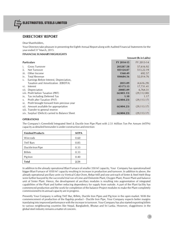

## **DIRECTORS' REPORT**

Dear Shareholders,

Your Directors take pleasure in presenting the Eighth Annual Report along with Audited Financial Statements for the<br>year ended 31<sup>st</sup> March, 2015.

## **FINANCIAL SUMMARY/HIGHLIGHTS**

|                                                  |            | <b>Amount (Rs in Lakhs)</b> |
|--------------------------------------------------|------------|-----------------------------|
| <b>Particulars</b>                               | FY 2014-15 | FY 2013-14                  |
| <b>Gross Turnover</b><br>Ť.                      | 203287.58  | 57,616.92                   |
| ii.<br>Net Turnover                              | 183124.07  | 513,22.19                   |
| iii.<br>Other Income                             | 1560.49    | 692.57                      |
| <b>Total Revenue</b><br>İV.                      | 184684.56  | 52,014.76                   |
| Earnings Before Interest, Depreciation,<br>V.    |            |                             |
| Taxation and Amortization (EBIDTA)               | 2855.09    | (4,616.29)                  |
| Interest<br>VI.                                  | 45173.13   | 17,731.41                   |
| vii. Depreciation                                | 20085.09   | 6,764.31                    |
| viii. Profit before Taxation (PBT)               | (62403.13) | (29, 112.00)                |
| Tax including Deferred Tax<br>IX.                | 1.10       | 1.17                        |
| Profit after Taxation (PAT)<br>$X_{\cdot}$       | (62404.23) | (29, 113, 17)               |
| Profit brought forward from previous year<br>XI. |            |                             |
| xii. Amount available for appropriation          | (62404.23) | (29, 113.17)                |
| xiii. Transfer to general reserve                |            |                             |
| xiv. Surplus/ (Deficit) carried to Balance Sheet | (62404.23) | (29, 113, 17)               |

## **OPERATIONS**

The Company's Greenfield Integrated Steel & Ductile Iron Pipe Plant with 2.51 Million Ton Per Annum (MTPA) capacity as detailed hereunder is under construction and erection:

| <b>Finished Products</b> | <b>MTPA</b> |
|--------------------------|-------------|
| Wire rods                | 0.60        |
| <b>TMT</b> Bars          | 0.85        |
| Ductile Iron Pipe        | 0.33        |
| <b>Billets</b>           | 0.33        |
| Pig Iron                 | 0.40        |
| <b>Total</b>             | 2.51        |

In addition to the already operational Blast Furnace of smaller  $350 M<sup>3</sup>$  capacity, Your Company has operationalised bigger Blast Furnace of 1050  $M<sup>3</sup>$  capacity resulting in increase in production and turnover. I already operational ancillary units viz Vertical Coke Oven, Rebar Mill and one unit each of Sinter & Steel Melt Shop were further buoyed by the successful trial run of Lime and Dolomite Plant, Oxygen Plant, Power Plant and balance unit of Sinter Plant. Hence, the development of ancillary modules is resulting into augmentation of integrated capabilities of the Plant and further reducing dependency for supply from outside. A part of the Plant facility has commenced production and the work for completion of the balance Project modules to make the Plant completely commissioned to its annual capacity are in progress.

Presently Your Company is selling TMT Bar, Billets, Ductile Iron Pipes and Pig Iron in the open market. With the commencement of production of the flagship product - Ductile Iron Pipe, Your Company expects better margins translating into improved performance with the increase in turnover. Your Company has also started exporting billets to various neighbouring countries like Nepal, Bangladesh, Bhutan and Sri Lanka. However, sluggishness in the global steel industry remains a matter of concern.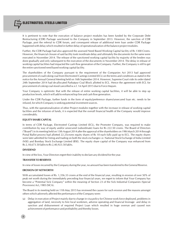

It is pertinent to note that the execution of balance project modules has been funded by the Corporate Debt Restructuring (CDR) Package sanctioned to the Company in September 2013. However, the sanction of CDR Package, post the referral to CDR forum, and consequent release of additional term loan under CDR Package happened with delay which resulted in further delay of operationalization of the balance project modules.

Further, the CDR Package had also approved the assessed Need Based Working Capital facility of Rs 1300 Crores. However, the financial closure of said facility took inordinate delay and ultimately the documents for the same were executed in November 2014. The release of the sanctioned working capital facility by majority of the lenders was done gradually and only subsequent to the execution of the documents in November 2014. The delay in release of working capital facilities had impacted the cash flow generation of the Company. Further, the Company is still to get the entire sanctioned need based working capital facility.

The shareholders of the Company pursuant to the requirement of the Companies Act 2013 had approved procurement of coal/coking coal from Electrosteel Castings Limited (ECL) on the terms and conditions as stated in the notice for the Annual General Meeting held on 16th September 2014. However, Supreme Court vide its order dated 24th September 2014 had de-allocated Parbatpur Coal Block allotted to ECL. Hence the agreement with ECL for procurement of coking coal stood cancelled w.e.f. 1st April 2015 due to Force Majure.

Your Company is optimistic that with the release of entire working capital facilities, it will be able to step up production levels, which will add to enhanced top line and cash flow generation.

Under the CDR Package, further funds in the form of equity/preference shares/unsecured loan etc. needs to be infused, for which Company is seeking potential investment sources.

Thus, with the operationalization of other Project modules together with the increase in release of working capital facilities and the infusion of funds, it is expected that the overall financial health of the Company would improve considerably.

#### **EQUITY SHARE CAPITAL**

In terms of CDR Package, Electrosteel Castings Limited (ECL), the Promoter Company, was required to make contribution by way of equity and/or unsecured (subordinate) loans for Rs 222.50 crores. The Board of Directors ("Board") in its meeting held on 13th August 2014 after the approval of the shareholders on 19th March 2014 through Postal Ballot process had allotted 22.25crores equity shares of Rs 10 each fully paid up to ECL. The equity shares were later admitted for listing and trading on both the stock exchanges i.e. National Stock Exchange of India Limited (NSE) and Bombay Stock Exchange Limited (BSE). The equity share capital of the Company was enhanced from Rs 2,18,673.50 lakhs to Rs 2,40,923.50 lakhs.

#### **DIVIDEND**

In view of the loss, Your Directors regret their inability to declare any dividend for the year.

#### **TRANSFER TO RESERVES**

In view of losses incurred by the Company during the year, no amount has been transferred to the General Reserve.

#### **EROSION OF NETWORTH**

With accumulated losses of Rs. 1,356.33 crores at the end of the financial year, resulting in erosion of over 50% of peak net worth during the immediately preceding four financial years, we regret to inform that Your Company has become a "Potential Sick Company" within the meaning of Section 23 of the Sick Industrial Companies (Special Provisions) Act, 1985 (SICA).

The Board in its meeting held on 11th May 2015 has reviewed the causes for such erosion and the reasons amongst others which adversely affected the performance of the Company were:

(a) Delay in execution of Project mainly due to change in visa policy for Chinese work force deployed, problems in aggregation of land, necessity to hire local workmen, adverse operating and financial leverage and delay in sanction and disbursement of required Project Loan which resulted in huge overrun and caused non achievement of performance and profitability and thereby losses.

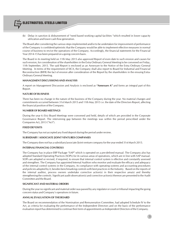

Delay in sanction & disbursement of "need based working capital facilities "which resulted in lower capacity utilization and lower cash flow generation.

The Board after considering the various steps implemented and/or to be undertaken for improvement of performance of the Company is confident/optimistic that the Company would be able to implement effective measures in normal course of business to revive the operations of the Company. Accordingly, the financial statements for the Financial Year 2014-15 has been prepared on a going concern basis.

The Board in its meeting held on 11th May 2015 also approved Report of even date to such erosion and causes for such erosion, for consideration of the shareholders in the Extra Ordinary General Meeting to be convened on Friday, 11th September, 2015. The said Report is enclosed as an Annexure to the Notice of the Extra Ordinary General Meeting. In terms of the requirement of SICA, the Company shall also report to Board for Industrial and Financial Reconstruction (BIFR) the fact of erosion after consideration of the Report by the shareholders in the ensuing Extra-Ordinary General Meeting.

#### **MANAGEMENT DISCUSSIONS AND ANALYSIS**

A report on Management Discussion and Analysis is enclosed as **"Annexure A"** and forms an integral part of this Report.

#### **NATURE OF BUSINESS**

There has been no change in the nature of the business of the Company during the year. No material changes and commitments occurred between 31st March 2015 and 11th May 2015 i.e. the date of the Directors Report, affecting the financial position of the Company.

## **NUMBER OF BOARD MEETINGS**

During the year 6 (Six) Board Meetings were convened and held, details of which are provided in the Corporate Governance Report. The intervening gap between the meetings was within the period prescribed under the Companies Act, 2013 ("Act").

#### **FIXED DE**P**OSITS**

The Company has not accepted any fixed deposit during the period under review.

#### **SUBSIDIARY / ASSOCIATE /JOINT VENTURES COMPANIES**

The Company does not has a subsidiary/associate /Joint venture company for the year ended 31st March 2015.

## **INTERNAL FINANCIAL CONTROLS**

The Company has in place ERP Package "SAP" which is operated on a pre-defined manual. The Company also has adopted Standard Operating Practices (SOPs) for its various areas of operations, which are in line with SAP manual. SOPs are adopted or revised, if required, to ensure that internal control system is effective and constantly assessed and strengthen. The Company has appointed Internal Auditors who monitor and evaluate the efficacy and adequacy of the internal control systems in the Company, its compliance with operating systems and accounting procedures and policies adopted by it, besides benchmarking controls with best practices in the Industry. Based on the reports of the internal auditor, process owners undertake corrective action(s) in their respective area(s) and thereby strengthening the controls. Significant audit observation(s) and corrective action(s) thereon are presented to the Audit Committee and the Board.

## **SIGNIFICANT AND MATERIAL ORDERS**

During the year no significant and material order was passed by any regulator or court or tribunal impacting the going concern status and Company's operations in future.

## **ANNUAL EVALUATION OF THE BOARD**

The Board on recommendation of the Nomination and Remuneration Committee, had adopted Schedule IV to the Act, as criteria for evaluating the performance of the Independent Directors and on the basis of the performance evaluation report has determined to continue their term of appointments as Independent Directors of the Company.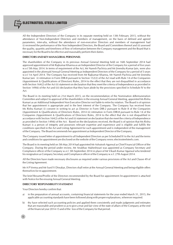

All the Independent Directors of the Company in its separate meeting held on 13th February 2015, without the attendance of Non-Independent Directors and members of management, on the basis of defined and agreed parameters, inter-alia, without the attendance of non-executive Directors and members of management had (i) reviewed the performance of the Non Independent Directors, the Board and Committees thereof and (ii) assessed the quality, quantity and timeliness of flow of information between the Company management and the Board that is necessary for the Board to be effective and reasonably perform their duties.

#### **DIRECTORS AND KEY MANAGERIAL PERSONNEL**

The shareholders of the Company in its previous Annual General Meeting held on 16th September 2014 had approved appointment of Mr Rajkumar Khanna as an Independent Director of the Company for a period of five years w.e.f 5th May 2014. In terms of requirement of the Act, Mr Naresh Pachisia and Mr Jinendra Kumar Jain, were also appointed in the aforesaid Annual General Meeting as Independent Directors of the Company for a period of 5 years w.e.f 1st April 2014. The Company has received from Mr Rajkumar Khanna, Mr Naresh Pachisia and Mr Jinendra Kumar Jain (i) intimation in Form DIR-8 pursuant to Section 152(2) of the Act read with Rule 14 of the Companies (Appointment & Qualifications of Directors) Rules, 2014 to the effect that they are not disqualified in accordance with Section 164(2) of the Act (ii) statement on declaration that they meet the criteria of Independence as provided in Section 149(6) of the Act and (iii) declaration that they have abide by the provisions specified in Schedule IV to the Act.

The Board in its meeting held on 21st March 2015, on the recommendation of the Nomination &Remuneration Committee and subject to approval of the shareholders in the ensuing Annual General Meeting, appointed Ms Rishu Kumari as an Additional Independent Non Executive Director not liable to retire by rotation. The Board is of opinion that her appointment is appropriate and in the best interest of the Company. The Company has received from Ms Rishu Kumari (i) consent in writing to act as Director in Form DIR-2 pursuant to Rule 8 of the Companies (Appointment & Qualifications of Directors) Rules, 2014 (ii) intimation in Form DIR-8 pursuant to Rule 14 of the Companies (Appointment & Qualifications of Directors) Rules, 2014 to the effect that she is not disqualified in accordance with Section 164(2) of the Act and (ii) statement on declaration that she meet the criteria of Independence as provided in Section 149(6) of the Act. Based on the declarations received, the Board is of opinion that Ms Rishu Kumari is a person of integrity and possesses relevant expertise and experience and is eligible and fulfills the conditions specified in the Act and Listing Agreement for such appointment and is independent of the management of the Company. The Board recommends her appointment as Independent Director of the Company.

The Company issued letter of appointment to all Independent Directors as per Scheduled IV to the Act and the terms and conditions for appointment are disclosed on the website of the Company www.electrosteelsteels.com.

The Board in its meeting held on 5th May 2014 had appointed Mr Ashutosh Agarwal as Chief Financial Officer of the Company. During the period under review, Mr Anubhav Maheshwari was appointed as Company Secretary and Compliance officer of the Company w.e.f. 5th September 2014 in place of Mr Vikash Kumar Agarwal who tendered his resignation as Company Secretary and Compliance officer of the Company w.e.f. 27th August 2014.

All the Directors have made necessary disclosures as required under various provisions of the Act and Clause 49 of the Listing Agreement.

Mr A P Verma and Mr Sunil V Diwakar, Directors shall retire at the Annual General Meeting and being eligible offers themselves for re-appointment.

The brief Resume/Profile of the Directors recommended by the Board for appointment /re-appointment is attached with Notice for the ensuing Annual General Meeting.

## **DIRECTORS' RESPONSIBILITY STATEMENT**

Your Directors hereby confirm that:

- a) in the preparation of annual accounts, containing financial statements for the year ended March 31, 2015, the applicable accounting standards have been followed along with proper explanations, wherever required.
- b) thy have selected such accounting policies and applied them consistently and made judgments and estimates that are reasonable and prudent so as to give a true and fair view of the state of affairs of the Company at the end of the financial year 2014-15 and of the loss of the Company for that period.

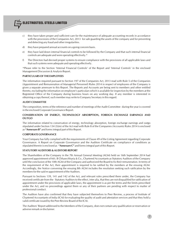

- c) they have taken proper and sufficient care for the maintenance of adequate accounting records in accordance with the provisions of the Companies Act, 2013 for safe guarding the assets of the company and for preventing and detecting any fraud and other irregularities.
- d) they have prepared annual accounts on a going concern basis.
- e) they have laid down internal financial controls to be followed by the Company and that such internal financial controls are adequate and were operating effectively.\*
- f) The Directors had devised proper systems to ensure compliance with the provisions of all applicable laws and that such systems were adequate and operating effectively.

\*Please refer to the Section 'Internal Financial Controls' of the Report and 'Internal Controls' in the enclosed Management Discussion & Analysis Report.

#### **PARTICULARS OF THE EMPLOYEES**

The information required pursuant to Section 197 of the Companies Act, 2013 read with Rule 5 of the Companies (Appointment and Remuneration of Managerial Personnel) Rules 2014 in respect of employees of the Company is given a separate annexure to this Report. The Reports and Accounts are being sent to members and other entitled thereto, excluding the information on employee's particulars which is available for inspection by the members at the Registered Office of the Company during business hours on any working day. If any member is interested in obtaining a copy thereof, such member may write to Company Secretary in this regard.

#### **AUDIT COMMITTEE**

The composition, terms of the reference and number of meetings of the Audit Committee during the year is covered in the enclosed Corporate Governance Report.

#### **CONSERVATION OF ENERGY, TECHNOLOGY ABSORPTION, FOREIGN EXCHANGE EARNINGS AND OUTGO**

The information related to conservation of energy, technology absorption, foreign exchange earnings and outgo stipulated under Section 134 (3)(m) of the Act read with Rule 8 of the Companies (Accounts) Rules 2014 is enclosed as **"Annexure B"** and forms integral part of this Report.

#### **CORPORATE GOVERNANCE**

Your Company has fully complied with the requirements of Clause 49 of the Listing Agreement regarding Corporate Governance. A Report on Corporate Governance and the Auditors Certificate on compliance of conditions as stipulated therein is enclosed as **"Annexure C"** and forms integral part of this Report.

#### **STATUTORY AUDITORS & AUDITORS REPORT**

The Shareholders of the Company in the 7th Annual General Meeting (AGM) held on 16th September 2014 had approved appointment of M/s. B Chhawchharia & Co., Chartered Accountants as Statutory Auditors of the Company until the conclusion of the 10th AGM of the Company and authorized the Board to fix their remuneration. In terms of the requirement of the Act, their appointment is required to be ratified by the members at the ensuing AGM. Accordingly, the Notice convening the ensuing 8th AGM includes the resolution seeking such ratification by the members for the said re-appointment of the Auditors.

Pursuant to Sections 139, 141 and 142 of the Act, and relevant rules prescribed there under, the Company has received certificate from the Statutory Auditors to the effect, inter alia, that they are not disqualified for ratification of appointment under the provisions of applicable laws, the appointment is as per the terms and the limits prescribed under the Act, and no proceedings against them or any of their partners are pending with respect to matter of professional conduct.

The Auditors have also confirmed that they have subjected themselves to Peer Review, a process of Institute of Chartered Accountants of India (ICAI) for evaluating the quality of audit and attestation services and that they hold a valid certificate issued by the Peer Review Board of the ICAI.

The Auditors' Report addressed to the Members of the Company, does not contain any qualification or reservation or adverse remark or disclaimer.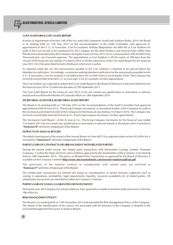

## **COST AUDITORS & COST AUDIT REPORT**

In terms of requirement of Section 148 of the Act, read with Companies (Audit and Auditors) Rules, 2014, the Board in its meeting held on 11th May 2015 on the recommendation of the Audit Committee, had approved reappointment of M/s S. G. & Associates, Cost Accountants, Kolkata (Registration No 000138) as Cost Auditors for audit of the Cost records to be maintained by the Company for the Steel Products and Mineral Fuels (Other than Petroleum) to be produced by the Company during the Financial Year 2015-16 on a remuneration of Rs 60,000 (Sixty Thousand) plus out of pocket expenses. The appointment as Cost Auditors is till the expiry of 180 days from the closure of the financial year ending 31st March 2016 or till the submission of the Cost Audit Report for the financial year 2015-16 in the prescribed format to the Board, which ever is earlier.

As required under the Act, the remuneration payable to the Cost Auditors is required to be placed before the Members for ratification. Accordingly, a resolution seeking Members ratification for the remuneration payable to M/s S. G. & Associates, Cost Accountants is included at Item No. 6 of the Notice convening the AGM. The Company has received consent letter from M/s S. G. & Associates, Cost Accountants, for their appointment.

The Cost Auditors are expected to submit their Cost Audit Report to the Board of Directors in the prescribed form for the financial year 2014-15 within the due date of 27th September 2015.

The Cost Audit Report for the Financial year 2013-14 do not contain any qualification or reservation or adverse remark and was filed with Ministry of Corporate Affairs on 24th September 2014.

#### **SECRETARIAL AUDITOR & SECRETARIAL AUDIT REPORT**

The Board in its meeting held on 11th May 2015 on the recommendations of the Audit Committee had approved appointment of M/s K Arun & Co., Practicing Company Secretaries, as Secretarial Auditor of the Company for audit of the secretarial and related records of the Company for the financial year ending 31st March 2016. The Company has received consent letter from M/s K Arun & Co., Practicing Company Secretaries, for their appointment.

The Secretarial Audit Report of M/s K Arun & Co., Practicing Company Secretaries for the financial year ended 31st March 2015 do not contain any qualification or reservation or adverse remark or disclaimer and is enclosed as **"Annexure D"** and forms integral part of this Report.

#### **EXTRACTS OF ANNUAL RETURN**

The details forming part of the extract of the Annual Return in Form MGT-9 as required under section 92 of the Act is enclosed as **"Annexure E"** and forms integral part of this Report.

## **PARTICULARS OF CONTRACTS OR ARRANGEMENT WITH RELATED PARTIES**

During the period under review, the related party transactions with Electrosteel Castings Limited, Promoter Company, is within the limits and terms and conditions approved by the shareholders of the Company in its meeting held on 16th September 2014. The policy on Related Party Transactions as approved by the Board of Directors is available on the Company's website **http://www.electrosteelsteels.com/investor-relations/pdf/rpt.pdf**

The particulars of the material contract or arrangements with related party are enclosed as **"Annexure F"** and forms integral part of this Report.

The related party transactions are entered into based on considerations of various business exigencies such as synergy in operations, profitability, legal requirements, liquidity, resources availability etc of related parties. All related party transactions are intended to further the Company's interests.

#### **PARTICULARS OF LOANS, GUARANTEES OR INVESTMENTS**

During the year, the Company has not provided any loan, guarantee or made investment under provisions of Section 186 of the Act.

## **RISK MANAGEMENT POLICY**

The Board in its meeting held on 13th November 2014 had amended the Risk Management Policy of the Company. The details of the identification of the various risk associated with the business of the Company is detailed in the enclosed Management Discussion & Analysis Report.

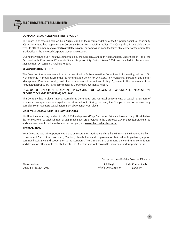

## **CORPORATE SOCIAL RESPONSIBILITY POLICY**

The Board in its meeting held on 13th August 2014 on the recommendation of the Corporate Social Responsibility (CSR) Committee had approved the Corporate Social Responsibility Policy. The CSR policy is available on the website of the Company **www.electrosteelsteels.com.** The composition and the terms of reference of the Committee are detailed in the enclosed Corporate Governance Report.

During the year, the CSR initiatives undertaken by the Company, although not mandatory under Section 135 of the Act read with Companies (Corporate Social Responsibility Policy) Rules 2014, are detailed in the enclosed Management Discussion & Analysis Report.

## **REMUNERATION POLICY**

The Board on the recommendation of the Nomination & Remuneration Committee in its meeting held on 13th November 2014 modified/amended its remuneration policy for Directors, Key Managerial Personnel and Senior Management Personnel to align with the requirement of the Act and Listing Agreement. The particulars of the remuneration policy are stated in the enclosed Corporate Governance Report.

## **DISCLOSURE UNDER "THE SEXUAL HARASSMENT OF WOMEN AT WORKPLACE (PREVENTION, PROHIBITION AND REDRESSAL) ACT, 2013**

The Company has in place "Internal Complaints Committee" and redressal policy in case of sexual harassment of women at workplace as envisaged under aforesaid Act. During the year, the Company has not received any complaint with respect to sexual harassment of woman at work place.

## **VIGIL MECHANISM/WHISTLE BLOWER POLICY**

The Board in its meeting held on 5th May 2014 had approved Vigil Mechanism/Whistle Blower Policy. The details of the Policy as well as establishment of vigil mechanism are provided in the Corporate Governance Report enclosed and are also available on the website of the Company i.e. **www.electrosteelsteels.com**.

#### **APPRECIATION**

Your Directors take this opportunity to place on record their gratitude and thank the Financial Institutions, Bankers, Government Authorities, Customers, Vendors, Shareholders and Employees for their valuable guidance, support continued assistance and cooperation to the Company. The Directors also commend the continuing commitment and dedication of the employees at all levels. The Directors also look forward to their continued support in future.

For and on behalf of the Board of Directors

Place : Kolkata **R S Singh Lalit Kumar Singhi** Dated : 11th May, 2015 *Whole-time Director Director*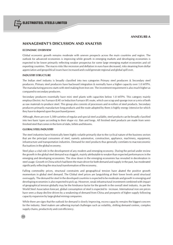## **MANAGEMENT'S DISCUSSION AND ANALYSIS**

## **ECONOMIC OVERVIEW**

Global economic growth remains moderate with uneven prospects across the main countries and region. The outlook for advanced economies is improving while growth in emerging markets and developing economies is expected to be lower primarily reflecting weaker prospectus for some large emerging market economies and oil exporting countries. The macro risks like recession and deflation in euro have decreased, risks steaming from dollar appreciation and geopolitical issues have increased and could generate regional and global spill over.

## **INDUSTRY STRUCTURE**

The Indian steel industry is broadly classified into two categories Primary steel producers & Secondary steel producers. Primary steel producers have backward integration & normally have a higher capacity over 1.0 MTPA. The manufacturing process starts with steel making from Iron ore. The investment requirement is also much higher as compared to secondary producers.

Secondary producers essentially have mini steel plants with capacities below 1.0 MTPA. This category mainly employs Electric Arc Furnace (EAF) or Induction Furnace (IF) route, which use scrap and sponge iron or a mix of both as raw materials to produce steel. This group also consists of processors and re-rollers of steel products. Secondary producers primarily manufacture long products and the route adopted by them is highly energy intensive for which they have to depend upon the purchased power.

Although, there are over 3,500 varieties of regular and special steel available, steel products can be broadly classified into two basic types according to their shape viz. flats and longs. All finished steel products are made from semifinished steel that comes in the form of slabs, billets and blooms.

## **GLOBAL STEEL INDUSTRY**

The steel industries have historically been highly volatile primarily due to the cyclical nature of the business sectors that are the principal consumers of steel, namely automotive, construction, appliance, machinery, equipment, infrastructure and transportation industries. Demand for steel products thus generally correlates to macroeconomic fluctuations in the global economy.

Steel plays a vital role in the development of any modern and emerging economy. During the period under review the growth in the global steel demand was sluggish, mainly attributable to weaker than expected performances in the emerging and developing economies. The slow down in the emerging economies has revealed in deceleration in steel usage. Growth in China which had been the main driver for both demand and supply in the past, has moderated significantly reflecting the structural transformation of the economy.

Falling commodity prices, structural constraints and geographical tension have abated the positive growth momentum in global steel demand. The Global steel prices are languishing at their lower levels amid structural oversupply. The demand for steel in the developed countries is expected to be moderate and growth in emerging and developing economies is also expected to pick up. However, weak infrastructural investment combined with impact of geographical tension globally may be the hindrance factor for the growth in the overall steel industry. As per the World Steel Association forecast, global consumption of steel is expected to increase. International iron ore prices have seen a sharp decline driven by a weakening of demand from China and prospects of higher supply following capacity expansion by large global mining companies.

While there are signs that the outlook for demand is slowly improving, excess capacity remains the biggest concern for the industry. Steel makers are adhering myriad challenges such as volatility, shifting demand centres, complex supply chains, productivity and cost efficiency.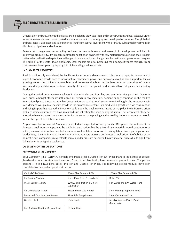

Urbanisation and growing middle classes are expected to draw steel demand in construction and real estates. Further increase in steel demand is anticipated in automotive sector in emerging and developed economies. The global oil and gas sector is also expected to experience significant capital investment with primarily substantial investments in distribution pipelines and refineries.

Better cost management, more ability to invest in new technology and research & development will help in improving productivity. It will enable a stronger negotiation on prices with raw material producers and shall result in better sales realization despite the challenges of over capacity, exchange rate fluctuation and pressure on margins. The outlook of the sector looks optimistic. Steel makers are also increasing their competitiveness through strong customer relationship and by tapping into niche and high value markets.

#### **INDIAN STEEL INDUSTRY**

Steel is traditionally considered the backbone for economic development. It is a major input for sectors which support economic growth such as infrastructure, machinery, power and railways, as well as being important for fast growing sectors, in particular automobiles and consumer durables. Indian Steel Industry comprises of several interlinked segments for value addition broadly classified as Integrated Producers and Non Integrated or Secondary Producers.

During the period under review weakness in domestic demand from key end user industries persisted. Domestic steel prices amongst others are influenzed by trends in raw materials, demand supply condition in the market, international prices. Since the growth of construction and capital goods sectors remained fragile, the improvement in steel demand was gradual, despite growth in the automobile sector. High production growth vis-à-vis consumption and rising imports has resulted in inventory build upon the steel markets. Inspite of sharp decline in iron ore prices globally, domestic iron prices have remained firm reflecting the short supply situation. The recent coal block deallocation have increased the uncertainties for the sector, as replacing captive coal by imports or e-auctions would impact the operations of the company.

As per projection of Internal Monetary Fund, India is expected to over grow its BRIC peers. The outlook of the domestic steel industry appears to be stable in anticipation that the price of raw materials would continue to be soften, removal of infrastructure bottlenecks as well as labour reforms for raising labour force participation and productivity. A surge in cheap imports to continue to exert pressure on domestic steel prices. Profitability of the domestic steel companies is expected to remain under pressure despite fall in raw material prices due to significant fall in domestic and global steel prices.

## **OVERVIEW OF THE OPERATIONS**

#### **Performance of the Company**

Your Company's 2.51 MTPA Greenfield Integrated Steel &Ductile Iron (DI) Pipes Plant in the district of Bokaro, Jharkhand is under construction & erection. A part of the Plant facility has commenced production and Company at present is selling TMT Bars, Billets, Pig Iron and Ductile Iron Pipes. The following project modules have been completed and are under operation/trial run:

| Vertical Coke Oven                  | 350m <sup>3</sup> Blast Furnace (BF3)     | 1050m <sup>3</sup> Blast Furnace (BF2)    |
|-------------------------------------|-------------------------------------------|-------------------------------------------|
| Pig Casting Machine                 | Sinter Plant (One & Two both)             | Rebar Mill                                |
| Water Supply System                 | 220 KV Sub-Station & 33 KV<br>Sub Station | Soft Water and DM Water Plant             |
| Air Compressor Station              | <b>Blast Furnace Gas Holder</b>           | Steel Melting Shop (One Unit)             |
| Pulverized Coal Injection System    | River Side Pump House                     | Lime Calcination Plant                    |
| Oxygen Plant                        | Dolo Plant                                | 60 MW Captive Power Plant<br>(Both Units) |
| Raw Material Handling System (Part) | DI Pipe Plant                             |                                           |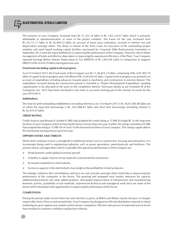ELECTROSTEEL STEELS LIMITED

The turnover of your Company increased from Rs 51,322.19 lakhs to Rs 1,83,124.07 lakhs which is primarily attributable to operationalization of some of the project modules. The losses for the year increased from Rs 29,113.17 lakhs to Rs 62,404.23 lakhs on account of lower price realisation, increase in interest cost and depreciation amongst others. The delay in release of the Term Loans for execution of the outstanding project modules and need based working capital facilities sanctioned by Corporate Debt Restructuring Committee in September 2013 were the major bottlenecks in improving the performance of the Company. However, due to better management of funds and effective steps taken in improving the operational efficiency of the Plant, Your Company reported Earnings Before Interest Depriciation & Tax (EBIDTA) of Rs 2,855.09 Lakhs in comparison to negative EBIDTA of Rs (4,616.29 lakhs) during previous year.

#### **Fixed Assets (including capital work in progress)**

As of 31st March 2015, the Fixed assets of the Company was Rs 11,46,824.15 lakhs, comprising of Rs. 6,81,903.70 lakhs of capital work-in-progress and a Net Block of Rs. 4,64,920.45 lakhs. Capital work in progress was primarily on account of expenditure including advances towards plant & machinery and construction & erection thereof. The expenditure incurred during the construction period is classified as 'Project Development Expenditure' pending capitalization to be allocated to the asset on the completion thereof. Necessary details as per Schedule III of the Companies Act, 2013 have been disclosed in the notes to accounts forming part of the Annual Accounts for the year 2014-2015.

#### **Indebtedness**

The total secured outstanding indebtedness (including interest) as on 31st March 2015 is Rs.10,05,506.08 lakhs out of which the long term borrowings is Rs. 9,63,086.81 lakhs and short term borrowings (including interest) is Rs.42,419.27 lakhs.

#### **CREDIT RATING**

Credit Analysis and Research Limited (CARE) had assigned the credit rating as "CARE B (Single B)" to the long term facilities of your Company which are having the tenure of more than one year. Further, the rating committee of CARE had assigned the rating as "CARE A4 (A Four)" to the short term facilities of your Company. This rating is applicable to the instruments having a tenure up to one year.

## **OPPORTUNITIES AND THREATS**

While steel continues to have a stronghold in traditional sectors such as construction, housing and automotive, it is increasingly being used in engineering industries such as power generation, petrochemicals and fertilisers. The primary factors, amongst others which could affect the operations/performance of the Company are:

- $\triangleright$  Weak domestic and/or global economic growth
- Volatility in supply of prices of raw materials or protracted low steel prices.
- $\triangleright$  Increased competition in steel industry.
- Excessive capacity in the steel industry may weigh on the profitability of steel producers.

The strategic initiatives like consolidation and focus on core activities amongst others shall help in improvising the performance of the companies in the Sector. The growing and untapped rural market, measures for capacity addition/enhancement and value added products, anticipated improvization of infrastructure and manufacturing domestic activity, availability of raw materials, experienced technical and managerial work force are some of the factors which should provide opportunities in improving the performance of the Sector.

#### **COMPETITION**

During the period under review there has seen decline in prices of Billets and Rebars mainly because of cheaper import offers from China in and around India. Your Company has designed an efficient distribution network & robust marketing set up to capture new markets and to remain competitive. Efficient sales process & improved service levels have resulted in customer confidence and positive referrals.

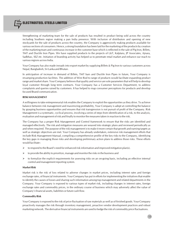ELECTROSTEEL STEELS LIMITED

Strengthening of marketing team for the sale of products has resulted in product being sold across the country including Southern region making a pan India presence. With inclusion of distributors and opening of new stockyards for the sale of products across the country, the Company is aggressively making products available for various sections of consumers. Hence, a strong foundation has been laid for the marketing of the products by creation of the marketing team and continuous increase in the customer base which is reflected in the sale of Pig Iron, Billets, TMT and Ductile Iron Pipes. We have supplied products to the projects of L&T, Kalptaru, JP Associates, Ajnara, Sadbhav, SEZ etc. Initiation of branding activity has helped us to penetrate retail market and enhance our reach to various regions across India.

Your Company has also made inroads into export market by supplying Billets & Pig Iron to various customers across Nepal, Bangladesh, Sri Lanka and Bhutan.

In anticipation of increase in demand of Billets, TMT bars and Ductile Iron Pipes in future, Your Company is revamping production facilities. The addition of Wire Rod to range of products would facilitate expanding product range and market share. Your Company believes that quality and service are sole parameters that will help to develop loyal customer through long term contracts. Your Company has a Customer Services Department, to address complaints and queries raised by customers. It has helped to map consumer perceptions for products and develop focused Brand communication.

## **RISK MANAGEMENT**

A willingness to take entrepreneurial risk enables the Company to exploit the opportunities as they drive. To achieve balance between risk management and maximizing profitability, Your Company is adept at controlling the balance by grasping business opportunities and ensures that risk transgression is not pursuit of profit of the Company. Risk Management is a systematic, cyclical process, involving a series of steps from identification of a risk, to the analysis, evaluation and management of risk and finally to monitor the measures taken in reaction to the risk.

The Company has a proper Risk Management and Control framework to ensure that the risks are identified and managed effectively. The risk and mitigation measures are weaved into strategic plans and reviewed periodically as and when required. The purpose of the risk management is to make it more certain that growth and earning targets as well as strategic objectives are met. Your Company has already undertaken, extensive risk management efforts that include Risk Management Manual, compiling a comprehensive profile of the key risks to the Company, identifying the key gaps in managing those risks and developing preliminary action plans to address those risks. These efforts would facilitate :

- to respond to the Board's need for enhanced risk information and improved mitigation plan(s).
- to provide the ability to prioritize, manage and monitor the risks in the business and
- $\triangleright$  to formalize the explicit requirements for assessing risks on an on-going basis, including an effective internal control and management reporting system.

#### **Market Risk**

Market risk is the risk of loss related to adverse changes in market prices, including interest rates and foreign exchange rates, of financial instruments. Your Company has put in efforts for implementing the initiatives that enable to identify the causes of losses and sharing such information among top management and related departments in the Company. Your Company is exposed to various types of market risk, including changes in interest rates, foreign exchange rates and commodity prices, in the ordinary course of business which may adversely affect the value of Company's financial assets, liabilities or future cash flow.

#### **Commodity Risk**

Your Company is exposed to the risk of price fluctuation of raw materials as well as of finished goods. Your Company proactively manages the risk through inventory management, proactive vendor development practices and robust marketing network. The derivative financial instruments are used to hedge the risk of commodity price fluctuations.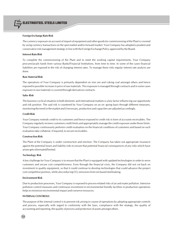

#### **Foreign Exchange Rate Risk**

The currency exposure on account of import of equipment and other goods for commissioning of the Plant is covered by using currency transactions on the spot market and/or forward market. Your Company has adopted a prudent and conservative risk management strategy in line with the Foreign Exchange Policy approved by the Board.

#### **Interest Rate Risk**

To complete the commissioning of the Plant and to meet the working capital requirements, Your Company procures/avails funds from various Banks/Financial Institutions, from time to time. In some of the cases financial liabilities are exposed to the risk of changing interest rates. To manage these risks regular interest rate analysis are done.

#### **Raw Material Risk**

The operations of Your Company is primarily dependent on iron ore and coking coal amongst others and hence exposed to possible increase in price of raw materials. This exposure is managed through contracts and in some cases exposure in raw materials is covered through derivatives contracts.

#### **Sales Risk**

The business cyclical situation in both domestic and international markets is a key factor influencing our opportunity and risk position. The said risk is countered by Your Company on an on -going basis through different measures, monitoring the trend in the market and if necessary, production and capacities are adjusted accordingly.

#### **Credit Risk**

Your Company extends credit to its customers and hence exposed to credit risk in form of accounts receivables. The Company regularly reviews customers credit limits and appropriately manage the credit exposure under those limits. Your Company continuously performs credit evaluation on the financial conditions of customers and based on such evaluation take collateral, if required, to secure receivables.

#### **Construction Risk**

The Plant of the Company is under construction and erection. The Company has taken out appropriate insurance against the potential losses and liability risks to ensure that potential financial consequences of any risks which have arisen gets eliminated/limited.

#### **Technology Risk**

A key challenge for Your Company is to ensure that the Plant is equipped with updated technologies in order to serve customers and secure cost competitiveness. Even through the financial crisis, the Company did not cut back on investment in quality equipment, so that it could continue to develop technologies that could advance the project cost competitive position, while also reducing  $CO$ , emissions from ore based steelmaking.

#### **Environment Risk**

Due to production processes, Your Company is exposed to process-related risks of air and water pollution. Intensive pollution control measures and continuous investment in environmental friendly facilities in production operations helps to minimize environmental impact and conserve resources.

## **INTERNAL CONTROLS**

The purpose of the internal control is to prevent risk arising in course of operations by adopting appropriate controls and process, especially with regard to conformity with the laws, compliance with the strategy, the quality of accounting and reporting, the quality of process and protection of assets amongst others.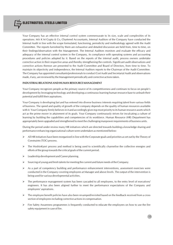Your Company has an effective internal control system commensurate to its size, scale and complexities of its operations. M/s K M Gupta & Co, Chartered Accountants, Internal Auditors of the Company have conducted the Internal Audit in line with the scope formulated, functioning, periodicity and methodology agreed with the Audit Committee. The reports furnished by them are exhaustive and detailed discussion are held from, time to time, on their findings/observation with the Management. The Internal Auditors monitors and evaluate the efficacy and adequacy of the internal control system in the Company, its compliance with operating systems and accounting procedures and policies adopted by it. Based on the reports of the internal audit, process owners undertake corrective action in their respective areas and thereby strengthening the controls. Significant audit observations and corrective actions thereon are presented to the Audit Committee and Board of Directors, from time to time. To maintain its objectivity and independence, the Internal Auditors reports to the Chairman of the Audit Committee. The Company has appointed consultants/professionals to conduct Cost Audit and Secretarial Audit and observations made, if any, are reviewed by the Management periodically and corrective actions taken.

## **INDUSTRIAL RELATIONS AND HUMAN RESOURCE MANAGEMENT**

Your Company recognizes people as the primary source of its competitiveness and continues to focus on people's development by leveraging technology and developing a continuous learning human resource base to unleash their potential and fulfill their aspirations.

Your Company is developing fast and has entered into diverse business interests requiring talent from various fields of business. The speed and quality of growth of the company depends on the quality of human resources available with it. Your Company firmly believes in it and accordingly gives top most priority to its human resource assets which act as the prime mover in attainment of its goals. Your Company continuously strives for inculcating a culture of learning by building the capabilities and competencies of its workforce. Human Resource (HR) Department has appropriately been upgraded and strengthened to meet the challenging manpower requirements of business units.

During the period under review many HR initiatives which are directed towards building a knowledge sharing and performance enhancing organizational culture were undertaken as mentioned below:

- All HR Initiatives have been reorganised in line with the Corporate goals and priorities as set out by the Theory of Constraints (TOC) process.
- The HoshinKanri process and method is being used to scientifically channelise the collective energies and efforts of the group towards the critical goals of the current period.
- $\triangleright$  Leadership development and Career planning.
- $\triangleright$  Sourcing of young and fresh talents for meeting the current and future needs of the Company.
- $\triangleright$  As a part of competency building and performance enhancement interventions, assessment exercises were conducted in the Company covering employees at Manager and above levels. The output of the intervention is being used for various developmental activities.
- $\triangleright$  The performance management system has been cascaded to all employees, to the entry level of executives/ engineers. It has also been aligned further to meet the performance expectations of the Company and employees' aspirations.
- The employee benefit policies have also been revamped/revisited based on the feedback received from a cross section of employees including corrective actions in compensation.
- Fire Safety Awareness programmes is frequently conducted to educate the employees on how to use the fire safety equipment in case of fire.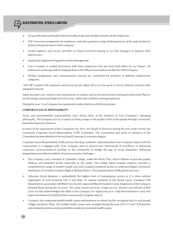- Tie up with renowned health clubs for healthy body and a healthy mind for all the employees.
- TOC Awareness programme for employees and other partners to align thinking process of the stake holders to enhance the performance of the company.
- $\triangleright$  Invited suppliers and service providers to impart technical training to our line managers to improve their effectiveness.
- Leadership Alignment Programme for the Management.
- Your Company in cordial discussions with those employees who are local land sellers for our Project. All endeavours are being made to integrate them in the HR processes laid out for the rest of the Company.
- Welfare programmes and communication sessions are conducted for workmen in different employment categories.

"SAP HR" module with employee self-service has also taken off so as to be quick in service delivery and have fully integrated network.

Safety at project site, medical care requirements of workers and on the job training is being provided at the Plant to avoid mishaps and ensure high level of security, safety and confidence among employees.

During the year, Your Company has maintained cordial relations with the employees.

## **CORPORATE SOCIAL RESPONSIBILITY**

Social and environmental responsibilities have always been at the forefront of Your Company's operating philosophy. The Company acts as a catalyst to bring change in the quality of life of the people through community based development initiatives.

In terms of the requirement of the Companies Act 2013, the Board of Directors during the year under review has constituted Corporate Social Responsibility (CSR) Committee. The constitution and terms of reference of the Committee has been detailed in the enclosed Corporate Governance Report.

Corporate Social Responsibility (CSR) portrays the deep symbiotic relationship that Your Company enjoys with the communities it is engaged with. Your Company aims to achieve new benchmarks of excellence in delivering responsive socio-economical facilities to the community to bridge the gap of social disparities. Following programmes were taken to address of socio economic challenges:

- The Company runs a hospital at Chandaha village, under the block Chas, district Bokaro to provide quality medical and treatment facility especially to the needy. The village based hospital initiative provides a comprehensive range of modern health care and in patient treatment facility to under-privileged community dwelling in 20 remotely located villages in Bokaro district. The hospital treated 1838 patients last year.
- $\triangleright$  Voluntary blood donation is undoubtedly the highest form of humanitarian service as it is done without expectation of even knowing who it will help. To express solidarity to the divine cause, Company CSR department in association with Red Cross Society organized Blood Donation Camp. Employees of the Company donated blood during the occasion. The camp turned out to be a huge success. Doctors and officials of Red Cross Society acknowledged the effort of the Company for organizing such a big blood donation camp and expressed interest to hold this kind of camp jointly at regular interval.
- $\triangleright$  Company also conducted mobile health camps and treatment on wheels facility on regular basis in and around villages located in Plant. 205 mobile health camps were arranged during the year 2014-15 and 5329 patients were treated by doctors and provided free medicines in mobile health camps.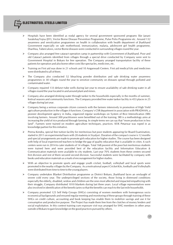

- Hospitals have been identified as nodal agency for several government sponsored programs like Janani SurakshayYojna (JSY), Vector Borne Disease Prevention Programme, Pulse Polio Programme etc. Around 132 awareness and sensitization programmes on health in collaboration with health department of Jharkhand Government especially on safe motherhood, immunization, malaria, adolescent girl health programme, Diarrhea, Tuberculosis, vector Borne diseases were conducted in surrounding villages round the year.
- Company also arranged free cataract operation camp in partnership with Government of Jharkhand. Poor and old Cataract patients identified from villages through a special drive conducted by Company were sent to Government Hospital in Bokaro for free operation. The Company arranged transportation facility of these patients for operation and also borne other costs like spectacles, medicines, etc.
- Training on First aid was done in 21 schools and 10 Anganwadi Centers. First aid medical kits and medicines were distributed to all of them.
- The Company also conducted 52 bleaching powder distribution and safe drinking water awareness programmes in 30 villages round the year to sensitize community on diseases spread through polluted and contaminated water.
- Company repaired 133 defunct tube wells during last year to ensure availability of safe drinking water in all villages round the year located in and around plant and mines.
- Company also arranged drinking water through tanker to the households especially in the months of summer, festival seasons and community functions. The Company provided free water tanker facility in 453 places in 25 villages during last year.
- Company being a serious corporate citizen connects with the farmers intensively in promotion of High Yield agriculture production in the villages it functions. Company's CSR department in association with PRADHAN, a pioneer development agency in India, organized regular workshops on System of Rice Intensification (SRI) involving farmers. Around 300 practitioners were benefitted out of the training. SRI is a methodology aims at increasing the yield of rice produced through farming. In simple terms we can say that "more production in less land". Farmers were trained on modern agriculture techniques, practices. KVK Petarwar was roped in as knowledge partner for this initiative.
- Prerna Kendra, special free tuition facility for meritorious but poor students appearing for Board Examination, started in 2011 on experimental basis with 20 students in Siyaljuri. Duration of the compact course is 12 months and special arrangements are made to promote girls education for higher studies. The course has been designed with help of local experienced teachers to bridge the gap of quality education that is available in cities. 6 such centers were run in 2014 to cater students of 14 villages. Total 168 poorest of the poor but meritorious students were trained here and were provided best of the education facility and Information Education & Communication materials were available to city students. Last year 70% students from these centers secured first division and rest of them secured second division. Successful students were facilitated by company with books and education materials as a mark of encouragement for higher studies.
- With an objective to promote sports and engage youth cricket, football, volleyball and local sports were promoted in the nearby villages by the Company. As a motivational aspect Cricket Kits, footballs and Volleyballs were distributed from time to time to the young players.
- Company undertakes Blanket Distribution programme as District Bokaro, Jharkhand faces an onslaught of severe cold every year. The underprivileged sections of the society, those living in distressed conditions especially the elderly, disabled, widow and children are the ones most affected and impacted empathizing with their struggle, Company distributed 1010 blankets during last three years. Local village representatives were also involved in identification of the beneficiaries so that the benefits can reach to the last mile households.
- Company promoted 125 Self Help Groups (SHGs) consisting of women members with homogenous socio economical backgrounds and ensured regular meeting and monitoring of these groups through training of these SHGs on credit culture, accounting and book keeping has enable them to mobilize savings and use it for consumptive and productive purpose. The Project has made them free from the clutches of money lenders and social exploitation. In this context training cum exposure visit was arranged for SHG members in other areas outside of Bokaro to gain knowledge on the good practices pursued by others.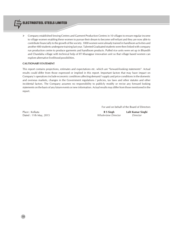

 $\triangleright$  Company established Sewing Centres and Garment Production Centres in 10 villages to ensure regular income to village women enabling these women to pursue their dream to become self-reliant and they are now able to contribute financially to the growth of the society. 1000 women were already trained in handloom activities and another 400 students undergone training last year. Talented Graduated students were then linked with company run production centre to produce garments and handloom products. Puffed rice units were set up in Bhandih and Chandaha village with technical help of IIT Kharagpur innovation unit so that village based women can explore alternative livelihood possibilities.

## **CAUTIONARY STATEMENT**

This report contains projections, estimates and expectations etc. which are "forward-looking statements". Actual results could differ from those expressed or implied in this report. Important factors that may have impact on Company's operations include economic conditions affecting demand / supply and price conditions in the domestic and overseas markets, changes in the Government regulations / policies, tax laws and other statutes and other incidental factors. The Company assumes no responsibility to publicly modify or revise any forward looking statements on the basis of any future events or new information. Actual results may differ from those mentioned in the report.

For and on behalf of the Board of Directors

Place : Kolkata **R S Singh Lalit Kumar Singhi** Dated : 11th May, 2015 *Whole-time Director Director*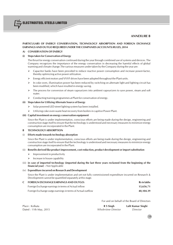## **ANNEXURE B**

## **PARTICULARS OF ENERGY CONSERVATION, TECHNOLOGY ABSORPTION AND FOREIGN EXCHANGE EARNINGS AND OUTGO REQUIRED UNDER THE COMPANIES (ACCOUNTS) RULES, 2014**

## **A) CONSERVATION OF ENERGY**

## **(i) Steps taken for Conservation of Energy**

The thrust for energy conservation continued during the year through combined use of systems and devices. The Company recognizes the importance of the energy conservation in decreasing the harmful effects of global warming and climate change.The various measures under taken by the Company during the year are:

- $\triangleright$  Capacitor banks have been provided to reduce reactive power consumption and increase power-factor, thereby optimizing active power utilization.
- $\triangleright$  Energy efficient motors and VVVF drives have been adopted throughout the Plant units.
- $\triangleright$  In coke oven, illumination power has been reduced by switching on alternate light and lighting circuit has been modified, which have resulted in energy saving.
- $\triangleright$  The process for conversion of steam vapourizers into ambient vapourizers to save power, steam and soft water.
- $\triangleright$  Conducting training programmes at Plant for conservation of energy.

## **(ii) Steps taken for Utilizing Alternate Source of Energy**

- $\triangleright$  Solar powered LED street lighting system has been installed.
- Utilizing coke oven waste heat recovery from boilers in capitive Power Plant.

#### **(iii) Capital investment on energy conservation equipment**

Since the Plant is under implementation, conscious efforts are being made during the design, engineering and construction stage itself to ensure that the technology is understood and necessary measures to minimize energy consumption are incorporated in the Plant.

#### **B TECHNOLOGY ABSORPTION**

(i) **Efforts made towards technology absorption**

Since the Plant is under implementation, conscious efforts are being made during the design, engineering and construction stage itself to ensure that the technology is understood and necessary measures to minimize energy consumption are incorporated in the Plant.

#### (ii) **Benefits derived like product improvement, cost reduction, product development or import substitution**

- $\triangleright$  Improvement in productivity
- $\triangleright$  Increase in house capability
- (iii) **in case of imported technology (imported during the last three years reckoned from the beginning of the financial year) -** Not Applicable

#### (iv) **Expenditure incurred on Research and Development**

Since the Plant is under implementation and yet not fully commissioned expenditure incurred on Research & Development cannot be quantified separately at this stage.

## **C FOREIGN EXCHANGE EARNINGS AND OUTGO: Rs in lakhs**

| Foreign Exchange earnings in terms of Actual inflow        | 13.656.71 |
|------------------------------------------------------------|-----------|
| Foreign Exchange outgo earnings in terms of Actual outflow | 40.104.39 |

For and on behalf of the Board of Directors

| Place : Kolkata        | R S Singh                  | Lalit Kumar Singhi |
|------------------------|----------------------------|--------------------|
| Dated : 11th May, 2015 | <i>Whole-time Director</i> | Director           |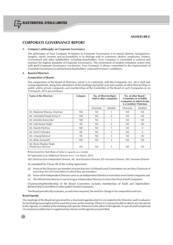

## **CORPORATE GOVERNANCE REPORT**

#### **1. Company's philosophy on Corporate Governance**

The philosophy of Your Company in relation to Corporate Governance is to ensure fairness, transparency, integrity, equity, honesty and accountability in its dealings with its customers, dealers, employees, lenders, Government and other stakeholders including shareholders. Your Company is committed to achieve and maintain the highest standards of Corporate Governance. The cornerstone of modern enterprise system rests with good Corporate Governance mechanism. Your Company is always committed to the improvement of Corporate Governance in a bid to boost shareholders' value and investors' confidence.

#### **2. Board of Directors**

#### **Composition of Board:**

The composition of the Board of Directors, which is in conformity with the Companies Act, 2013 (Act) and Listing Agreement, along their attendance at the meetings during the year and number of other directorships in public and/or private companies and memberships of the Committee of the Board of such Companies as on 31st March, 2015 are as follows:

| Name of the Directors                          | Category   | No. of Directorship(s)<br>held in other companies |        |          | No. of other Board /<br><b>Committee (s) of Public</b><br>Companies in which he/she<br>is a member/ Chairman |
|------------------------------------------------|------------|---------------------------------------------------|--------|----------|--------------------------------------------------------------------------------------------------------------|
|                                                |            | Chairman                                          | Member | Chairman | Member                                                                                                       |
| Mr. Rajkumar Khanna, Chairman                  | <b>NEI</b> | Nil                                               |        | Nil      | Nil                                                                                                          |
| Mr. Amrendra Prasad Verma #                    | ND.        | Nil                                               | 4      | Nil      | Nil                                                                                                          |
| Mr. Jinendra Kumar Jain                        | <b>NEI</b> | Nil                                               |        | Nil      | Nil                                                                                                          |
| Mr. Lalit Kumar Singhi                         | <b>NE</b>  | Nil                                               | 4      | Nil      | Nil                                                                                                          |
| Mr. Naresh Pachisia                            | <b>NEI</b> | Nil                                               | 7      | Nil      | $\overline{4}$                                                                                               |
| Mr. Sunil V Diwakar                            | <b>NE</b>  | Nil                                               | 5      | Nil      | $\overline{4}$                                                                                               |
| Mr. Umang Kejriwal                             | NE.        | Nil                                               | 5      | Nil      | Nil                                                                                                          |
| Ms. Rishu Kumari##                             | <b>NEI</b> | Nil                                               | 4      | Nil      | Nil                                                                                                          |
| Mr. Rama Shankar Singh,<br>Whole-time Director | ED         | Nil                                               | 5      | Nil      | Nil                                                                                                          |

**#** Nominated by State Bank of India in capacity as a Lender.

## Appointed as an Additional Director w.e.f. 21st March, 2015.

NEI: Non-Executive Independent Director, NE: Non-Executive Director, ED- Executive Director, ND: Nominee Director

As mandated by Clause 49 of the Listing Agreement:

- (a) None of the Directors are member of more than ten (10) Board Level Committees nor are they Chairman of more than five (5) Committees in which they are members.
- (b) None of the Independent Directors serve as an Independent Director in more than seven listed companies and
- (c) The Whole time director is not serving as Independent Director in more than three listed Companies.

Chairmanship/Membership of the Board Committee includes membership of Audit and Stakeholders' Relationship Committees in other public limited companies.

The Board periodically evaluates, as and when required, the need for change in its composition and size.

#### **Board Agenda**

The meetings of the Board are governed by a structured agenda which is circulated to the Directors well in advance for facilitating meaningful and focused discussion at the meeting. Where it is not practicable to attach any document to the Agenda, it is tabled at the meeting with specific reference to the effect in the agenda. In special and exceptional circumstances additional or supplementary item(s) on the agenda are permitted.

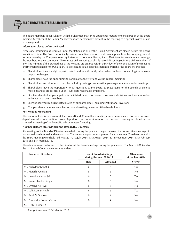

The Board members in consultation with the Chairman may bring upon other matters for consideration at the Board meeting. Members of the Senior Management are occasionally present in the meeting as a special invitee as and when required.

#### **Information placed before the Board**

Necessary information as required under the statute and as per the Listing Agreement are placed before the Board, from time to time. The Board periodically reviews compliance reports of all laws applicable to the Company, as well as steps taken by the Company to rectify instances of non-compliance, if any. Draft Minutes are circulated amongst the members for their comments. The minutes of the meeting explicitly record dissenting opinions of the members, if any. The minutes of the proceedings of the Meeting are entered within thirty days of the conclusion of the meeting and thereafter signed by the Chairman. To protect and to facilitate the shareholders rights, the Board ensures that:

- (a) Shareholders have the right to participate in and be sufficiently informed on decisions concerning fundamental corporate changes.
- (b) Shareholders have the opportunity to participate effectively and vote in general meetings.
- (c) Shareholders are informed on the rules including voting procedures that govern general shareholder meetings.
- (d) Shareholders have the opportunity to ask questions to the Board, to place items on the agenda of general meetings and to propose resolutions, subject to reasonable limitations.
- (e) Effective shareholder participation is facilitated in key Corporate Governance decisions, such as nomination and election of board members.
- (f) Exercise of ownership rights is facilitated by all shareholders including institutional investors.
- (g) Company has an adequate mechanism to address the grievances of the shareholders.

#### **Post Meeting Mechanism**

The important decisions taken at the Board/Board Committees meetings are communicated to the concerned departments/divisions. Action Taken Report on decisions/minutes of the previous meeting is placed at the succeeding meeting of the Board/Board committees for noting.

#### **Number of Board Meetings held and attended by Directors:**

Six meetings of the Board of Directors were held during the year and the gap between the consecutive meetings did not exceed one hundred and twenty days. The necessary quorum was present for all meetings. The dates on which the Board meetings were held : 5th May 2014, 1st July 2014, 13th August 2014, 13th November 2014, 13th February 2015 and 21st March 2015.

The attendance record of each of the directors at the Board meetings during the year ended 31st March 2015 and of the last Annual General Meeting is as under**:**

| <b>Name of Directors</b>  | No of Board Meetings<br>during the year 2014-15 |                 |        |  | <b>Attendance</b><br>at the Last AGM |
|---------------------------|-------------------------------------------------|-----------------|--------|--|--------------------------------------|
|                           | <b>Held</b>                                     | <b>Attended</b> | Yes/No |  |                                      |
| Mr. Rajkumar Khanna       | 6                                               | 4               | Yes    |  |                                      |
| Mr. Naresh Pachisia       | 6                                               | 5               | No     |  |                                      |
| Mr. Jinendra Kumar Jain   | 6                                               | 5               | Yes    |  |                                      |
| Mr. Rama Shankar Singh    | 6                                               | 6               | No     |  |                                      |
| Mr. Umang Kejriwal        | 6                                               | 5               | No     |  |                                      |
| Mr. Lalit Kumar Singhi    | 6                                               | 6               | Yes    |  |                                      |
| Mr. Sunil V Diwakar       | 6                                               | 4               | No     |  |                                      |
| Mr. Amrendra Prasad Verma | 6                                               | 4               | No     |  |                                      |
| Ms. Rishu Kumari #        |                                                 |                 |        |  |                                      |

*# Appointed w.e.f 21st March, 2015.*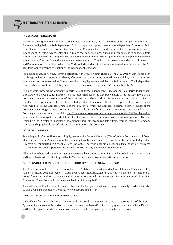## **INDEPENDENT DIRECTORS:**

In terms of the requirement of the Act read with Listing Agreement, the shareholders of the Company in the Annual General Meeting held on 16th September 2014 had approved appointment of the Independent Directors to hold office for a term upto five consecutive years. The Company had issued formal letter of appointment to the Independent Directors which, inter-alia, explains the role, functions, duties and responsibilities expected from him/her as a Director of the Company. The brief terms and conditions for their appointment as Independent Directors is available on Company's website www.electrosteelsteels.com. The Board on the recommendation of Nomination and Remuneration Committee had adopted Code for Independent Directors as enumerated in Schedule IV to the Act as criteria for performance evaluation of the Independent Directors.

All Independent Directors have given declaration in the Board meeting held on 11th May 2015 that there has been no change in the circumstances which may affect their status as an independent director and they meet the criteria of independence as enumerated in Clause 49 of the Listing Agreement and Section 149 of the Act. The Independent Directors have also affirmed that they have abided by the provisions specified in Schedule IV to the Act.

As an on going process the Company imparts training to the Independent Directors and familiarize Independent Directors with the Company, their roles, rights, responsibilities in the Company, nature of the industry in which the Company operates, business model of the Company, etc. The Board in this connection has adopted policy on Familiarization programme to familiarize Independent Directors with the Company, their roles, rights, responsibilities in the Company, nature of the industry in which the Company operates, business model of the Company, etc through various programmes. The details of such familiarization programmes are available on the Company's website with weblink http://www.electrosteelsteels.com/investor-relationship/pdf/familarizationindependentdirectors-pdf. The Wholetime Director has one to one discussion with the newly appointed Director which help the Director to understand the Company, its business and regulatory framework in which the Company operates and equip him/her to effectively role as a Director of the Company.

#### **CODE OF CONDUCT**

As envisaged in Clause 49 of the Listing Agreement, the Code of Conduct ("Code") of the Company for all Board Members and Senior Management of the Company have been amended to incorporate the duties of Independent Directors as enumerated in Schedule IV to the Act. The code anchors ethical and legal behavior within the organization. The Code is posted on the website of the Company www.electrosteelsteels.com.

All Board Members and Senior Management Personnel have affirmed compliance with the Code on an annual basis and the declaration to the effect signed by the Wholetime Director is enclosed at the end of the Report.

#### **CODES UNDER SEBI (PROHIBITION OF INSIDER TRADING) REGULATIONS 2015**

The Board pursuant to the requirement of the SEBI (Prohibition of Insider Trading) Regulations, 2015 in its meeting held on 11th May 2015 approved (1) Code of Conduct to Regulate, Monitor and Report Trading by Insiders and (2) Code of Practices and Procedures for Fair Disclosure of Unpublished Price Sensitive Information (Code for Fair Disclosure). These Codes will become effective from 15th May 2015.

The Code for Fair Disclosure will be sent to the Stock Exchanges where the Company is presently listed and will also be displayed on the Company's website www.electrosteelsteels.com

## **WHOLETIME DIRECTOR & CFO CERTIFICATE**

A Certificate from the Wholetime Director and CFO of the Company pursuant to Clause 49 (IX) of the Listing Agreement is enclosed at the end of the Report. Pursuant to Clause 41 of the Listing Agreement, Whole Time Director and CFO also give quarterly certification on financial results while placing the same before the Board.

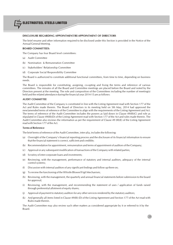

## **DISCLOSURE REGARDING APPOINTMENT/RE-APPOINTMENT OF DIRECTORS**

The brief resume and other information required to be disclosed under this Section is provided in the Notice of the Annual General Meeting.

#### **BOARD COMMITTEES:**

The Company has four Board level committees:

- (a) Audit Committee
- (b) Nomination & Remuneration Committee
- (c) Stakeholders' Relationship Committee
- (d) Corporate Social Responsibility Committee

The Board is authorized to constitute additional functional committees, from time to time, depending on business needs.

The Board is responsible for constituting, assigning, co-opting and fixing the terms and reference of various committees. The minutes of all the Board and Committee meetings are placed before the Board and noted by the Directors present at the meeting. The role and composition of the Committees including the number of meeting(s) held and the related attendance during the financial year 2014-15 are as follows:

#### **AUDIT COMMITTEE**

The Audit Committee of the Company is constituted in line with the Listing Agreement read with Section 177 of the Act and Rules made therein. The Board of Directors in its meeting held on 5th May, 2014 had approved the new/amended terms of reference of the Committee to align with the requirements of the Listing Agreement and Act. The terms of reference of the Audit Committee includes the powers as laid down in Clause 49(III)(C) and role as stipulated in Clause 49(III)(D) of the Listing Agreement read with Section 177 of the Act and rules made therein. The Audit Committee also reviews the information as per the requirement of Clause 49 (III)(E) of the Listing Agreement read with Section 177 of the Act.

#### **Terms of Reference**

The brief terms of reference of the Audit Committee, inter-alia, includes the following:

- (a) Oversight of the Company's financial reporting process and the disclosure of its financial information to ensure that the financial statement is correct, sufficient and credible;
- (b) Recommendation for appointment, remuneration and terms of appointment of auditors of the Company;
- (c) Approval or any subsequent modification of transactions of the Company with related parties;
- (d) Scrutiny of inter-corporate loans and investments;
- (e) Reviewing, with the management, performance of statutory and internal auditors, adequacy of the internal control systems;
- (f) Discussion with internal auditors of any significant findings and follow up there on;
- (g) To review the functioning of the Whistle Blower/Vigil Mechanism;
- (h) Reviewing, with the management, the quarterly and annual financial statements before submission to the board for approval;
- (i) Reviewing, with the management, and recommending the statement of uses / application of funds raised through preferential allotment of equity shares;
- (j) Approval of payment to statutory auditors for any other services rendered by the statutory auditors;
- (k) And generally all items listed in Clause 49(III) (D) of the Listing Agreement and Section 177 of the Act read with Rules made therein.

The Audit Committee may also review such other matters as considered appropriate by it or referred to it by the Board.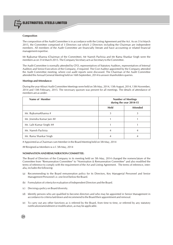#### **Composition**

The composition of the Audit Committee is in accordance with the Listing Agreement and the Act. As on 31st March 2015, the Committee comprised of 3 Directors out which 2 Directors including the Chairman are independent members. All members of the Audit Committee are financially literate and have accounting or related financial management expertise.

Mr Rajkumar Khanna (Chairman of the Committee), Mr Naresh Pachisia and Mr Rama Shankar Singh were the members as on 31st March 2015. The Company Secretary acts as Secretary to the Committee.

The Audit Committee is normally attended by CFO, representatives of Statutory Auditors, representatives of Internal Auditors and Senior Executives of the Company, if required. The Cost Auditor appointed by the Company attended the Audit Committee meeting, where cost audit reports were discussed. The Chairman of the Audit Committee attended the Annual General Meeting held on 16th September, 2014 to answer shareholders queries.

#### **Meetings and Attendance:**

During the year 4(four) Audit Committee Meetings were held on 5th May, 2014, 13th August, 2014, 13th November, 2014 and 13th February, 2015. The necessary quorum was present for all meetings. The details of attendance of members are as under:

| Name of Member             | <b>Number of Meetings</b><br>during the year 2014-15 |                 |
|----------------------------|------------------------------------------------------|-----------------|
|                            | <b>Held</b>                                          | <b>Attended</b> |
| Mr. RajkumarKhanna #       |                                                      | 3               |
| Mr. Jinendra Kumar Jain ## |                                                      |                 |
| Mr. Lalit Kumar Singhi ##  |                                                      |                 |
| Mr. Naresh Pachisia        |                                                      |                 |
| Mr. Rama Shankar Singh     |                                                      |                 |

# Appointed as a Chairman cum Member in the Board Meeting held on 5th May, 2014

## Resigned as Members w.e.f. 5th May, 2014

#### **NOMINATION AND REMUNERATION COMMITTEE:**

The Board of Directors of the Company in its meeting held on 5th May, 2014 changed the nomenclature of the Committee from "Remuneration Committee" to "Nomination & Remuneration Committee" and also modified the terms of reference to comply with the requirement of the Act and Listing Agreement. The terms of reference, interalia, includes the following:

- (a) Recommending to the Board remuneration policy for its Directors, Key Managerial Personnel and Senior Management Personnel i.e. one level below the Board.
- (b) Formulation of criteria for evaluation of Independent Directors and the Board.
- (c) Devising a policy on Board diversity.
- (d) Identify persons who are qualified to become directors and who may be appointed in Senior Management in accordance to criteria laid down and recommend to the Board their appointment and removal.
- (e) To carry out any other functions as is referred by the Board, from time to time, or referred by any statutory notification/amendment or modification, as may be applicable.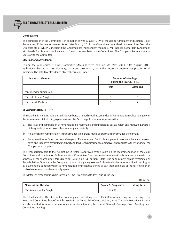#### **Composition:**

The composition of the Committee is in compliance with Clause 49 (IV) of the Listing Agreement and Section 178 of the Act and Rules made therein. As on 31st March, 2015, the Committee comprised of three Non- Executive Directors out of which 2 including the Chairman are independent members. Mr Jinendra Kumar Jain (Chairman), Mr Naresh Pachisia and Mr Lalit Kumar Singhi are members of the Committee. The Company Secretary acts as Secretary to the Committee.

#### **Meetings and Attendance:**

During the year ended 5 (Five) Committee Meetings were held on 5th May, 2014, 13th August, 2014, 13th November, 2014, 13th February, 2015 and 21st March, 2015.The necessary quorum was present for all meetings. The details of attendance of members are as under:

| Name of Member          | <b>Number of Meetings</b><br>during the year 2014-15 |  |
|-------------------------|------------------------------------------------------|--|
|                         | <b>Attended</b><br><b>Held</b>                       |  |
| Mr. Jinendra Kumar Jain |                                                      |  |
| Mr. Lalit Kumar Singhi  |                                                      |  |
| Mr. Naresh Pachisia     |                                                      |  |

#### **REMUNERATION POLICY**

The Board in its meeting held on 13th November, 2014 had modified/amended its Remuneration Policy to align with the requirement of the Listing Agreement and the Act. The policy, inter-alia, ensures that :-

- (a) The level and composition of remuneration is reasonable and sufficient to attract, retain and motivate Directors of the quality required to run the Company successfully.
- (b) Relationship of remuneration to performance is clear and meets appropriate performance benchmark.
- (c) Remuneration to Directors, Key Managerial Personnel and Senior Management involves a balance between fixed and incentive pay reflecting short and long term performance objectives appropriate to the working of the Company and its goals.

The remuneration paid to the Wholetime Director is approved by the Board on the recommendation of the Audit Committee and Nomination & Remuneration Committee. The payment of remuneration is in accordance with the approval of the shareholders through Postal Ballot on 23rd February, 2015. The appointment can be terminated by the Wholetime Director or the Company, by one party giving to other 3 (three) calendar months notice in writing or by payment of a sum equivalent to remuneration for the notice period or part thereof in case of shorter notice or on such other terms as may be mutually agreed.

The details of remuneration paid to Whole Time Director is as follows during the year:

Rs in Lacs

| Name of the Director   | <b>Salary &amp; Perquisites</b> | <b>Sitting Fees</b> |
|------------------------|---------------------------------|---------------------|
| Mr. Rama Shankar Singh | 145.42                          | Nil                 |

The Non-Executive Directors of the Company are paid sitting fees of Rs 5000/- for attending each meeting of the Board and Committee thereof, which are within the limits of the Companies Act, 2013.The Non-Executive Directors are also entitled for reimbursement of expenses for attending the Annual General Meetings, Board Meetings and Committee Meetings.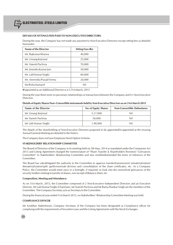## **DETAILS OF SITTINGS FEES PAID TO NON-EXECUTIVE DIRECTORS:**

During the year, the Company has not made any payment to Non-Executive Directors except sitting fees as detailed hereunder:

| Name of the Director      | <b>Sitting Fees (Rs)</b> |
|---------------------------|--------------------------|
| Mr. Rajkumar Khanna       | 40,000                   |
| Mr. Umang Kejriwal        | 25,000                   |
| Mr. Naresh Pachisia       | 70,000                   |
| Mr. Jinendra Kumar Jain   | 50,000                   |
| Mr. Lalit Kumar Singhi    | 60,000                   |
| Mr. Amrendra Prasad Verma | 20,000                   |
| Ms Rishu Kumari#          | Nil                      |

**#**Appointed as an Additional Director w.e.f 21st March, 2015

During the year there were no pecuniary relationships or transactions between the Company and it's Non-Executive Directors.

#### **Details of Equity Shares/Non -Convertible instruments held by Non-Executive Directors as on 31st March 2015**

| Name of the Director  | No of Equity Shares | <b>Non-Convertible Debentures</b> |
|-----------------------|---------------------|-----------------------------------|
| Mr Umang Kejriwal     | 5,17,000            | Nil                               |
| Mr Naresh Pachisia    | 50.000              | Nil                               |
| Mr Lalit Kumar Singhi | 1,90,000            | Nil                               |

The details of the shareholding of Non-Executive Directors proposed to be appointed/re-appointed at the ensuing Annual General Meeting are detailed in the Notice.

The Company does not have Employee Stock Option Scheme.

#### **STAKEHOLDERS' RELATIONSHIP COMMITTEE**

The Board of Directors of the Company in its meeting held on 5th May, 2014 as mandated under the Companies Act 2013 and Listing Agreement changed the nomenclature of "Share Transfer & Shareholders'/Investors' Grievances Committee" to Stakeholders' Relationship Committee and also modified/amended the terms of reference of the Committee.

The Board has sub-delegated the authority to the Committee to approve transfer/transmission/ rematerialisation/ dematerialization/split up/division/sub division and consolidation of the share certificates, etc. As a Company Policy, the Committee would meet once in a fortnight, if required, to look into the unresolved grievances of the security holders relating to transfer of shares, non receipt of Balance sheet, etc.

#### **Composition, Meeting and Attendance:**

As on 31st March, 2015, the Committee comprised of 2 Non-Executive Independent Directors and an Executive Director. Mr Lalit Kumar Singhi (Chairman), Mr Naresh Pachisia and Mr Rama Shankar Singh are the members of the Committee. The Company Secretary acts as Secretary to the Committee.

During the financial year ended 31st March 2015, no Stakeholders' Relationship Committee Meeting was held.

#### **COMPLIANCE OFFICER**

Mr Anubhav Maheshwari, Company Secretary of the Company has been designated as Compliance officer for complying with the requirements of Securities Laws and the Listing Agreements with the Stock Exchanges.

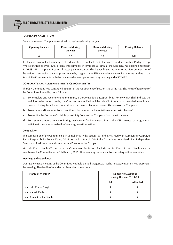

## **INVESTOR'S COMPLAINTS**

Details of Investors Complaints received and redressed during the year:

| <b>Opening Balance</b> | <b>Received during</b><br>the year | <b>Resolved during</b><br>the year | <b>Closing Balance</b> |
|------------------------|------------------------------------|------------------------------------|------------------------|
|                        |                                    |                                    | <b>NIL</b>             |

It is the endeavor of the Company to attend investors' complaints and other correspondence within 15 days except where constrained by disputes or legal impediments. In terms of SEBI circular the Company has obtained necessary SCORES (SEBI Complaints Redressal System) authentication. This has facilitated the investors to view online status of the action taken against the complaints made by logging on to SEBI's website www.sebi.gov.in. As on date of the Report, the Company affirms that no shareholder's complaint was lying pending under SCORES.

## **CORPORATE SOCIAL RESPONSIBILITY (CSR) COMMITTEE**

The CSR Committee was constituted in terms of the requirement of Section 135 of the Act. The terms of reference of the Committee, inter-alia, are as follows:

- (a) To formulate and recommend to the Board, a Corporate Social Responsibility Policy which shall indicate the activities to be undertaken by the Company as specified in Schedule VII of the Act, as amended from time to time, excluding the activities undertaken in pursuance of normal course of business of the Company;
- (b) To recommend the amount of expenditure to be incurred on the activities referred to in clause (a);
- (c) To monitor the Corporate Social Responsibility Policy of the Company, from time to time and
- (d) To institute a transparent monitoring mechanism for implementation of the CSR projects or programs or activities to be undertaken by the Company, from time to time.

#### **Composition**

The composition of the Committee is in compliance with Section 135 of the Act, read with Companies (Corporate Social Responsibility Policy) Rules, 2014. As on 31st March, 2015, the Committee comprised of an Independent Director, a Non Executive and a Whole time Director of the Company.

Mr. Lalit Kumar Singhi (Chairman of the Committee), Mr Naresh Pachisia and Mr Rama Shankar Singh were the members of the Committee as on 31st March, 2015. The Company Secretary acts as Secretary to the Committee.

#### **Meetings and Attendance**

During the year, a meeting of the Committee was held on 13th August, 2014.The necessary quorum was present for the meeting. The details of attendance of members are as under:

| Name of Member         | <b>Number of Meetings</b><br>during the year 2014-15 |  |  |
|------------------------|------------------------------------------------------|--|--|
|                        | <b>Held</b><br><b>Attended</b>                       |  |  |
| Mr. Lalit Kumar Singhi |                                                      |  |  |
| Mr. Naresh Pachisia    |                                                      |  |  |
| Mr. Rama Shankar Singh |                                                      |  |  |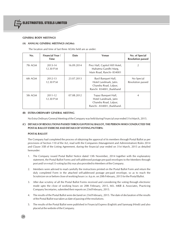

## **GENERAL BODY MEETINGS**

## **(A) ANNUAL GENERAL MEETINGS (AGMs):**

The location and time of last three AGMs held are as under:

| No.     | <b>Financial Year /</b><br><b>Time</b> | Date       | Venue                                                                                                | No. of Special<br><b>Resolution passed</b> |
|---------|----------------------------------------|------------|------------------------------------------------------------------------------------------------------|--------------------------------------------|
| 7th AGM | 2013-14<br>12.30 P.M                   | 16.09.2014 | Prez Hall, Capitol Hill Hotel,<br>Mahatma Gandhi Marg,<br>Main Road, Ranchi-834001                   | $\mathfrak{D}$                             |
| 6th AGM | 2012-13<br>12.30 P.M                   | 23.07.2013 | Basil Banguet Hall,<br>Hotel Landmark, Jatin.<br>Chandra Road, Lalpur,<br>Ranchi 834001, Jharkhand   | No Special<br>Resolution passed            |
| 5th AGM | 2011-12<br>12.30 P.M                   | 07.08.2012 | Topaz Banguet Hall,<br>Hotel Landmark, Jatin<br>Chandra Road, Lalpur,<br>Ranchi - 834001, Jharkhand. | $\overline{A}$                             |

#### **(B) EXTRA-ORDINARY GENERAL MEETING**

No Extra Ordinary General Meeting of the Company was held during Financial year ended 31st March, 2015.

## **(C) DETAILS OF RESOLUTIONS PASSED THROUGH POSTAL BALLOT, THE PERSON WHO CONDUCTED THE POSTAL BALLOT EXERCISE AND DETAILS OF VOTING PATTERN:**

#### **POSTAL BALLOT**

The Company had completed the process of obtaining the approval of its members through Postal Ballot as per provisions of Section 110 of the Act, read with the Companies (Management and Administration) Rules 2014 and Clause 35B of the Listing Agreement, during the financial year ended on 31st March, 2015 as detailed hereunder:

- 1. The Company issued Postal Ballot Notice dated 13th November, 2014 together with the explanatory statement, the Postal Ballot Forms and self-addressed postage pre-paid envelopes to the Members through post and/ or e-mail. E-voting facility was also provided to Members of the Company.
- 2. Members were advised to read carefully the instructions printed on the Postal Ballot Form and return the duly completed Form in the attached self-addressed postage pre-paid envelope, so as to reach the Scrutinizer on or before close of working hours i.e. 6 p.m. on 20th February, 2015 for the Postal Ballot.
- 3. After due scrutiny of all the Postal Ballot Forms received and considering the voting through electronic mode upto the close of working hours on 20th February, 2015, M/s. MKB & Associates, Practicing Company Secretaries, submitted their reports on 23rd February, 2015.
- 4. The results of the Postal Ballot were declared on 23rd February, 2015. The date of declaration of the results of the Postal Ballot was taken as date of passing of the resolutions.
- 5. The results of the Postal Ballot were published in Financial Express (English) and Sanmarg (Hindi) and also placed at the website of the Company.

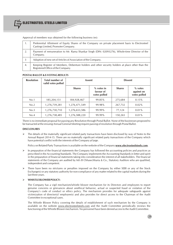

Approval of members was obtained for the following business (es):

|    | Preferential Allotment of Equity Shares of the Company on private placement basis to Electrosteel<br>Castings Limited, Promoter Company. |
|----|------------------------------------------------------------------------------------------------------------------------------------------|
| 2. | Payment of remuneration to Mr. Rama Shankar Singh (DIN: 02093276), Whole-time Director of the<br>Company.                                |
|    | Adoption of new set of Articles of Association of the Company.                                                                           |
| 4. | Keeping Register of Members, Debenture holders and other security holders at place other than the<br>Registered Office of the Company.   |

### **POSTAL BALLOT & E-VOTING RESULTS**

| <b>Resolution</b> | Total number of<br>valid votes polled | Assent        |                                           |               |                                         |  |  | <b>Dissent</b> |  |
|-------------------|---------------------------------------|---------------|-------------------------------------------|---------------|-----------------------------------------|--|--|----------------|--|
|                   |                                       | <b>Shares</b> | $%$ votes in<br>favour of<br>votes polled | <b>Shares</b> | $%$ votes<br>against on<br>votes polled |  |  |                |  |
| No.1              | 185,204,151                           | 184,928,467   | $99.85\%$                                 | 275,684       | 0.15%                                   |  |  |                |  |
| No.2              | 1,276,739,281                         | 1,276,471,549 | 99.98%                                    | 267,732       | $0.02\%$                                |  |  |                |  |
| No.3              | 1,276,730,710                         | 1,276,653,586 | 99.99%                                    | 77,124        | $0.01\%$                                |  |  |                |  |
| No.4              | 1,276,738,485                         | 1,276,588,220 | 99.99%                                    | 150,265       | $0.01\%$                                |  |  |                |  |

There is no immediate proposal for passing any Resolution through Postal Ballot. None of the businesses proposed to be transacted at the ensuing Annual General Meeting require passing of resolution through Postal Ballot.

## **DISCLOSURES**

 $\triangleright$  The details of the materially significant related party transactions have been disclosed by way of Notes to the Annual Report 2014-15. There are no materially significant related party transactions of the Company which have potential conflict with the interests of the Company at large.

Policy on Related Party Transactions is available on the website of the Company **www.electrosteelsteels.com**.

- $\triangleright$  In preparation of the financial statements the Company has followed the accounting policies and practices as prescribed in the Accounting Standards. The Company implements the Accounting Standards in letter and spirit in the preparation of financial statements taking into consideration the interest of all stakeholders. The financial statements of the Company are audited by M/s B Chhawchharia & Co., Statutory Auditors who are qualified, independent and competent.
- $\triangleright$  There have been no strictures or penalties imposed on the Company by either SEBI or any of the Stock Exchange(s) or any statutory authority for non-compliance of any matter related to the capital markets during the last three years.

## **WHISTLE BLOWER POLICY:**

The Company has a vigil mechanism/whistle blower mechanism for its Directors and employees to report genuine concerns or grievances about unethical behavior, actual or suspected fraud or violation of the Company's code of conduct or ethics policy. The mechanism provides for adequate safeguards against victimization of director(s)/ employee(s) and also provides for direct access to the Chairman of the Audit Committee in exceptional cases.

The Whistle Blower Policy covering the details of establishment of such mechanism by the Company is available on the website www.electrosteelsteels.com and the Audit Committee periodically reviews the functioning of the Whistle Blower mechanism. No personnel have been denied access to the Audit Committee.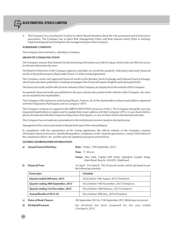

 The Company has a mechanism in place to inform Board Members about the risk assessment and minimization procedures. The Company has in place Risk Management Policy and Risk Manual which helps in framing, implementing and monitoring the risk management plan of the Company.

#### **SUBSIDIARY COMPANY**

The Company does not have a subsidiary Company.

#### **MEANS OF COMMUNICATION**

The Company ensures that channels for disseminating information provide for equal, timely and cost efficient access to relevant information by users.

The Board of Directors of the Company approves and takes on record the quarterly, half-yearly and yearly financial results in the proforma prescribed under Clause 41 of the Listing Agreement.

The Company sends such approved financial results to the Bombay Stock Exchange and National Stock Exchange, which have also been published in leading newspapers like Financial Express (English) and Sanmarg (Hindi).

The financial results and the official news releases of the Company are displayed on the website of the Company.

As quarterly financial results are published in the press and are also posted on the website of the Company, the same are not mailed to the shareholders.

The Company will continue to send Annual Report, Notices, etc to the shareholders at their email address registered with their Depository Participants and /or Company's RTA.

The Company continues its support to the GREEN INITIATIVES measures of MCA. The Company during the year, has requested shareholders to register and /or update their email- address with the Company's RTA, in case shares held in physical mode and with their respective Depository Participants, in case of shares held in dematerialized mode.

The Company has not made any presentation to the institutional investors /analysis during the year.

Management Discussion and Analysis Report forms part of the Annual Report.

In compliance with the requirement of the Listing Agreement, the official website of the Company contains information about its business, shareholding pattern, compliance with corporate governance, contact information of the compliance officer, etc. and the same are updated at any given point of time.

#### **GENERAL SHAREHOLDER INFORMATION**

|    | a) Annual General Meeting:          | Date: Friday, 11th September, 2015                                                                    |  |  |  |
|----|-------------------------------------|-------------------------------------------------------------------------------------------------------|--|--|--|
|    |                                     | <b>Time</b> : $11.30a.m.$                                                                             |  |  |  |
|    |                                     | Venue: Prez Hall, Capital Hill Hotel, Mahatma Gandhi Marg,<br>Main Road, Ranchi - 834 001, Jharkhand. |  |  |  |
| b) | <b>Financial Year:</b>              | 1st April - 31st March. The Financial results will be declared as per<br>the following schedule:      |  |  |  |
|    | <b>Particulars</b>                  | <b>Schedule</b>                                                                                       |  |  |  |
|    | Quarter ended 30th June, 2015       | On & before 14th August, 2015 (Tentative)                                                             |  |  |  |
|    | Quarter ending 30th September, 2015 | On or before 14th November, 2015 (Tentative)                                                          |  |  |  |

**Quarter ending 31st December, 2015** On or before 14th February, 2015 (Tentative)

**Annual Results of 2015-16** On or before 30th May, 2016 (Tentative)

**c) Dates of Book Closure:** 5th September 2015 to 11th September 2015 (Both days inclusive).

**d) Dividend Payment** No dividend has been proposed for the year ended 31st March, 2015.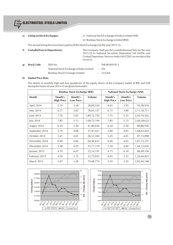- 
- **e) Listing on Stock Exchanges:** (i) National Stock Exchange of India Limited (NSE)
	- (ii) Bombay Stock Exchange Limited (BSE)

The annual listing fees have been paid to all the Stock Exchanges for the year 2015-16.

| f). | <b>Custodial Fees to Depositories:</b> |                                          | invoices. | The Company shall pay the custodial/annual fees for the year<br>2015-16 to National Securities Depository Ltd (NSDL) and<br>Central Depository Services India Ltd (CDSL) on receipt of the |
|-----|----------------------------------------|------------------------------------------|-----------|--------------------------------------------------------------------------------------------------------------------------------------------------------------------------------------------|
| g)  | <b>Stock Code:</b>                     | ISIN No.                                 |           | INE481K01013                                                                                                                                                                               |
|     |                                        | National Stock Exchange of India Limited |           | : ESL                                                                                                                                                                                      |
|     |                                        | Bombay Stock Exchange Limited            |           | 533264                                                                                                                                                                                     |

## **h) Market Price Data**

The details of monthly high and low quotations of the equity shares of the Company traded at BSE and NSE during the financial year 2014-15 are given hereunder:

|                   | <b>Bombay Stock Exchange (BSE)</b> |                             |               | <b>National Stock Exchange (NSE)</b> |                             |                |
|-------------------|------------------------------------|-----------------------------|---------------|--------------------------------------|-----------------------------|----------------|
| <b>Month</b>      | Month's<br><b>High Price</b>       | Month's<br><b>Low Price</b> | <b>Volume</b> | Month's<br><b>High Price</b>         | Month's<br><b>Low Price</b> | <b>Volume</b>  |
| April 2014        | 5.19                               | 3.26                        | 28,09,524     | 4.65                                 | 3.95                        | 93,38,916      |
| May 2014          | 6.77                               | 3.82                        | 78,65,157     | 6.75                                 | 3.80                        | 2, 11, 18, 711 |
| June 2014         | 7.76                               | 5.65                        | 1,89,73,756   | 7.75                                 | 5.35                        | 2,92,19,302    |
| July 2014         | 7.85                               | 5.13                        | 1,09,72,194   | 7.85                                 | 5.15                        | 2,69,28,622    |
| August 2014       | 6.29                               | 5.30                        | 41,80,656     | 6.20                                 | 5.30                        | 89,80,936      |
| September 2014    | 5.79                               | 4.08                        | 57,47,421     | 5.80                                 | 4.05                        | 1,68,03,045    |
| October 2014      | 5.41                               | 4.05                        | 26,53,504     | 5.45                                 | 4.05                        | 87,15,898      |
| November 2014     | 6.00                               | 4.66                        | 64,46,633     | 6.00                                 | 4.65                        | 1,81,15,231    |
| December 2014     | 5.48                               | 4.05                        | 53,71,110     | 5.20                                 | 4.00                        | 1,44,15,826    |
| January 2015      | 4.79                               | 4.07                        | 22,14,191     | 4.75                                 | 4.10                        | 86,99,536      |
| February 2015     | 4.50                               | 3.75                        | 23,73,035     | 4.45                                 | 3.55                        | 1,24,44,825    |
| <b>March 2015</b> | 5.07                               | 3.28                        | 74,68,774     | 5.10                                 | 3.25                        | 2,82,04,248    |

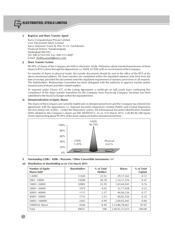

#### **i) Registrar and Share Transfer Agent:**

Karvy Computershare Private Limited Unit: Electrosteel Steels Limited Karvy Selenium Tower B, Plot 31-32, Gachibowli, Financial District, Nanakramguda Hyderabad-500 032 Tel: 040 67161559, Fax: 040 23114087 E-mail: shobha.anand@karvy.com

#### **j) Share Transfer System**

99.99% of shares of the Company are held in electronic mode. Intimation about transfer/transmission of these shares to RTA is done through the depositories i.e. NSDL & CDSL with no involvement of the Company.

For transfer of shares in physical mode, the transfer documents should be sent to the office of the RTA at the above mentioned address. All share transfers are completed within the stipulated statutory time limit from the date of receipt, provided the documents meet the stipulated requirement of statutory provisions in all respects. The Stakeholders' Relationship Committee has been delegated with the authority to approve transfer and/or transmissions of shares and other related matters.

As required under Clause 47C of the Listing Agreement, a certificate on half yearly basis confirming due compliance of the share transfer formalities by the Company from Practicing Company Secretary has been submitted to the Stock Exchanges within the stipulated time.

#### **k) Dematerialization of Equity Shares**

The shares of the Company are currently traded only in dematerialized form and the Company has entered into agreements with the depositories i.e. National Securities Depository Limited (NSDL) and Central Depository Services (India) Ltd. (CDSL). Under the Depository system, the International Securities Identification Number (ISIN) allotted to the Company's shares are INE 481K01013. As on 31st March 2015, 2,40,89,46,348 equity shares representing about 99.99% of the share capital are held in dematerialized form.



#### **l) Outstanding GDRs / ADRs / Warrants / Other Convertible instruments:** Nil

### **m) Distribution of shareholding as on 31st March 2015**

| <b>Number of Equity</b><br><b>Shares held</b> | <b>Shareholders</b> | % of Total<br><b>Holders</b> | <b>Shares</b>  | % of Total<br>Capital |
|-----------------------------------------------|---------------------|------------------------------|----------------|-----------------------|
| 1-5000                                        | 11540               | 23.53                        | 29,17,362      | 0.12                  |
| 5001-10000                                    | 15098               | 30.78                        | 1, 14, 11, 576 | 0.47                  |
| 10001-20000                                   | 10983               | 22.39                        | 1,83,04,945    | 0.76                  |
| 20001-30000                                   | 1974                | 4.02                         | 52,77,958      | 0.22                  |
| 30001-40000                                   | 1115                | 2.27                         | 40,96,526      | 0.17                  |
| 40001-50000                                   | 1733                | 3.53                         | 84,82,550      | 0.35                  |
| 50001-100000                                  | 2442                | 4.99                         | 2,00,65,445    | 0.84                  |
| 100001& Above                                 | 4166                | 8.49                         | 2,33,86,78,661 | 97.07                 |
| Total                                         | 49051               | 100                          | 2,40,92,35,023 | 100.00                |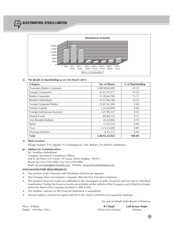ELECTROSTEEL STEELS LIMITED



#### **n) The details of shareholding as on 31st March 2015:**

| Category                        | No. of Shares  | % of Shareholding |
|---------------------------------|----------------|-------------------|
| Promoters Bodies Corporate      | 1,08,98,00,000 | 45.23             |
| Foreign Companies               | 47,61,97,077   | 19.76             |
| <b>Bodies Corporates</b>        | 31,59,64,700   | 13.11             |
| Resident Individuals            | 24,57,06,768   | 10.20             |
| Foreign Corporate Bodies        | 21,87,42,306   | 9.08              |
| Venture Capital                 | 1,53,05,000    | 0.64              |
| Foreign Institutional Investors | 1,07,98,227    | 0.45              |
| <b>Mutual Funds</b>             | 84,89,224      | 0.35              |
| Non Resident Indians            | 45,42,004      | 0.19              |
| <b>Banks</b>                    | 13,32,514      | 0.06              |
| Trust                           | 2,15,23,690    | 0.89              |
| <b>Clearing Members</b>         | 8,33,513       | 0.04              |
| <b>Total</b>                    | 2,40,92,35,023 | 100.00            |

#### **o) Plant Location**

Village Siyaljori, P.O. Jogidih, P S Chandankyari, Dist. Bokaro, Pin 828303, Jharkhand.

#### **p) Address for Communication:**

Mr. Anubhav Maheshwari Company Secretary& Compliance Officer 2nd & 3rd Floor, G K Tower, 19 Camac Street, Kolkata- 700 017 Phone No: 033-7103-4400, Fax: 033-2290-2882 Email: eil.investors@electrosteel.com, Website: www.electrosteelsteels.com

#### **NON-MANDATORY REQUIREMENTS**

- > The position of the Chairman and Wholetime Director are separate.
- $\triangleright$  The Company does not maintain a separate office for Non Executive Chairman.
- $\triangleright$  The quarterly financial results are published in the newspapers of wide circulation and not sent to individual shareholders. Further the financial results are available on the website of the Company and of Stock Exchanges where the shares of the Company are listed i.e. BSE & NSE.
- $\triangleright$  The Auditors' opinion on the Financial Statements is unqualified.
- $\triangleright$  Internal Auditors submits his reports directly to the Audit Committee at its quarterly meetings.

For and on behalf of the Board of Directors

Place : Kolkata **R S Singh Lalit Kumar Singhi** Dated : 11th May, 2015 *Whole-time Director Director*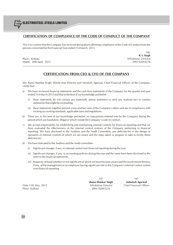## **CERTIFICATION OF COMPLIANCE OF THE CODE OF CONDUCT OF THE COMPANY**

This is to confirm that the Company has received declarations affirming compliance of the Code of Conduct from the persons concerned for the Financial Year ended 31st March, 2015.

Place : Kolkata *Wholetime Director* Dated : 30th April, 2015 DIN: 02093276

 $S<sub>d</sub>/2$ **R. S. Singh**

## **CERTIFICATION FROM CEO & CFO OF THE COMPANY**

We, Rama Shankar Singh, Whole time Director and Ashutosh Agarwal, Chief Financial Officer, of the Company, certify that:

- a) We have reviewed financial statements and the cash flow statements of the Company for the quarter and year ended 31st March 2015 and that to the best of our knowledge and belief :
	- (i) these statements do not contain any materially untrue statement or omit any material fact or contain statements that might be misleading;
	- (ii) these statements together present a true and fair view of the Company's affairs and are in compliance with existing accounting standards, applicable laws and regulations.
- b) There are, to the best of our knowledge and belief, no transactions entered into by the Company during the period which are fraudulent, illegal or which violate the Company's code of conduct.
- c) We accept responsibility for establishing and maintaining internal controls for financial reporting and that we have evaluated the effectiveness of the internal control systems of the Company pertaining to financial reporting. We have disclosed to the Auditors and the Audit Committee, any deficiencies in the design or operation of internal controls of which we are aware and the steps taken or propose to take to rectify these deficiencies.
- d) We have indicated to the Auditors and the Audit committee :
	- (i) Significant changes, if any, in internal control over financial reporting during the year.
	- (ii) Significant changes, if any, in accounting policies during the year and the same have been disclosed in the notes to the financial statements.
	- (iii) Instances of fraud whether or not significant of which we have become aware and the involvement therein, if any, of the management or an employee having significant role in the Company's internal control system over financial reporting.

*Place: Kolkata* DIN: 02093276

*Sd/- Sd/- Rama Shankar Singh Ashutosh Agarwal Date:11th May*, 2015 *Wholetime Director Chief Financial Officer*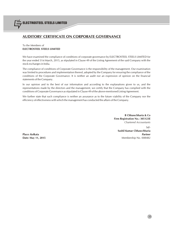## **AUDITORS' CERTIFICATE ON CORPORATE GOVERNANCE**

## To the Members of **ELECTROSTEEL STEELS LIMITED**

We have examined the compliance of conditions of corporate governance by ELECTROSTEEL STEELS LIMITED for the year ended 31st March, 2015, as stipulated in Clause 49 of the Listing Agreement of the said Company with the stock exchanges in India.

The compliance of conditions of Corporate Governance is the responsibility of the management. Our examination was limited to procedures and implementation thereof, adopted by the Company for ensuring the compliance of the conditions of the Corporate Governance. It is neither an audit nor an expression of opinion on the financial statements of the Company.

In our opinion and to the best of our information and according to the explanations given to us, and the representations made by the directors and the management, we certify that the Company has complied with the conditions of Corporate Governance as stipulated in Clause 49 of the above-mentioned Listing Agreement.

We further state that such compliance is neither an assurance as to the future viability of the Company nor the efficiency of effectiveness with which the management has conducted the affairs of the Company.

> **B Chhawchharia & Co Firm Registration No.: 305123E** *Chartered Accountants*

> > Sd/-

**Sushil Kumar Chhawchharia Place: Kolkata** *Partner* **Date: May 11, 2015** Membership No. 008482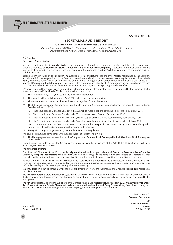

**ANNEXURE - D**

## **SECRETARIAL AUDIT REPORT**

#### **FOR THE FINANCIAL YEAR ENDED 31st Day of March, 2015**

*[Pursuant to section 204(1) of the Companies Act, 2013 and rule No.9 of the Companies (Appointment and Remuneration of Managerial Personnel) Rules, 2014]*

To, The Members, **Electrosteel Steels Limited**

We have conducted the **Secretarial Audit** of the compliance of applicable statutory provisions and the adherence to good corporate practices by **Electrosteel Steels Limited** (**hereinafter called "the Company")**. Secretarial Audit was conducted in a manner that provided us a reasonable basis for evaluating the corporate conducts/statutory compliances and expressing our opinion thereon.

Based on our verification of books, papers, minute books, forms and returns filed and other records maintained by the Company and also the information provided by the Company, its officers, and authorized representatives during the conduct of **Secretarial Audit**, we hereby report that in our opinion the Company has, during the audit period covering the financial year ended **31st March, 2015** complied with the statutory provisions listed hereunder and also that the Company has proper Board-processes and compliance-mechanism in place to the extent, in the manner and subject to the reporting made hereinafter:

We have examined the books, papers, minute books, forms and returns filed and other records maintained by the Company for the financial year ended **31st March, 2015** according to the provisions of:

- I. The Companies Act, 2013 (the Act) and the rules made thereunder;
- II. The Securities Contracts (Regulation) Act, 1956 and the rules made thereunder;
- III. The Depositories Act, 1996 and the Regulations and Bye-laws framed thereunder;
- IV. The following Regulations (as amended from time to time) and Guidelines prescribed under the Securities and Exchange Board of India Act, 1992:-
	- (a) The Securities and Exchange Board of India (Substantial Acquisition of Shares and Takeovers) Regulations, 2011;
	- (b) The Securities and Exchange Board of India (Prohibition of Insider Trading) Regulations, 1992;
	- (c) The Securities and Exchange Board of India (Issue of Capital and Disclosure Requirements) Regulations, 2009;
	- (d) The Securities and Exchange Board of India (Registrars to an Issue and Share Transfer Agents) Regulations, 1993;
- V. We in consultation with the Company came to a conclusion that **no specific laws** were directly applicable with regard to business activities of the Company during the period under review.
- VI. Foreign Exchange Management Act, 1999 and the Rules and Regulations.

We have also examined compliance with the applicable clauses of the following:

(i) The Listing Agreements entered into by the Company with **Bombay Stock Exchange Limited** &**National Stock Exchange of India Limited**.

During the period under review the Company has complied with the provisions of the Acts, Rules, Regulations, Guidelines, Standards, etc. mentioned above.

#### **We further report that:**

The Board of Directors of the Company **is duly constituted with proper balance of Executive Directors, Non-Executive Directors, Independent Directors and a Woman Director**. The changes in the composition of the Board of Directors that took place during the period under review were carried out in compliance with the provisions of the Act and Listing Agreement.

Adequate Notice is given to all Directors to schedule the Board Meetings. Agenda and detailed Notes on Agenda were sent at least seven days in advance, and a system exists for seeking and obtaining further information and clarifications on the agenda items before the meeting and for meaningful participation at the meeting.

Majority decision is carried through, while the dissenting members' views are captured, as and when required and are recorded as part of the minutes.

**We further report that** there are adequate systems and processes in the Company commensurate with the size and operations of the Company to monitor and ensure compliance with applicable laws, rules, regulations and guidelines as also represented by the management.

**We further report that** during the audit period the Company had made **Preferential Allotment of 22,25,00,000 Equity Shares of Rs. 10 each at par on Private Placement basis** and **executed various Related Party Transactions**, from time to time, with Electrosteel Castings Limited, being the Promoter Company, after obtaining necessary approvals.

**For K. Arun & Co Company Secretaries Sd/- Arun Kr. Khandelia Place : Kolkata Partner Date : 13.04.2015 C.P. No.: 2270**

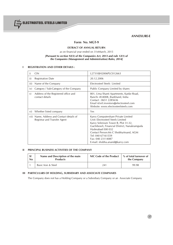

**ANNEXURE-E**

## **Form No. MGT-9**

## **EXTRACT OF ANNUAL RETURN**

as on financial year ended on 31stMarch, 2015

## *[Pursuant to section 92(3) of the Companies Act, 2013 and rule 12(1) of the Companies (Management and Administration) Rules, 2014]*

## **I REGISTRATION AND OTHER DETAILS :**

| i)   | <b>CIN</b>                                                                | L27310JH2006PLC012663                                                                                                                                                                                                                                                                                     |
|------|---------------------------------------------------------------------------|-----------------------------------------------------------------------------------------------------------------------------------------------------------------------------------------------------------------------------------------------------------------------------------------------------------|
| ii)  | <b>Registration Date</b>                                                  | 20.12.2006                                                                                                                                                                                                                                                                                                |
| iii) | Name of the Company                                                       | Electrosteel Steels Limited                                                                                                                                                                                                                                                                               |
| iv)  | Category / Sub-Category of the Company                                    | Public Company Limited by shares                                                                                                                                                                                                                                                                          |
| V)   | Address of the Registered office and<br>contact details                   | 801, Uma Shanti Apartments, Kanke Road,<br>Ranchi -834008, Jharkhand, India<br>Contact: 0651 2285636<br>Email id:eil.investors@electrosteel.com<br>Website: www.electrosteelsteels.com                                                                                                                    |
| vi)  | Whether listed company                                                    | Yes                                                                                                                                                                                                                                                                                                       |
|      | vii) Name, Address and Contact details of<br>Registrar and Transfer Agent | Karvy Computershare Private Limited<br>Unit: Electrosteel Steels Limited<br>Karvy Selenium Tower B, Plot 31-32,<br>Gachibowli, Financial District, Nanakramguda<br>Hyderabad-500 032<br>Contact Person: Ms C ShobhaAnand, AGM<br>Tel: 040 67161559<br>Fax: 040 23114087<br>E-mail: shobha.anand@karvy.com |

## **II PRINCIPAL BUSINESS ACTIVITIES OF THE COMPANY**

| -SI | Name and Description of the main | NIC Code of the Product | % of total turnover of |  |
|-----|----------------------------------|-------------------------|------------------------|--|
| No  | <b>Products</b>                  |                         | the Company            |  |
|     | Basic Iron & Steel               | 241                     | 99.98                  |  |

## **III PARTICULARS OF HOLDING, SUBSIDIARY AND ASSOCIATE COMPANIES**

The Company does not has a Holding Company or a Subsidiary Company or an Associate Company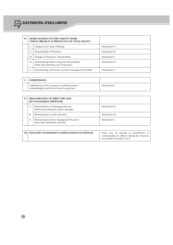

| $\mathbf{IV}$ |      | <b>SHARE HOLDING PATTERN (EQUITY SHARE)</b><br>CAPITAL BREAKUP AS PERCENTAGE OF TOTAL EQUITY) |              |
|---------------|------|-----------------------------------------------------------------------------------------------|--------------|
|               |      | Category-wise Share Holding                                                                   | Attachment A |
|               | ii)  | Shareholding of Promoters                                                                     | Attachment B |
|               | iii) | Change in Promoters' Shareholding                                                             | Attachment C |
|               | iv)  | Shareholding Pattern of top ten Shareholders<br>(other than Directors and Promoters)          | Attachment D |
|               | V)   | Shareholding of Directors and Key Managerial Personnel                                        | Attachment E |

| <b>INDEBTEDNESS</b>                                                                           |              |
|-----------------------------------------------------------------------------------------------|--------------|
| Indebtedness of the Company including interest<br>outstanding/accrued but not due for payment | Attachment F |

| VI |   | <b>REMUNERATION OF DIRECTORS AND</b><br><b>KEY MANAGERIAL PERSONNEL</b>   |              |
|----|---|---------------------------------------------------------------------------|--------------|
|    | A | Remuneration to Managing Director,<br>Whole-time Directors and/or Manager | Attachment G |
|    | B | Remuneration to other directors                                           | Attachment H |
|    |   | Remuneration to Key Managerial Personnel<br>other than Wholetime Director | Attachment I |

| VII PENALTIES/PUNISHMENT/COMPOUNDING OF OFFENCES | There was no penalty or punishment or<br>compounding of offence during the financial |
|--------------------------------------------------|--------------------------------------------------------------------------------------|
|                                                  | year ended 31st March, 2015.                                                         |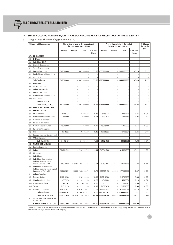## **IV. SHARE HOLDING PATTERN (EQUITY SHARE CAPITAL BREAK UP AS PERCENTAGE OF TOTAL EQUITY )**

*i) Category-wise Share Holding (Attachment - A)*

| <b>Category of Shareholders</b> |                                                                                    | No. of Shares held at the beginning of<br>the year (as on 31.03.2014) |          |                   | No. of Shares held at the end of<br>the year (as on 31.03.2015) |                   |          |                   | % Change<br>during the      |                          |
|---------------------------------|------------------------------------------------------------------------------------|-----------------------------------------------------------------------|----------|-------------------|-----------------------------------------------------------------|-------------------|----------|-------------------|-----------------------------|--------------------------|
|                                 |                                                                                    | Demat                                                                 | Physical | Total             | % of Total<br><b>Shares</b>                                     | Demat             | Physical | Total             | % of Total<br><b>Shares</b> | year                     |
| (A)                             | <b>PROMOTERS</b>                                                                   |                                                                       |          |                   |                                                                 |                   |          |                   |                             |                          |
| (1)                             | <b>INDIAN</b>                                                                      |                                                                       |          |                   |                                                                 |                   |          |                   |                             |                          |
| (a)                             | Individual /HUF                                                                    |                                                                       |          |                   |                                                                 |                   |          |                   |                             |                          |
| (b)                             | Central Government                                                                 |                                                                       |          |                   |                                                                 |                   |          |                   |                             |                          |
| $\left( c\right)$               | State Government(s)                                                                |                                                                       |          |                   |                                                                 |                   |          |                   |                             |                          |
| (d)                             | <b>Bodies Corporate</b>                                                            | 867300000                                                             |          | 867300000         | 39.66                                                           | 1089800000        |          | 1089800000        | 45.23                       | 5.57                     |
| (e)                             | <b>Banks/Financial Institutions</b>                                                |                                                                       |          |                   |                                                                 |                   |          |                   |                             |                          |
| (f)                             | Any Other                                                                          |                                                                       |          |                   |                                                                 |                   |          |                   |                             |                          |
|                                 | Sub-Total A(1) :                                                                   | 867300000                                                             |          | 867300000         | 39.66                                                           | 1089800000        |          | 1089800000        | 45.23                       | 5.57                     |
| (2)                             | <b>FOREIGN</b>                                                                     |                                                                       |          |                   |                                                                 |                   |          |                   |                             |                          |
| (a)                             | NRIs-Individuals                                                                   |                                                                       |          |                   |                                                                 |                   |          |                   |                             |                          |
| (b)                             | Other-Individuals                                                                  |                                                                       |          |                   |                                                                 |                   |          |                   |                             |                          |
| $\left( c\right)$               | <b>Bodies Corporate</b>                                                            |                                                                       |          |                   |                                                                 |                   |          |                   |                             | ÷,                       |
| (d)                             | Banks/Financial Institutions                                                       |                                                                       |          |                   |                                                                 |                   |          |                   |                             |                          |
| (e)                             | Any Other                                                                          |                                                                       |          |                   |                                                                 |                   |          |                   |                             |                          |
|                                 | Sub-Total $A(2)$ :                                                                 |                                                                       |          |                   |                                                                 |                   |          |                   |                             |                          |
|                                 | Total $A = A(1) + A(2)$                                                            | 867300000                                                             |          | 867300000         | 39.66                                                           | 1089800000        |          | 1089800000        | 45.23                       | 5.57                     |
| (B)                             | <b>PUBLIC SHAREHOLDING</b>                                                         |                                                                       |          |                   |                                                                 |                   |          |                   |                             |                          |
| (1)                             | <b>INSTITUTIONS</b>                                                                |                                                                       |          |                   |                                                                 |                   |          |                   |                             |                          |
| (a)                             | Mutual Funds                                                                       | 8489224                                                               |          | 8489224           | 0.39                                                            | 8489224           |          | 8489224           | 0.35                        | (0.04)                   |
| (b)                             | <b>Banks/Financial Institutions</b>                                                | 950000                                                                |          | 950000            | 0.04                                                            | 1332514           |          | 1332514           | 0.06                        | 0.02                     |
| $\left( c\right)$               | Central Government                                                                 |                                                                       |          |                   |                                                                 |                   |          |                   |                             | $\overline{\phantom{a}}$ |
| (d)                             | State Government(s)                                                                |                                                                       |          |                   |                                                                 |                   |          |                   |                             |                          |
| (e)                             | Venture Capital Funds                                                              | 15305000                                                              |          | 15305000          | 0.70                                                            | 15305000          |          | 15305000          | 0.65                        | (0.05)                   |
| (f)                             | Insurance Companies                                                                |                                                                       |          |                   |                                                                 |                   |          |                   |                             |                          |
| (g)                             | FIIs                                                                               | 9748227                                                               |          | 9748227           | 0.45                                                            | 10798227          | ٠        | 10798227          | 0.45                        | 0.00                     |
| (h)                             | Foreign Venture Capital Funds                                                      |                                                                       |          |                   |                                                                 |                   |          |                   |                             |                          |
| (i)                             | Others (specify)                                                                   |                                                                       |          |                   |                                                                 |                   |          |                   |                             |                          |
|                                 | Sub-Total $B(1)$ :                                                                 | 34492451                                                              |          | 34492451          | 1.58                                                            | 35924965          |          | 35924965          | 1.50                        | (0.07)                   |
| (2)                             | NON-INSTITUTIONS                                                                   |                                                                       |          |                   |                                                                 |                   |          |                   |                             |                          |
| (a)                             | <b>Bodies Corporate</b>                                                            |                                                                       |          |                   |                                                                 |                   |          |                   |                             |                          |
| (i)                             | Indian                                                                             | 326724724                                                             |          | 326724724         | 14.94                                                           | 315964700         |          | 315964700         | 13.11                       | (1.83)                   |
| (ii)                            | Overseas                                                                           |                                                                       |          |                   |                                                                 |                   |          |                   |                             |                          |
| (b)                             | Individuals                                                                        |                                                                       |          |                   |                                                                 |                   |          |                   |                             |                          |
| (i)                             | Individual shareholders<br>holding nominal share<br>capital upto Rs.1 lakh         | 68320856                                                              | 252325   | 68573181          | 3.14                                                            | 67832601          | 238675   | 68071276          | 2.83                        | (0.31)                   |
| (ii)                            | Individual shareholders<br>holding nominal share capital<br>in excess of Rs.1 lakh | 168263871                                                             | 50000    | 168313871         | 7.70                                                            | 177585492         | 50000    | 177635492         | 7.37                        | (0.33)                   |
| (c)                             | Others (specify)                                                                   |                                                                       |          |                   |                                                                 |                   |          |                   |                             |                          |
| (i)                             | Foreign Bodies                                                                     | 218742306                                                             |          | 218742306         | 10.00                                                           | 218742306         |          | 218742306         | 9.08                        | (0.92)                   |
| (ii)                            | Non-Resident Indians                                                               | 4395256                                                               |          | 4395256           | 0.20                                                            | 4542004           |          | 4542004           | 0.19                        | (0.01)                   |
| (iii)                           | <b>Clearing Members</b>                                                            | 483967                                                                |          | 483967            | 0.02                                                            | 833513            |          | 833513            | 0.04                        | 0.02                     |
| (iv)                            | Trusts                                                                             | 21512190                                                              |          | 21512190          | 0.98                                                            | 21523690          |          | 21523690          | 0.89                        | (0.09)                   |
| (v)                             | Foreign Companies                                                                  | 476197077                                                             |          | 476197077         | 21.78                                                           | 476197077         |          | 476197077         | 19.76                       | (2.02)                   |
|                                 | Sub-Total $B(2)$ :                                                                 | 1284640247                                                            |          | 1284942572        | 58.76                                                           | 1283221383        |          | 1283510058        | 53.27                       | (5.50)                   |
|                                 | Total $B = B(1) + B(2)$ :                                                          | 1319132698                                                            |          | 302325 1319435023 | 60.34                                                           | 1319146348        | 288675   | 1319435023        | 54.77                       | (5.57)                   |
|                                 | (C) Shares held by Custodian for<br><b>GDRs &amp;ADRs</b>                          |                                                                       |          |                   |                                                                 |                   |          |                   |                             |                          |
|                                 | <b>GRAND TOTAL <math>(A + B + C)</math>:</b>                                       | 2186432698                                                            |          | 302325 2186735023 |                                                                 | 100.00 2408946348 |          | 288675 2409235023 | 100.00                      |                          |

The total number of shares have increased due to preferential allotment of 22.25 crores Equity Shares of Rs. 10 each fully paid up on private placement basis to Electrosteel Castings Limited, Promoter Company.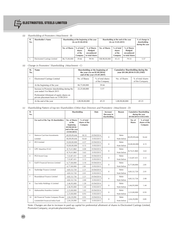

## **.**<br>Gelectrosteel steels limited

#### *(ii) Shareholding of Promoters (Attachment - B)*

| SI.<br>No. | <b>Shareholder's Name</b>     |               | Shareholding at the beginning of the year<br>(As on 01.04.2014) |                                                          |               | Shareholding at the end of the year<br>(As on 31.03.2015) |                                                          |      |  |  |  |
|------------|-------------------------------|---------------|-----------------------------------------------------------------|----------------------------------------------------------|---------------|-----------------------------------------------------------|----------------------------------------------------------|------|--|--|--|
|            |                               | No. of Shares | % of total<br>shares<br>of the<br>Company                       | % of Shares<br>Pledged/<br>encumbered<br>to total shares | No. of Shares | % of total<br>shares<br>of the<br>Company                 | % of Shares<br>Pledged/<br>encumbered<br>to total shares |      |  |  |  |
| 1.         | Electrosteel Castings Limited | 86,73,00,000  | 39.66                                                           | 99.94                                                    | 108,98,00,000 | 45.23                                                     | 79.53                                                    | 5.57 |  |  |  |

## *iii) Change in Promoters' Shareholding (Attachment - C)*

| SI.<br>No. | Name                                                                                                                                                               |                                                      | Shareholding at the beginning of<br>the year (As on 01.04.2014)/<br>end of the year (31.03.2015) | Cumulative Shareholding during the<br>year (01.04.2014-31.03.2105) |                                     |  |
|------------|--------------------------------------------------------------------------------------------------------------------------------------------------------------------|------------------------------------------------------|--------------------------------------------------------------------------------------------------|--------------------------------------------------------------------|-------------------------------------|--|
|            | Electrosteel Castings Limited                                                                                                                                      | No. of Shares<br>% of total shares<br>of the Company |                                                                                                  | No. of Shares                                                      | % of total shares<br>of the Company |  |
|            | At the beginning of the year                                                                                                                                       | 86,73,00,000                                         | 39.66                                                                                            |                                                                    |                                     |  |
|            | Increase in Promoter shareholding during the<br>year ended 31st March 2015:<br>Preferential Allotment of equity shares on<br>private placement basis on 13/08/2014 | 22,25,00,000                                         | 5.57                                                                                             |                                                                    |                                     |  |
|            | At the end of the year                                                                                                                                             | 1,08,98,00,000                                       | 45.23                                                                                            | 1,08,98,00,000                                                     | 45.23                               |  |

## *iv) Shareholding Pattern of top ten Shareholders (Other than Directors and Promoters) (Attachment - D)*

| SI.<br>No.      |                                      | Shareholding                                                                                |                                        | Date       | Increase/<br>Decrease in<br>shareholding | Reason     |                         | <b>Cumulative Shareholding</b><br>during the year<br>$(01/04/2014-31/03/2105)$ |
|-----------------|--------------------------------------|---------------------------------------------------------------------------------------------|----------------------------------------|------------|------------------------------------------|------------|-------------------------|--------------------------------------------------------------------------------|
|                 | For each of the Top 10 shareholders  | No. of Shares<br>at the<br>beginning<br>$(01/04/2014)$ /<br>end of the year<br>(31/03/2015) | % of total<br>shares of the<br>Company |            |                                          |            | No. of<br><b>Shares</b> | % of total<br>shares of the<br>Company                                         |
| $\mathbf{1}$    | <b>Stemcor Cast Iron Investments</b> | 40.09.09.646                                                                                | 18.33                                  | 01/04/2014 |                                          | Refer      |                         | 16.64                                                                          |
|                 | <b>Limited</b>                       | 40.09.09.646                                                                                | 16.64                                  | 31/03/2015 | $\mathbf{0}$                             | Note below | 40,09,09,646            |                                                                                |
| $\overline{2}$  | <b>IFCI Limited</b>                  | 10,00,00,000                                                                                | 4.57                                   | 01/04/2014 | $\mathbf{0}$                             | Refer      | 10,00,00,000            | 4.15                                                                           |
|                 |                                      | 10,00,00,000                                                                                | 4.15                                   | 31/03/2015 |                                          | Note below |                         |                                                                                |
| 3               | <b>GPC Mauritius II LLC</b>          | 8,74,41,860                                                                                 | 4.00                                   | 01/04/2014 | $\mathbf{0}$                             | Refer      | 8,74,41,860             | 3.63                                                                           |
|                 |                                      | 8,74,41,860                                                                                 | 3.63                                   | 31/03/2015 |                                          | Note below |                         |                                                                                |
| $\overline{4}$  | <b>PGS Invest Corp</b>               | 7,52,87,431                                                                                 | 3.44                                   | 01/04/2014 | $\mathbf{0}$                             | Refer      | 7,52,87,431             | 3.12                                                                           |
|                 |                                      | 7,52,87,431                                                                                 | 3.12                                   | 31/03/2015 |                                          | Note below |                         |                                                                                |
| 5               | IL&FS Financial Services Limited     | 6,77,00,000                                                                                 | 3.10                                   | 01/04/2014 | $\mathbf{0}$                             | Refer      | 6,77,00,000             | 2.81                                                                           |
|                 |                                      | 6,77,00,000                                                                                 | 2.81                                   | 31/03/2015 |                                          | Note below |                         |                                                                                |
| 6               | Starbridge Finance Limited           | 4,83,52,720                                                                                 | 2.21                                   | 01/04/2014 |                                          | Refer      |                         | 2.01                                                                           |
|                 |                                      | 4,83,52,720                                                                                 | 2.01                                   | 31/03/2015 | $\mathbf{0}$                             | Note below | 4,83,52,720             |                                                                                |
| $\overline{7}$  | Roundabout Finance Limited           | 4,82,52,726                                                                                 | 2.21                                   | 01/04/2014 |                                          | Refer      |                         |                                                                                |
|                 |                                      | 4,82,52,726                                                                                 | 2.00                                   | 31/03/2015 | $\mathbf{0}$                             | Note below | 4,82,52,726             | 2.00                                                                           |
| 8               | Tara India Holdings A Limited        | 3,46,95,000                                                                                 | 1.59                                   | 01/04/2014 |                                          | Refer      |                         |                                                                                |
|                 |                                      | 3,46,95,000                                                                                 | 1.44                                   | 31/03/2015 | $\mathbf{0}$                             | Note below | 3,46,95,000             | 1.44                                                                           |
| 9               | Maharashtra Seamless Limited         | 2,23,00,000                                                                                 | 1.02                                   | 01/04/2014 |                                          | Refer      |                         |                                                                                |
|                 |                                      | 2,23,00,000                                                                                 | 0.93                                   | 31/03/2015 | $\mathbf{0}$                             | Note below | 2,23,00,000             | 0.93                                                                           |
| 10 <sup>1</sup> | JM Financial Trustee Company Private | 2,04,29,090                                                                                 | 0.93                                   | 01/04/2014 |                                          | Refer      |                         |                                                                                |
|                 | Limited-IM Financial India Fund      | 2,04,29,090                                                                                 | 0.85                                   | 31/03/2015 | $\mathbf{0}$                             | Note below | 2,04,29,090             | 0.85                                                                           |

Note: Changes are due to increase in paid up capital for preferential allotment of shares to Electrosteel Castings Limited, Promoter Company, on private placement basis.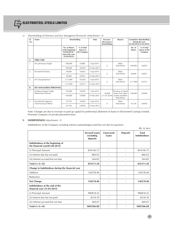

| SI.<br>No.     | Name                                            | Shareholding                                                                         |                                          | Date        | Increase/<br>Reason<br>Decrease in<br>shareholding |                                        | <b>Cumulative Shareholding</b><br>during the year<br>$(01.04.2014 - 31.03.2015)$ |                                        |
|----------------|-------------------------------------------------|--------------------------------------------------------------------------------------|------------------------------------------|-------------|----------------------------------------------------|----------------------------------------|----------------------------------------------------------------------------------|----------------------------------------|
|                |                                                 | No. of Shares<br>at the beginning<br>(01/04/2014)<br>end of the year<br>(31/03/2015) | $%$ of total<br>shares of<br>the Company |             |                                                    |                                        | No. of<br><b>Shares</b>                                                          | % of total<br>shares of the<br>Company |
| $\mathsf{A}$   | <b>DIRECTORS</b>                                |                                                                                      |                                          |             |                                                    |                                        |                                                                                  |                                        |
| $\mathbf{1}$   | Mr Lalit Kumar Singhi                           | 190.000                                                                              | 0.0087                                   | 1-Apr-2014  | $\Omega$                                           | Refer<br>Note below                    | 190.000                                                                          | 0.0079                                 |
|                |                                                 | 190,000                                                                              | 0.0079                                   | 31-Mar-2015 |                                                    |                                        |                                                                                  |                                        |
| $\overline{2}$ | Mr Naresh Pachisia                              | 50,000                                                                               | 0.0022                                   | 1-Apr-2014  | $\Omega$                                           | Refer<br>Note below                    | 50,000                                                                           | 0.0021                                 |
|                |                                                 | 50.000                                                                               | 0.0021                                   | 31-Mar-2015 |                                                    |                                        |                                                                                  |                                        |
| 3              | Mr Umang Kejriwal                               | 5,17,000                                                                             | 0.0236                                   | 1-Apr-2014  | $\mathbf{0}$                                       | Refer<br>Note below                    | 5,17,000                                                                         | 0.0215                                 |
|                |                                                 | 5,17,000                                                                             | 0.0215                                   | 31-Mar-2015 |                                                    |                                        |                                                                                  |                                        |
| B              | <b>KEY MANAGERIAL PERSONNEL</b>                 |                                                                                      |                                          |             |                                                    |                                        |                                                                                  |                                        |
| $\mathbf{1}$   | Mr Rama Shankar Singh,<br>Whole-time Director   | 130,000                                                                              | 0.0059                                   | 1-Apr-2014  | 10.000                                             | Purchase of equity<br>shares from open | 140.000                                                                          | 0.0058                                 |
|                |                                                 | 140.000                                                                              | 0.0058                                   | 31-Mar-2015 | (11.07.2014)                                       | market and Refer<br>Note below         |                                                                                  |                                        |
| $\overline{2}$ | Mr Ashutosh Agarwal,<br>Chief Financial Officer | 43,750                                                                               | 0.0020                                   | 1-Apr-2014  | $\mathbf{0}$                                       | Refer<br>Note below                    | 43,750                                                                           | 0.0018                                 |
|                |                                                 | 43,750                                                                               | 0.0018                                   | 31-Mar-2015 |                                                    |                                        |                                                                                  |                                        |

*v) Shareholding of Directors and Key Managerial Personnel: (Attachment - E)*

Note: Changes are due to increase in paid up capital for preferential allotment of shares to Electrosteel Castings Limited, Promoter Company on private placement basis.

## **V. INDEBTEDNESS** *(Attachment - F)*

Indebtedness of the Company including interest outstanding/accrued but not due for payment :

|                                                                    |                                               |                           |                 | (Rs. In lacs)                       |
|--------------------------------------------------------------------|-----------------------------------------------|---------------------------|-----------------|-------------------------------------|
|                                                                    | <b>Secured Loans</b><br>excluding<br>deposits | <b>Unsecured</b><br>Loans | <b>Deposits</b> | <b>Total</b><br><b>Indebtedness</b> |
| Indebtedness at the beginning of<br>the financial year(01.04.2015) |                                               |                           |                 |                                     |
| (i) Principal Amount                                               | 834146.72                                     |                           |                 | 834146.72                           |
| (ii) Interest due but not paid                                     | 860.03                                        |                           |                 | 860.03                              |
| (iii) Interest accrued but not due                                 | 364.83                                        |                           |                 | 364.83                              |
| Total $(i + ii + iii)$                                             | 835371.58                                     |                           |                 | 835371.58                           |
| Change in Indebtedness during the financial year                   |                                               |                           |                 |                                     |
| Addition                                                           | 130278.40                                     |                           |                 | 130278.40                           |
| Reduction                                                          |                                               |                           |                 |                                     |
| Net Change                                                         | 130278.40                                     |                           |                 | 130278.40                           |
| Indebtedness at the end of the<br>financial year (31.03.2015)      |                                               |                           |                 |                                     |
| (i) Principal Amount                                               | 996818.42                                     | $\blacksquare$            |                 | 996818.42                           |
| (ii) Interest due but not paid                                     | 8218.59                                       | $\blacksquare$            |                 | 8218.59                             |
| (iii) Interest accrued but not due                                 | 469.07                                        | $\overline{\phantom{a}}$  |                 | 469.07                              |
| Total $(i + ii + iii)$                                             | 1005506.08                                    |                           |                 | 1005506.08                          |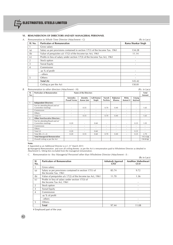

#### **VI. REMUNERATION OF DIRECTORS AND KEY MANAGERIAL PERSONNEL**

| Sl. No. | <b>Particulars of Remuneration</b>                                          | Rama Shankar Singh |
|---------|-----------------------------------------------------------------------------|--------------------|
|         | Gross salary                                                                |                    |
| (a)     | Salary as per provisions contained in section 17(1) of the Income Tax. 1961 | 134.28             |
| (b)     | Value of perquisites u/s 17(2) of the Income tax Act, 1961                  | 11.14              |
| (c)     | Profits in lieu of salary under section 17(3) of the Income Tax Act, 1961   |                    |
| 2       | Stock option                                                                |                    |
| 3       | Sweat Equity                                                                |                    |
| 4       | Commission                                                                  |                    |
|         | -as % of profit                                                             |                    |
|         | - others                                                                    |                    |
| 5       | Others-                                                                     |                    |
|         | Total (A)                                                                   | 145.42             |
|         | Ceiling as per the Act                                                      | 150.81             |

#### *B. Remuneration to other directors (Attachment - H): (Rs. in Lacs)*

| SI. | <b>Particulars of Remuneration</b>                    | Name of the Directors           |                          |                          |                           |                          | <b>Total</b>             |                   |                          |
|-----|-------------------------------------------------------|---------------------------------|--------------------------|--------------------------|---------------------------|--------------------------|--------------------------|-------------------|--------------------------|
| No. |                                                       |                                 |                          |                          |                           |                          |                          | Amount            |                          |
|     |                                                       | Amrendra<br><b>Prasad Verma</b> | Jinendra<br>Kumar Jain   | Lalit Kumar<br>Singhi    | <b>Naresh</b><br>Pachisia | Rajkumar<br>Khanna       | Rishu<br>Kumari #        | Umang<br>Kejriwal |                          |
|     | <b>Independent Directors:</b>                         |                                 |                          |                          |                           |                          |                          |                   |                          |
|     | Fee for attending Board and or/<br>Committee meetings | $\overline{\phantom{a}}$        | 0.55                     | ٠                        | 0.70                      | 0.40                     | $\overline{\phantom{a}}$ | ٠                 | 1.65                     |
|     | Commission                                            | $\overline{\phantom{a}}$        | $\overline{\phantom{a}}$ | ٠                        | ٠                         | $\overline{\phantom{a}}$ | $\sim$                   |                   | ٠                        |
|     | Others                                                | $\overline{\phantom{a}}$        | $\sim$                   | ٠                        | ٠                         | ۰                        | $\overline{\phantom{a}}$ | ۰.                | ٠                        |
|     | Total (1)                                             | $\overline{\phantom{a}}$        | 0.55                     | ٠                        | 0.70                      | 0.40                     | $\overline{\phantom{a}}$ | ۰.                | 1.65                     |
| 2   | <b>Other Non-Executive Directors:</b>                 |                                 |                          |                          |                           |                          |                          |                   |                          |
|     | Fee for attending Board and or/<br>Committee meetings | 0.20                            | $\sim$                   | 0.60                     | $\sim$                    | $\overline{\phantom{a}}$ | $\overline{\phantom{a}}$ | 0.25              | 1.05                     |
|     | Commission                                            | $\sim$                          | $\overline{\phantom{a}}$ | ٠                        | $\overline{\phantom{a}}$  | $\overline{\phantom{a}}$ | $\overline{\phantom{a}}$ | ۰.                |                          |
|     | Others                                                | ٠                               | $\sim$                   | $\overline{\phantom{a}}$ | $\sim$                    | $\overline{\phantom{a}}$ | $\overline{\phantom{a}}$ | ٠                 | $\overline{\phantom{a}}$ |
|     | Total (2)                                             | 0.20                            | ٠                        | 0.60                     | ٠                         | $\overline{\phantom{a}}$ | $\overline{\phantom{a}}$ | 0.25              | ٠                        |
|     | Total $(B) = (1 + 2)$                                 | 0.20                            | 0.55                     | 0.60                     | 0.70                      | 0.40                     | $\overline{\phantom{a}}$ | 0.25              | 2.70                     |
|     | <b>Total Managerial Remuneration</b>                  |                                 |                          |                          |                           |                          |                          |                   | 145.42@                  |
|     | Overall ceiling as per the Act                        |                                 |                          |                          |                           |                          |                          |                   | 150.81@                  |

**Note:**

# Appointed as an Additional Director w.e.f. 21<sup>st</sup> March 2015

 $@$  Managerial Remuneration and over all ceiling thereto as per the Act is remuneration paid to Wholetime Director as detailed in Attachment G. Sitting fees excluded from the managerial remuneration.

*C. Remuneration to Key Managerial Personnel other than Wholetime Director (Attachment - I) :*

|                   |                                                                                |                                | (Rs in Lacs)              |
|-------------------|--------------------------------------------------------------------------------|--------------------------------|---------------------------|
| SI.<br>No.        | <b>Particulars of Remuneration</b>                                             | Ashutosh Agarwal<br><b>CFO</b> | Anubhav Maheshwari<br>CS# |
| 1                 | Gross salary                                                                   |                                |                           |
| (a)               | Salary as per provisions contained in section 17(1) of<br>the Income Tax. 1961 | 85.74                          | 9.72                      |
| (b)               | Value of perquisites u/s 17(2) of the Income tax Act, 1961                     | 11.70                          | 1.36                      |
| $\left( c\right)$ | Profits in lieu of salary under section 17(3) of<br>the Income Tax Act, 1961   |                                |                           |
| $\overline{2}$    | Stock option                                                                   |                                |                           |
| 3                 | <b>Sweat Equity</b>                                                            |                                |                           |
| $\overline{4}$    | Commission                                                                     |                                |                           |
|                   | -as % of profit                                                                |                                |                           |
|                   | - others                                                                       |                                |                           |
| 5                 | Others-                                                                        |                                |                           |
|                   | <b>Total</b>                                                                   | 97.44                          | 11.08                     |

# Employed part of the year.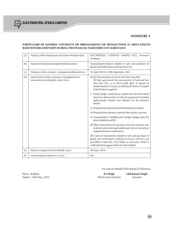## **PARTICULARS OF MATERIAL CONTRACTS OR ARRANGEMENTS OR TRANSACTIONS AT ARM'S LENGTH BASIS WITH RELATED PARTY DURING THE FINANCIAL YEAR ENDED 31ST MARCH 2015**

| (a) | Name(s) of the related party and nature of relationship:                                       | ELECTROSTEEL CASTINGS LIMITED (ECL), Promoter<br>Company.                                                                                                                                                                                        |  |
|-----|------------------------------------------------------------------------------------------------|--------------------------------------------------------------------------------------------------------------------------------------------------------------------------------------------------------------------------------------------------|--|
| (b) | Nature of contracts/arrangements/transactions:                                                 | Transactions/Contracts related to sale and purchase of<br>goods and rendering & availing of services.                                                                                                                                            |  |
| (c) | Duration of the contracts / arrangements/transactions :                                        | 1st April 2014 to 30th September 2015                                                                                                                                                                                                            |  |
| (d) | Salient terms of the contracts or arrangements or<br>transactions including the value, if any: | (a) For Procurement of Coal & Iron Ore from ECL:<br>Off take agreements for procurement of Coal and Iron<br>Ore from ECL is at fixed profit @10 % based on<br>reimbursement of costs as mentioned below in respect<br>of the Product supplied :- |  |
|     |                                                                                                | i) Fixed charge consisting of capital cost recovery factor<br>(based on depreciation of relevant equipment including<br>replacements thereof and interest) for the Contract<br>Period.                                                           |  |
|     |                                                                                                | ii) Proportionate Operation and Maintenance charges                                                                                                                                                                                              |  |
|     |                                                                                                | iii) Proportionate statutory expenses like royalty, taxes etc.                                                                                                                                                                                   |  |
|     |                                                                                                | iv) Transportation, handling and storage charges upto the<br>place of delivery of ESL.                                                                                                                                                           |  |
|     |                                                                                                | (b) Other transactions for purchase and sale of goods, raw<br>materials and receiving/rendering of services are at best<br>negotiated terms / market price.                                                                                      |  |
|     |                                                                                                | The value of transactions related to sale and purchase of<br>goods and rendering & availing of services with ECL are<br>provided in Note No. 29 of Notes to Accounts, which is<br>within the limits approved by the shareholders.                |  |
| (e) | Date(s) of approval by the Board, if any:                                                      | 5th May, 2014                                                                                                                                                                                                                                    |  |
| (f) | Amount paid as advances, if any :                                                              | Nil                                                                                                                                                                                                                                              |  |

For and on behalf of the Board of Directors

**, ELECTROSTEEL STEELS LIMITED** 

Place : Kolkata **R S Singh Lalit Kumar Singhi** Dated : 11th May, 2015 *Whole-time Director Director*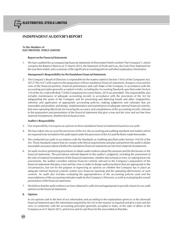## **INDEPENDENT AUDITOR'S REPORT**

## **To the Members of ELECTROSTEEL STEELS LIMITED**

#### **Report on the Financial Statements**

1. We have audited the accompanying financial statements of Electrosteel Steels Limited ("the Company"), which comprise the Balance Sheet as at 31 March 2015*,* the Statement of Profit and Loss, the Cash Flow Statement for the year then ended, and a summary of the significant accounting policies and other explanatory information.

#### **Management's Responsibility for the Standalone Financial Statements**

2. The Company's Board of Directors is responsible for the matters stated in Section 134(5) of the Companies Act, 2013 ("the Act") with respect to the preparation of these standalone financial statements, that give a true and fair view of the financial position, financial performance and cash flo**w**s of the Company in accordance with the accounting principles generally accepted in India, including the Accounting Standards specified under Section 133 of the Act, read with Rule 7 of the Companies(Accounts) Rules, 2014 (as amended). This responsibility also includes maintenance of adequate accounting records in accordance with the provisions of the Act for safeguarding the assets of the Company and for preventing and detecting frauds and other irregularities; selection and application of appropriate accounting policies; making judgments and estimates that are reasonable and prudent; and design, implementation and maintenance of adequate internal financial controls, that were operating effectively for ensuring the accuracy and completeness of the accounting records, relevant to the preparation and presentation of the financial statements that give a true and fair view and are free from material misstatement, whether due to fraud or error.

#### **Auditor's Responsibility**

- 3. Our responsibility is to express an opinion on these standalone financial statements based on our audit.
- 4. We have taken into account the provisions of the Act, the accounting and auditing standards and matters which are required to be included in the audit report under the provisions of the Act and the Rules made thereunder.
- 5. We conducted our audit in accordance with the Standards on Auditing specified under Section 143(10) of the Act. Those Standards require that we comply with ethical requirements and plan and perform the audit to obtain reasonable assurance about whether the standalone financial statements are free from material misstatement.
- 6. An audit involves performing procedures to obtain audit evidence about the amounts and the disclosures in the financial statements. The procedures selected depend on the auditor's judgment, including the assessment of the risks of material misstatement of the financial statements, whether due to fraud or error. In making those risk assessments, the auditor considers internal financial controls relevant to the Company's preparation of the financial statements that give a true and fair view in order to design audit procedures that are appropriate in the circumstances, but not for the purpose of expressing an opinion on whether the Company has in place an adequate internal financial controls system over financial reporting and the operating effectiveness of such controls. An audit also includes evaluating the appropriateness of the accounting policies used and the reasonableness of the accounting estimates made by the Company's Directors, as well as evaluating the overall presentation of the financial statements.
- 7. We believe that the audit evidence we have obtained is sufficient and appropriate to provide a basis for our audit opinion on the financial statements.

#### **8. Opinion**

In our opinion and to the best of our information and according to the explanations given to us the aforesaid financial statements give the information required by the Act in the manner so required and give a true and fair view in conformity with the accounting principles generally accepted in India, of the state of affairs of the Company as at 31 March 2015, and its loss and its cash flows for the year ended on that date.

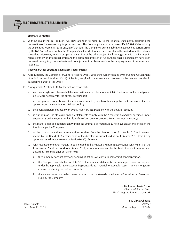#### **Emphasis of Matters**

9. Without qualifying our opinion, we draw attention to Note 40 to the financial statements, regarding the preparation of the same on a going concern basis. The Company incurred a net loss of Rs. 62,404.23 lacs during the year ended March 31, 2015 and, as of that date, the Company's current liabilities exceeded its current assets by Rs 163,669.48 lacs, further the Company's net worth has also been substantially eroded as at the balance sheet date. However, in view of operationalisation of the other project facilities together with the increase in release of the working capital limits and the committed infusion of funds, these financial statement have been prepared on a going concern basis and no adjustment has been made to the carrying value of the assets and liabilities.

#### **Report on Other Legal and Regulatory Requirements**

- 10. As required by the Companies (Auditor's Report) Order, 2015 ("the Order") issued by the Central Government of India in terms of Section 143(11) of the Act, we give in the Annexure a statement on the matters specified in paragraphs 3 and 4 of the Order.
- 11. As required by Section143(3) of the Act, we report that:
	- we have sought and obtained all the information and explanations which to the best of our knowledge and belief were necessary for the purpose of our audit;
	- b. in our opinion, proper books of account as required by law have been kept by the Company so far as it appears from our examination of those books.;
	- c. the financial statements dealt with by this report are in agreement with the books of account;
	- d. in our opinion, the aforesaid financial statements comply with the Accounting Standards specified under Section 133 of the Act, read with Rule 7 of the Companies (Accounts) Rules, 2014 (as amended);
	- e. the matter described in paragraph 9 under the Emphasis of Matters, may not have an adverse effect on the functioning of the Company.
	- f. on the basis of the written representations received from the directors as on 31 March 2015 and taken on record by the Board of Directors, none of the directors is disqualified as on 31 March 2015 from being appointed as a director in terms of Section164(2) of the Act;
	- g. with respect to the other matters to be included in the Auditor's Report in accordance with Rule 11 of the Companies (Audit and Auditors) Rules, 2014, in our opinion and to the best of our information and according to the explanations given to us:
		- i. the Company does not have any pending litigations which would impact its financial position;
		- ii. the Company, as detailed in Note 39 to the financial statements, has made provision, as required under the applicable law or accounting standards, for material foreseeable losses, if any, on long-term contracts including derivative contracts.
		- iii. there were no amounts which were required to be transferred to the Investor Education and Protection Fund by the Company.

For **B Chhawchharia & Co.** *Chartered Accountants* Firm's Registration No.: 305123E

- **S K Chhawchharia** Place : Kolkata *Partner* Membership No.:008482

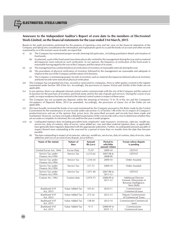

## **Annexure to the Independent Auditor's Report of even date to the members of Electrosteel Steels Limited**, **on the financial statements for the year ended 31st March, 2015**

Based on the audit procedures performed for the purpose of reporting a true and fair view on the financial statements of the Company and taking into consideration the information and explanations given to us and the books of account and other records examined by us in the normal course of audit, we report that

- (i) (a) The Company has maintained proper records showing full particulars, including quantitative details and situation of fixed assets.
	- (b) As planned, a part of the fixed assets have been physically verified by the management during the year and no material discrepancies were noticed on such verification. In our opinion, the frequency of verification of the fixed assets is reasonable having regard to the size of the Company and the nature of its assets.
- (ii) (a) The management has conducted physical verification of inventory at reasonable intervals during the year.
	- (b) The procedures of physical verification of inventory followed by the management are reasonable and adequate in relation to the size of the Company and the nature of its business.
	- (c) The Company is maintaining proper records of inventory and no material discrepancies between physical inventory and book records were noticed on physical verification.
- (iii) The Company has not granted any loan, secured or unsecured to companies, firms or other parties covered in the register maintained under Section 189 of the Act. Accordingly, the provisions of clauses 3(iii)(a) and 3(iii)(b) of the Order are not applicable.
- (iv) In our opinion, there is an adequate internal control system commensurate with the size of the Company and the nature of its business for the purchase of inventory and fixed assets and for the sale of goods and services. During the course of our audit, no major weakness has been noticed in the internal control system in respect of these areas.
- (v) The Company has not accepted any deposits within the meaning of Sections 73 to 76 of the Act and the Companies (Acceptance of Deposits) Rules, 2014 (as amended). Accordingly, the provisions of clause 3(v) of the Order are not applicable.
- (vi) We have broadly reviewed the books of account maintained by the Company pursuant to the Rules made by the Central Government for the maintenance of cost records under sub-section (1) of Section 148 of the Act in respect of Company's products/services and are of the opinion that, *prima facie*, the prescribed accounts and records have been made and maintained. However, we have not made a detailed examination of the cost records with a view to determine whether they are accurate or complete.As informed, the cost audit for the year is under progress.
- (vii) (a) Undisputed statutory dues including provident fund, employees' state insurance, income-tax, sales-tax, wealth tax, service tax, duty of customs, duty of excise, value added tax, cess and other material statutory dues, as applicable, have generally been regularly deposited with the appropriate authorities. Further, no undisputed amounts payable in respect thereof were outstanding at the year-end for a period of more than six months from the date they became payable.
	- (b) The dues outstanding in respect of income-tax, sales-tax, wealth tax, service tax, duty of customs, duty of excise, value added tax and cess on account of any dispute, are as follows:

| Name of the statute                    | Nature of<br>dues | Amount<br>(Rs.Lacs) | Period to<br>whichthe<br>amount relates | Forum where dispute<br>is pending                                                           |
|----------------------------------------|-------------------|---------------------|-----------------------------------------|---------------------------------------------------------------------------------------------|
| Central Excise Act, 1944               | Excise Duty       | 75.97               | 2009-10                                 | <b>CESTAT</b>                                                                               |
| Service Tax under<br>Finance Act, 1994 | Service Tax       | 2,215.62            | 2007-08 &<br>2008-09                    | <b>CESTAT</b>                                                                               |
| Service Tax under<br>Finance Act, 1994 | Service Tax       | 1,510.34            | 2009-10                                 | Order Awaited.                                                                              |
| Service Tax under<br>Finance Act, 1994 | Service Tax       | 317.72              | 2009-10                                 | Order Awaited.                                                                              |
| Service Tax under<br>Finance Act, 1994 | Service Tax       | 1,071.40            | 2007-08 to<br>2011-12                   | <b>CESTAT</b>                                                                               |
| Custom Act, 1962                       | Custom duty       | 5,974.73            | 2008-09 to<br>2011-12                   | <b>Additional Director</b><br>General, Directorate of<br>Revenue Intelligence,<br>New Delhi |
| Jharkhand VAT<br>Act, 2015             | Value Added Tax   | 101.61              | 2010-11                                 | Commissioner<br>Commercial taxes                                                            |
| Iharkhand VAT<br>Act, 2015             | Value Added Tax   | 273.16              | 2012-13                                 | Deputy Commissioner<br>of Commercial Taxes                                                  |
| Iharkhand VAT<br>Act, 2015             | Value Added Tax   | 138.94              | 2013-14                                 | <b>Commissioner Commercial</b><br>taxes                                                     |
| <b>Iharkhand VAT</b><br>Act, 2015      | Value Added Tax   | 9.11                | 2008-09 to<br>2010 11                   | Commissioner<br>Commercial taxes                                                            |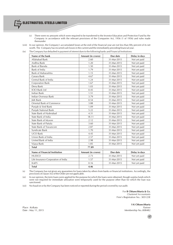- (c) There were no amounts which were required to be transferred to the Investor Education and Protection Fund by the Company in accordance with the relevant provisions of the Companies Act, 1956 (1 of 1956) and rules made thereunder
- (viii) In our opinion, the Company's accumulated losses at the end of the financial year are not less than fifty percent of its net worth. The Company has incurred cash losses in the current and the immediately preceding financial year.
- (ix) The Company has defaulted in payment of interest dues to the following banks and Financial Institutions:

| Name of the bank                     | Amount (in crores) | Due date    | Delay in days |
|--------------------------------------|--------------------|-------------|---------------|
| Allahabad Bank                       | 2.60               | 31-Mar-2015 | Not yet paid  |
| Andhra Bank                          | 1.20               | 31-Mar-2015 | Not yet paid  |
| Bank of Baroda                       | 1.50               | 31-Mar-2015 | Not yet paid  |
| Bank of India                        | 1.79               | 31-Mar-2015 | Not yet paid  |
| Bank of Maharashtra                  | 1.15               | 31-Mar-2015 | Not yet paid  |
| Canara Bank                          | 4.67               | 31-Mar-2015 | Not yet paid  |
| Central Bank of India                | 1.24               | 31-Mar-2015 | Not yet paid  |
| Corporation Bank                     | 1.67               | 31-Mar-2015 | Not yet paid  |
| Dena Bank                            | 1.03               | 31-Mar-2015 | Not yet paid  |
| <b>ICICI Bank Ltd</b>                | 0.45               | 31-Mar-2015 | Not yet paid  |
| <b>Indian Bank</b>                   | 1.51               | 31-Mar-2015 | Not yet paid  |
| Indian Overseas Bank                 | 3.79               | 31-Mar-2015 | Not yet paid  |
| <b>I&amp;K Bank</b>                  | 0.54               | 31-Mar-2015 | Not yet paid  |
| <b>Oriental Bank of Commerce</b>     | 3.88               | 31-Mar-2015 | Not yet paid  |
| Punjab & Sind Bank                   | 1.09               | 31-Mar-2015 | Not yet paid  |
| Punjab National Bank                 | 5.22               | 31-Mar-2015 | Not yet paid  |
| State Bank of Hyderabad              | 4.31               | 31-Mar-2015 | Not yet paid  |
| State Bank of India                  | 18.11              | 31-Mar-2015 | Not yet paid  |
| State Bank of Mysore                 | 2.12               | 31-Mar-2015 | Not yet paid  |
| State Bank of Patiala                | 3.60               | 31-Mar-2015 | Not yet paid  |
| State Bank of Travancore             | 2.87               | 31-Mar-2015 | Not yet paid  |
| Syndicate Bank                       | 1.70               | 31-Mar-2015 | Not yet paid  |
| <b>UCO Bank</b>                      | 4.45               | 31-Mar-2015 | Not yet paid  |
| Union Bank of India                  | 2.57               | 31-Mar-2015 | Not yet paid  |
| United Bank of India                 | 2.98               | 31-Mar-2015 | Not yet paid  |
| Vijaya Bank                          | 1.85               | 31-Mar-2015 | Not yet paid  |
| <b>Total</b>                         | 77.89              |             |               |
| <b>Name of Financial Institution</b> | Amount (in crores) | Due date    | Delay in days |
| <b>HUDCO</b>                         | 2.73               | 31-Mar-2015 | Not yet paid  |
| Life Insurance Corporation of India  | 1.57               | 31-Mar-2015 | Not yet paid  |
| IL&FS                                | 0.16               | 31-Mar-2015 | Not yet paid  |
| <b>Total</b>                         | 4.46               |             |               |

(x) The Company has not given any guarantees for loans taken by others from banks or financial institutions. Accordingly, the provisions of clause  $3(x)$  of the Order are not applicable.

(xi) In our opinion, the term loans were applied for the purpose for which the loans were obtained, though surplus funds which were not required for immediate utilization were temporarily used for the purpose other than for which the loan was sanctioned.

(xii) No fraud on or by the Company has been noticed or reported during the period covered by our audit.

For **B Chhawchharia & Co.** *Chartered Accountants* Firm's Registration No.: 305123E

**S K Chhawchharia** Place : Kolkata *Partner* Date : May 11, 2015 Membership No.:008482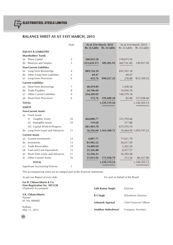## **BALANCE SHEET AS AT 31ST MARCH, 2015**

|                                               | Note           | As at 31st March, 2015       | As at 31st March, 2014       |
|-----------------------------------------------|----------------|------------------------------|------------------------------|
|                                               |                | Rs. in Lakhs<br>Rs. in Lakhs | Rs. in Lakhs<br>Rs. in Lakhs |
| <b>EQUITY &amp; LIABILITIES</b>               |                |                              |                              |
| <b>Shareholders' Funds</b>                    |                |                              |                              |
| Share Capital<br>(a)                          | $\overline{2}$ | 240,923.50                   | 218,673.50                   |
| Reserves and Surplus<br>(b)                   | 3              | 109,283.93<br>(131, 639.57)  | (68, 716.30)<br>149,957.20   |
| <b>Non-Current Liabilities</b>                |                |                              |                              |
| Long-Term Borrowings<br>(a)                   | 4              | 889,724.10                   | 832,761.18                   |
| Other Long-Term Liabilities<br>(b)            | 5              | 69.47                        | 69.47                        |
| Long-Term Provisions<br>(c)                   | 6              | 433.76<br>890,227.33         | 278.88<br>833,109.53         |
| <b>Current Liabilities</b>                    |                |                              |                              |
| Short-Term Borrowings<br>(a)                  | 7              | 60,419.89                    | 1,458.58                     |
| <b>Trade Payables</b><br>(b)                  | 8              | 24,706.60                    | 14,926.76                    |
| <b>Other Current Liabilities</b><br>(c)       | 9              | 254,309.03                   | 140,570.18                   |
| <b>Short-Term Provisions</b><br>(d)           | 6              | 172.76<br>339,608.28         | 82.88<br>157,038.40          |
| <b>TOTAL</b>                                  |                | 1,339,119.54                 | 1,140,105.13                 |
| <b>ASSETS</b>                                 |                |                              |                              |
| <b>Non-Current Assets</b>                     |                |                              |                              |
| <b>Fixed Assets</b><br>(a)                    |                |                              |                              |
| <b>Tangible Assets</b><br>(i)                 | 10             | 464,800.77                   | 372,793.66                   |
| Intangible Assets<br>(ii)                     | 10             | 119.68                       | 517.88                       |
| (iii) Capital Work-In-Progress                |                | 681,903.70                   | 675,970.70                   |
| Long-Term Loans and Advances<br>(b)           | 11             | 16,356.60 1,163,180.75       | 10,464.99 1,059,747.23       |
| <b>Current Assets</b>                         |                |                              |                              |
| <b>Current Investments</b><br>(a)             | 12             | 4,007.77                     | 17,621.70                    |
| Inventories<br>(b)                            | 13             | 81,902.32                    | 36,617.49                    |
| <b>Trade Receivables</b><br>$\left( c\right)$ | 14             | 14,489.69                    | 2,202.20                     |
| Cash and Cash Equivalents<br>(d)              | 15             | 25,326.88                    | 6,917.57                     |
| Short-Term Loans and Advances<br>(e)          | 11             | 12,396.21                    | 16,785.68                    |
| Other Current Assets<br>(f)                   | 16             | 37,815.92<br>175,938.79      | 213.26<br>80,357.90          |
| <b>TOTAL</b>                                  |                | 1,339,119.54                 | 1,140,105.13                 |
| <b>Significant Accounting Policies</b>        | 1              |                              |                              |

The accompanying notes are an integral part of the financial statements.

As per our Report of even date For and on behalf of the Board

**For B. Chhawchharia & Co. Firm Registration No. 305123E** Chartered Accountants

**S.K. Chhawchharia** Partner M. No. 008482

Kolkata May 11, 2015

| Lalit Kumar Singhi | Director                  |
|--------------------|---------------------------|
| R S Singh          | <b>Wholetime Director</b> |
| Ashutosh Agarwal   | Chief Financial Officer   |
| Anubhav Maheshwari | Company Secretary         |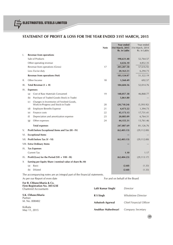## **STATEMENT OF PROFIT & LOSS FOR THE YEAR ENDED 31ST MARCH, 2015**

|      |     |                                                                                  | <b>Note</b> | <b>Year ended</b><br>31st March, 2015 | Year ended<br>31st March, 2014 |
|------|-----|----------------------------------------------------------------------------------|-------------|---------------------------------------|--------------------------------|
|      |     |                                                                                  |             | Rs. in Lakhs                          | Rs. in Lakhs                   |
| Ι.   |     | <b>Revenue from operations</b>                                                   |             |                                       |                                |
|      |     | Sale of Products                                                                 |             | 198,631.48                            | 52,764.57                      |
|      |     | Other operating revenue                                                          |             | 4,656.10                              | 4,852.35                       |
|      |     | Revenue from operations (Gross)                                                  | 17          | 203, 287.58                           | 57,616.92                      |
|      |     | Less: Excise duty                                                                |             | 20,163.51                             | 6,294.73                       |
|      |     | Revenue from operations (Net)                                                    |             | 183,124.07                            | 51,322.19                      |
| Ш.   |     | Other Income                                                                     | 18          | 1,560.49                              | 692.57                         |
| III. |     | Total Revenue $(I + II)$                                                         |             | 184,684.56                            | 52,014.76                      |
| IV.  |     | <b>Expenses:</b>                                                                 |             |                                       |                                |
|      | (a) | Cost of Raw Materials Consumed                                                   | 19          | 148,057.38                            | 46,868.77                      |
|      | (b) | Purchase of Traded Goods (Stock in Trade)                                        |             | 5,861.80                              |                                |
|      | (c) | Changes in Inventories of Finished Goods,<br>Work-in-Progress and Stock-in-Trade | 20          | (20, 718.24)                          | (5,393.92)                     |
|      | (d) | <b>Employee Benefits Expense</b>                                                 | 21          | 4,473.22                              | 1,394.73                       |
|      | (e) | Finance costs                                                                    | 22          | 45,173.13                             | 17,731.41                      |
|      | (f) | Depreciation and amortization expense                                            | 23          | 20,085.09                             | 6,764.31                       |
|      | (g) | Other expenses                                                                   | 24          | 44,155.31                             | 13,761.46                      |
|      |     | <b>Total expenses</b>                                                            |             | 247,087.69                            | 81,126.76                      |
| V.   |     | Profit before Exceptional Items and Tax (III - IV)                               |             | (62, 403.13)                          | (29, 112.00)                   |
| VI.  |     | <b>Exceptional Items</b>                                                         |             |                                       |                                |
|      |     | VII. Profit before Tax (V - VI)                                                  |             | (62, 403.13)                          | (29, 112.00)                   |
|      |     | VIII. Extra Ordinary Items                                                       |             |                                       |                                |
| IX.  |     | <b>Tax Expenses</b>                                                              |             |                                       |                                |
|      |     | <b>Current Tax</b>                                                               |             | 1.10                                  | 1.17                           |
| IX.  |     | Profit/(Loss) for the Period (VII + VIII - IX)                                   |             | (62, 404.23)                          | (29, 113.17)                   |
| X    |     | Earning per Equity Share (nominal value of share Rs.10)                          |             |                                       |                                |
|      | (a) | <b>Basic</b>                                                                     |             | (2.68)                                | (1.33)                         |
|      | (b) | Diluted                                                                          |             | (2.68)                                | (1.33)                         |
|      |     |                                                                                  |             |                                       |                                |

The accompanying notes are an integral part of the financial statements. As per our Report of even date For and on behalf of the Board

**For B. Chhawchharia & Co. Firm Registration No. 305123E** Chartered Accountants **S.K. Chhawchharia** Partner M. No. 008482 Kolkata May 11, 2015 **Lalit Kumar Singhi** *Director* **R S Singh** *Wholetime Director* **Ashutosh Agarwal** *Chief Financial Officer* **Anubhav Maheshwari** *Company Secretary*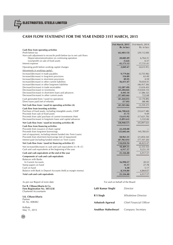## **CASH FLOW STATEMENT FOR THE YEAR ENDED 31ST MARCH, 2015**

|                                                                      | 31st March, 2015 | 31st March, 2014      |
|----------------------------------------------------------------------|------------------|-----------------------|
|                                                                      | Rs. in lacs      | Rs. in lacs           |
| Cash flow from operating activities                                  |                  |                       |
| Profit before tax                                                    | (62, 403.13)     | (29, 112.00)          |
| Non-cash adjustment to reconcile profit before tax to net cash flows |                  |                       |
| Depreciation/amortization on continuing operation                    | 20,085.09        | 6,764.31              |
| Loss/(profit) on sale of fixed assets                                | (5.62)           | 0.37                  |
| Interest expense                                                     | 45, 173. 13      | 17,731.41             |
| Operating profit before working capital changes                      | 2,849.47         | (4,615.91)            |
| Movements in working capital:                                        |                  |                       |
| Increase/(decrease) in trade payables                                | 9,779.84         | (5,755.96)            |
| Increase/(decrease) in long-term provisions                          | 154.89           | 63.49                 |
| Increase/(decrease) in short-term provisions                         | 89.95            | 4.59                  |
| Increase/(decrease) in other current liabilities                     | 36,411.47        | 70,054.41             |
| Increase/(decrease) in other long-term liabilities                   |                  | (46, 417.30)          |
| Decrease/(increase) in trade receivables                             | (12, 287.49)     | (1,616.43)            |
| Decrease/(increase) in inventories                                   | (45, 284.82)     | (14, 024.13)          |
| Decrease/(increase) in short-term loans and advances                 | 4,445.34         | (1,586.32)            |
| Decrease/(increase) in other current assets                          | (37,602.66)      | 722.68                |
| Cash generated from / (used in) operations                           | (41, 444.01)     | (3, 170.89)           |
| Direct taxes paid (net of refunds)                                   | (57.05)          | (88.48)               |
| Net Cash flow from / (used in) operating activities (A)              | (41,501.06)      | (3, 259.37)           |
| Cash flow from investing activities                                  |                  |                       |
| Purchase of fixed assets, including intangible assets, CWIP          | (66,700.63)      | (33,617.48)           |
| Proceeds from sale of fixed assets                                   | 37.75            | 9.49                  |
| Proceeds from sale/ purchase of current investments (Net)            | 13,613.92        | (17,621.70)           |
| Decrease/(increase) in long-term loans and capital advances          | (5,891.61)       | 5,332.06              |
| Net Cash flow from / (used in) investing activities (B)              | (58, 940.57)     | (45,897.63)<br>______ |
| Cash flow from financing activities                                  |                  |                       |
| Proceeds from issuance of share capital                              | 22,250.00        |                       |
| Proceeds from long-term borrowings                                   | 125,602.64       | 145,785.01            |
| (net of repayment, including interest funded into Term Loans)        |                  |                       |
| Proceeds from short-term borrowings (net of repayment)               | 58,961.31        | (21, 854.34)          |
| Interest paid (including funded interest on Term Loans)              | (87,963.01)      | (77, 107.20)          |
| Net Cash flow from / (used in) financing activities $(C)$            | 118,850.94       | 46,823.47             |
| Net increase/(decrease) in cash and cash equivalents $(A + B + C)$   | 18,409.31        | (2,333.53)            |
| Cash and cash equivalents at the beginning of the year               | 6,917.57         | 9,251.10              |
| Cash and cash equivalents at the end of the year                     | 25,326.88        | 6,917.57              |
| Components of cash and cash equivalents                              |                  |                       |
| <b>Balances with Banks</b>                                           |                  |                       |
| In Current Accounts                                                  | 16,990.57        | 20.55                 |
| Stamp papers on hand                                                 | 15.17            | 27.78                 |
| Cash on hand                                                         | 6.30             | 5.17                  |
| Balance with Bank in Deposit Accounts (held as margin money)         | 8,314.84         | 6,864.07              |
| Total cash and cash equivalents                                      | 25,326.88        | 6,917.57              |
|                                                                      |                  |                       |
|                                                                      |                  |                       |

As per our Report of even date For and on behalf of the Board

**For B. Chhawchharia & Co. Firm Registration No. 305123E** Chartered Accountants

**S.K. Chhawchharia** Partner M. No. 008482

Kolkata May 11, 2015

| Lalit Kumar Singhi | Director                |
|--------------------|-------------------------|
| R S Singh          | Wholetime Director      |
| Ashutosh Agarwal   | Chief Financial Officer |
| Anubhav Maheshwari | Company Secretary       |

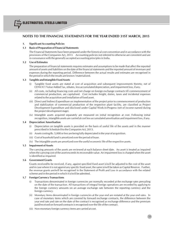## **1. Significant Accounting Policies**

## **1.1 Basis of Preparation of Financial Statements**

The Financial Statements have been prepared under the historical cost convention and in accordance with the provisions of the Companies Act, 2013. Accounting policies not referred to otherwise are consistent and are in consonance with the generally accepted accounting principles in India.

## **1.2 Use of Estimates**

The preparation of financial statements requires estimates and assumptions to be made that affect the reported amount of assets and liabilities on the date of the financial statements and the reported amount of revenues and expenses during the reporting period. Difference between the actual results and estimates are recognised in the period in which the results are known / materialized.

#### **1.3 Tangible and Intangible Fixed Assets**

- Tangible fixed assets are stated at cost of acquisition and subsequent improvements thereto; net of CENVAT / Value Added Tax, rebates, less accumulated depreciation, and impairment loss, if any.
- (ii) All costs, including financing costs and net charge on foreign exchange contracts till commencement of commercial production, are capitalised. Cost includes freight, duties, taxes and incidental expenses related to the acquisition and installation of fixed asset.
- (iii) Direct and Indirect Expenditure on implementation of the project prior to commencement of production and stabilization of commercial production of the respective plant facility, are classified as Project Development Expenditure and disclosed under Capital Work-in-Progress (net of income earned during the project development stage).
- (iv) Intangible assets acquired separately are measured on initial recognition at cost. Following initial recognition, intangible assets are carried at cost less accumulated amortisation and impairment loss, if any.

#### **1.4 Depreciation/ Amortisation**

- (i) Depreciation on tangible assets is provided on the basis of useful life of the assets and in the manner prescribed in Schedule II to the Companies Act, 2013.
- (ii) Assets costing Rs. 5,000 or less are being fully depreciated in the year of acquisition.
- (iii) Cost of leasehold land is amortized over the period of lease.
- (iv) The intangible assets are amortized over the useful economic life of the respective assets.

#### **1.5 Impairment of Assets**

The carrying amounts of the assets are reviewed at each balance sheet date. An asset is treated as impaired when the carrying cost of the asset exceeds its recoverable value. An impairment loss is charged when the asset is identified as impaired.

#### **1.6 Government Grants**

Grants received/to be received, if any, against specified fixed asset is/will be adjusted to the cost of the asset and in case where it is not against any specific fixed asset, the same is/will be taken as Capital Reserve. Further, the revenue grants are/will be recognised in the Statement of Profit and Loss in accordance with the related scheme and in the period in which it is/will be admitted.

#### **1.7 Foreign Currency Transactions**

- (i) Transactions denominated in foreign currencies are normally recorded at the exchange rates prevailing on the date of the transaction. All transactions of integral foreign operations are recorded by applying to the foreign currency amounts on an average exchange rate between the reporting currency and the foreign currency.
- (ii) Monetary items denominated in foreign currencies at the year end are restated at the year end rates. In case of monetary items which are covered by forward exchange contracts, the difference between the year end rate and rate on the date of the contract is recognised as exchange difference and the premium paid/received on forward contracts is recognised over the life of the contract.
- (iii) Non-monetary foreign currency items are carried at cost.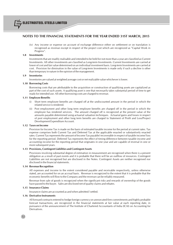(iv) Any income or expense on account of exchange difference either on settlement or on translation is recognised as revenue except in respect of the project cost which are recognized as "Capital Work in Progress".

## **1.8 Investments**

Investments that are readily realisable and intended to be held for not more than a year are classified as Current Investments. All other investments are classified as Long-term Investments. Current Investments are carried at lower of cost and fair value determined on an individual investment basis. Long-term Investments are carried at cost. Provision for diminution in the value of Long-term Investments is made only if such a decline is other than temporary in nature in the opinion of the management.

## **1.9 Inventories**

Inventories are valued at weighted average cost or net realizable value whichever is lower.

## **1.10 Borrowing Costs**

Borrowing costs that are attributable to the acquisition or construction of qualifying assets are capitalized as part of the cost of such assets. A qualifying asset is one that necessarily takes substantial period of time to get ready for intended use. All other borrowing costs are charged to revenue.

## **1.11 Employee Benefits**

- (i) Short term employee benefits are charged off at the undiscounted amount in the period in which the related service is rendered.
- (ii) Post employment and other long term employee benefits are charged off in the period in which the employee has rendered services. The amount charged off is recognized at the present value of the amounts payable determined using actuarial valuation techniques. Actuarial gains and losses in respect of post employment and other long term benefits are charged to Statement of Profit and Loss/Project Development Expenditure Account.

## **1.12 Taxes on Income**

Provision for Income Tax is made on the basis of estimated taxable income for the period at current rates. Tax expense comprises both Current Tax and Deferred Tax at the applicable enacted or substantively enacted rates. Current Tax represents the amount of Income Tax payable/ recoverable in respect of taxable income/ loss for the reporting period. Deferred Tax represents the effect of timing difference between taxable income and accounting income for the reporting period that originates in one year and are capable of reversal in one or more subsequent years.

## **1.13 Provisions, Contingent Liabilities and Contingent Assets**

Provisions involving substantial degree of estimation in measurement are recognised when there is a present obligation as a result of past events and it is probable that there will be an outflow of resources. Contingent Liabilities are not recognised but are disclosed in the Notes. Contingent Assets are neither recognised nor disclosed in the financial statements.

#### **1.14 Revenue Recognition**

All expenses and income to the extent considered payable and receivable respectively, unless otherwise stated, are accounted for on an accrual basis. Revenue is recognized to the extent that it is probable that the economic benefits will flow to the Company and the revenue can be reliably measured.

Revenue from sale of goods is recognized when the significant risks and rewards of ownership of the goods have passed to the buyer. Sales are disclosed net of quality claims and rebates.

## **1.15 Insurance Claims**

Insurance claims are accounted as and when admitted / settled.

#### **1.16 Derivative Instruments**

All forward contracts entered to hedge foreign currency on unexecuted firm commitments and highly probable forecast transactions, are recognized in the financial statements at fair value at each reporting date, in pursuance of the announcement of The Institute of Chartered Accountants of India (ICAI) on Accounting for Derivatives.

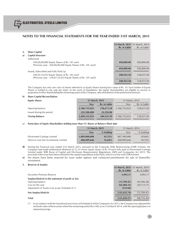|    |                                                                                                                | 31 March, 2015 31 March, 2014<br>Rs. in Lakhs | Rs. in Lakhs |
|----|----------------------------------------------------------------------------------------------------------------|-----------------------------------------------|--------------|
| 2. | <b>Share Capital</b>                                                                                           |                                               |              |
| a) | <b>Capital Structure</b>                                                                                       |                                               |              |
|    | Authorised                                                                                                     |                                               |              |
|    | 450,00,00,000 Equity Shares of Rs. 10/- each<br>(Previous year - 450,00,00,000 Equity Shares of Rs. 10/- each) | 450,000.00                                    | 450,000.00   |
|    |                                                                                                                | 450,000.00                                    | 450,000.00   |
|    | Issued, Subscribed and Fully Paid Up                                                                           |                                               |              |
|    | 240,92,35,023 Equity Shares of Rs. 10/- each<br>(Previous year - 218,67,35,023 Equity Shares of Rs. 10/- each) | 240,923.50                                    | 218,673.50   |
|    |                                                                                                                | 240,923.50                                    | 218,673.50   |

The Company has only one class of shares referred to as Equity Shares having face value of Rs. 10. Each holder of Equity Shares is entiled to one vote per share. In the event of liquidation, the equity sharesholders are eligible to receive in proportion to their shareholding the remaining assets of the Company, after distribution of the preferential amount.

#### **b) Share Capital Reconciliation**

| <b>Equity Shares</b>     | 31 March, 2015       |            | 31 March, 2014 |              |  |
|--------------------------|----------------------|------------|----------------|--------------|--|
|                          | Rs. in Lakhs<br>Nos. |            | Nos.           | Rs. in Lakhs |  |
| Opening balance          | 2,186,735,023        | 218,673.50 | 2,186,735,023  | 218,673.50   |  |
| Issued during the period | 222,500,000          | 22,250.00  |                |              |  |
| <b>Closing Balance</b>   | 2,409,235,023        | 240,923.50 | 2,186,735,023  | 218,673.50   |  |

#### **c) Particulars of Equity Shareholders holding more than 5% Shares at Balance Sheet date**

|                                       | 31 March, 2015 |             | 31 March, 2014 |           |  |
|---------------------------------------|----------------|-------------|----------------|-----------|--|
|                                       | Nos.           | $%$ holding | Nos.           | % holding |  |
| Electrosteel Castings Limited         | 1,089,800,000  | 45.23%      | 867.300.000    | 39.66%    |  |
| Stemcor Cast Iron Investments Limited | 400,909,646    | $16.64\%$   | 400.909.646    | $18.33\%$ |  |

**d)** During the Financial year ended 31st March 2015, pursuant to the Corporate Debt Restructuring (CDR) Scheme, the Company had made preferential allotment of 22.25 crores equity shares of Rs 10 each fully paid to Electrosteel Castings Limited under SEBI (Issue of Capital and Disclosure Requirements) Regulations 2009 and Companies Act 2013. The proceeds of the issue have been utilised for the capital expenditure at the Plant, which is in line with CDR Scheme.

**e)** No shares have been reserved for issue under options and contracts/commitments for sale of shares/disinvestment.

#### **3. Reserves & Surplus**

|                                                      |                | 31 March, 2015 31 March, 2014 |
|------------------------------------------------------|----------------|-------------------------------|
|                                                      | Rs. in Lakhs   | Rs. in Lakhs                  |
| Securities Premium Reserve                           | 3,993.17       | 3,993.17                      |
| Surplus/(Deficit) in the statement of profit or loss |                |                               |
| Opening balance                                      | (72,709.47)    | (43, 596, 30)                 |
| Loss for the year                                    | (62, 404.23)   | (29, 113, 17)                 |
| Adjustment of Assets Cost as per Schedule II (*)     | (519.04)       |                               |
| Net Surplus/(Deficit)                                | (135, 632, 74) | (72, 709.47)                  |
| <b>Total</b>                                         | (131, 639.57)  | (68, 716.30)                  |

(\*) In accordance with the transitional provisions of Schedule II of the Companies Act 2013, the Company has adjusted the net book value of those assets where the remaining useful life is NIL as on 31st March 2014, with the opening balance of retained earnings.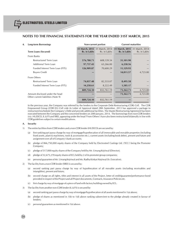## **4. Long-term Borrowings Non-current portion Current maturities**

|                                    |              | 31 March, 2015 31 March, 2014 | 31 March, 2015 31 March, 2014 |              |
|------------------------------------|--------------|-------------------------------|-------------------------------|--------------|
| <b>Term Loans (Secured)</b>        | Rs. in Lakhs | Rs. in Lakhs                  | Rs. in Lakhs                  | Rs. in Lakhs |
| From Banks                         |              |                               |                               |              |
| Restructured Term Loan             | 576,780.71   | 608,139.34                    | 31,101.90                     |              |
| Additional Term Loan               | 97,737.43    | 63,266.00                     | 6,238.56                      |              |
| Funded Interest Term Loan (FITL)   | 126,909.87   | 70,600.29                     | 11,129.93                     |              |
| <b>Buyers Credit</b>               |              |                               | 14,811.57                     | 4,723.00     |
| From Others                        |              |                               |                               |              |
| Restructured Term Loan             | 74,037.48    | 82,533.07                     | 8,495.58                      |              |
| Funded Interest Term Loan (FITL)   | 14,258.61    | 8,222.49                      | 1,585.17                      |              |
|                                    | 889,724.10   | 832,761.19                    | 73,362.71                     | 4,723.00     |
| Amount disclosed under the head    |              |                               | 73,362.71                     | 4,723.00     |
| Other current liabilities (Note 9) | 889,724.10   | 832,761.19                    |                               |              |

In the previous year, the Company was referred by the lenders to the Corporate Debt Restructuring (CDR) Cell. The CDR Empowered Group (CDR EG) Cell vide its Letter of Approval dated 28th September, 2013 has approved a package to restructure/reschedule the Company's Debt and provide additional facilities. The Master Restructuring Agreement has been executed between the Company and the concerned lenders on 20th January, 2014. The borrowings from non-CDR lenders (viz. HUDCO, IL & FS and SREI, appearing under the head 'From Others') have also been restructured bilaterally in line with CDR guidelines subject to certain modifications.

#### **A. Security**

- 1) The entire facilities from CDR lenders and a non-CDR lender (HUDCO) are secured by:
	- (a) first ranking pari passu charge by way of mortgage/hypothecation of all immovable and movable properties (including fixed assets, plant & machinery, tools & accessories etc.), current assets (including book debts), present and future and assignment over all of Company's bank accounts;
	- (b) pledge of 866,750,000 equity shares of the Company held by Electrosteel Castings Ltd. ('ECL') being the Promoter Company;
	- (c) pledge of 517,000 equity shares of the Company held by Mr. Umang Kejriwal (Director);
	- (d) pledge of  $32.675.270$  equity shares of ECL held by 2 of its promoter group companies:
	- (e) personal guarantee of Mr. Umang Kejriwal and Ms. Radha Kinkari Kejriwal (Sr. Executive).
- 2) The facility from a non-CDR lender (SREI) is secured by:
	- (a) second ranking pari passu charge by way of hypothecation of all movable assets (including receivables and intangibles), present and future;
	- (b) second charge on all rights, titles and interest in all assets of the Project, letter of credit/guarantee/performance bond provided in respect of the Project and all Project documents, Contracts, Insurance Policies etc.
	- (c) first charge by way of mortgage of a piece of land with factory building owned by ECL.
- 3) The facility from another non-CDR lender (IL & FS) is secured by
	- (a) second ranking pari passu charge by way of mortgage/hypothecation of all assets mentioned in 1(a) above;
	- (b) pledge of shares as mentioned in 1(b) to 1(d) above ranking subservient to the pledge already created in favour of lenders;
	- (c) personal guarantees as mentioned in 1(e) above.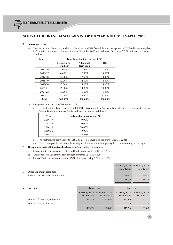#### **B. Repayment terms**

a) The Restructured Term Loan, Additional Term Loan and FITL from all lenders (except a non-CDR lender) are repayable in 29 quarterly instalments commencing from December 2015 and ending on December 2022 in a stepped up manner as follows:

| Year    | Term Loan due for repayment (%)                                                  |          |             |  |  |  |  |
|---------|----------------------------------------------------------------------------------|----------|-------------|--|--|--|--|
|         | <b>Additional</b><br><b>Restructured</b><br><b>Term Loan</b><br><b>Term Loan</b> |          | <b>FITL</b> |  |  |  |  |
| 2015-16 | $5.00\%$                                                                         | $6.00\%$ | $8.00\%$    |  |  |  |  |
| 2016-17 | 8.00%                                                                            | 12.50%   | 13.00%      |  |  |  |  |
| 2017-18 | 12.00%                                                                           | 12.50%   | 13.00%      |  |  |  |  |
| 2018-19 | 12.00%                                                                           | 12.50%   | 14.00%      |  |  |  |  |
| 2019-20 | 15.00%                                                                           | 14.00%   | 14.00%      |  |  |  |  |
| 2020-21 | 16.00%                                                                           | 14.00%   | 14.00%      |  |  |  |  |
| 2021-22 | 17.00%                                                                           | 15.00%   | 15.00%      |  |  |  |  |
| 2022-23 | 15.00%<br>13.50%                                                                 |          | $9.00\%$    |  |  |  |  |
| Total   | 100.00%                                                                          | 100.00%  | 100.00%     |  |  |  |  |

#### b) Repayment terms of a non-CDR lender (SREI):

i) The Restructured Term Loan (Rs. 35,000.00 lacs) is repayable in 16 quarterly instalments commencing from April 2016 and ending on January 2020 in a stepped up manner as follows:

| Year    | Term Loan due for repayment (%) |
|---------|---------------------------------|
| 2016-17 | $10.00\%$                       |
| 2017-18 | 20.00%                          |
| 2018-19 | 30.00%                          |
| 2019-20 | 40.00%                          |
| Total   | 100.00%                         |

ii) The Restructured Term Loan (Rs. 7,186.00 lacs) is repayable on or before 15th March 2016.

iii) The FITL is repayable in 19 equal quarterly instalments commencing from July 2015 and ending on January 2020.

### **C. The applicable rate of interest on the above term loans during the year are -**

- a) Restructured Term Loan and FITL from all lenders carries interest @ 10.75% p.a.
- b) Additional Term Loan from all lenders carries interest @ 11.00% p.a.
- c) Buyers' Credit carries interest rate at LIBOR plus spread being 0.50% to 1.50%.

| 5. | <b>Other Long-term Liabilities</b><br>Security Deposit/ EMD from Vendors |                        |                                                         | 31 March, 2015 31 March, 2014<br>Rs. in Lakhs<br>69.47<br>69.47 | Rs. in Lakhs<br>69.47<br>69.47 |
|----|--------------------------------------------------------------------------|------------------------|---------------------------------------------------------|-----------------------------------------------------------------|--------------------------------|
| 6. | <b>Provisions</b>                                                        |                        | Long-term                                               | Short-term                                                      |                                |
|    | Provision for employee benefits                                          | Rs. in Lakhs<br>433.76 | 31 March, 2015 31 March, 2014<br>Rs. in Lakhs<br>278.88 | 31 March, 2015 31 March, 2014<br>Rs. in Lakhs<br>171.66         | Rs. in Lakhs<br>81.71          |

**433.76** 278.88 **172.76** 82.88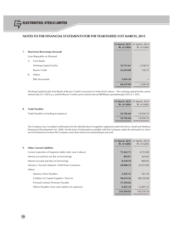|    |    |                                        | 31 March, 2015 31 March, 2014<br>Rs. in Lakhs | Rs. in Lakhs |
|----|----|----------------------------------------|-----------------------------------------------|--------------|
| 7. |    | <b>Short-term Borrowings (Secured)</b> |                                               |              |
|    |    | Loan Repayable on Demand               |                                               |              |
|    | A. | From Banks                             |                                               |              |
|    |    | <b>Working Capital Facility</b>        | 33,731.61                                     | 1,338.31     |
|    |    | <b>Buvers Credit</b>                   | 23,634.08                                     | 120.27       |
|    | В. | Others                                 |                                               |              |
|    |    | <b>Bills discounted</b>                | 3,054.20                                      |              |
|    |    |                                        | 60,419.89                                     | 1,458.58     |
|    |    |                                        |                                               |              |

Working Capital facility from Banks & Buyers' Credit is secured as in Note 4(A)(1) above. The working capital facility carries interest rate of 11.00% p.a. and the Buyers' Credit carries interest rate at LIBOR plus spread being 0.50% to 1.50%.

|    |                                       | 31 March, 2015 31 March, 2014<br>Rs. in Lakhs | Rs. in Lakhs |
|----|---------------------------------------|-----------------------------------------------|--------------|
| 8. | <b>Trade Pavables</b>                 |                                               |              |
|    | Trade Payables (including acceptance) | 24,706.60                                     | 14,926.76    |
|    |                                       | 24,706.60                                     | 14,926.76    |
|    |                                       |                                               |              |

The Company has circulated confirmation for the identification of suppliers registered under the Micro, Small and Medium Enterprises Development Act, 2006. On the basis of information available with the Company under the aforesaid Act, there are no Enterprises to whom the Company owes dues which are outstanding at year end.

|                                                            | <b>Rs. in Lakhs</b> | 31 March, 2015 31 March, 2014<br>Rs. in Lakhs |
|------------------------------------------------------------|---------------------|-----------------------------------------------|
| 9.<br><b>Other Current Liabilities</b>                     |                     |                                               |
| Current maturities of long-term debts (refer note 4 above) | 73,362.71           | 4,723.00                                      |
| Interest accrued but not due on borrowings                 | 469.07              | 364.83                                        |
| Interest accrued and due on borrowings                     | 8,218.59            | 860.03                                        |
| Advance / Security Deposits / EMD from Customers           | 28,088.23           | 32,673.00                                     |
| Others                                                     |                     |                                               |
| <b>Statutory Dues Payables</b>                             | 3,105.31            | 501.39                                        |
| Creditors for Capital Supplies / Services                  | 94,619.36           | 88,550.68                                     |
| Forward contract Premium Payable                           | 37,950.66           |                                               |
| Others Payables (Year end Liability for expenses)          | 8,495.10            | 12,897.25                                     |
|                                                            | 254,309.03          | 140,570.18                                    |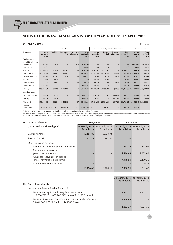#### **10. FIXED ASSETS** Rs. in lacs

|                                         |                             |                          | <b>Gross Block</b>       |                                |                            |                             |                   | Accumulated depreciation/ amortisation |                           |                                   | Net book value              |
|-----------------------------------------|-----------------------------|--------------------------|--------------------------|--------------------------------|----------------------------|-----------------------------|-------------------|----------------------------------------|---------------------------|-----------------------------------|-----------------------------|
| <b>Description</b>                      | As on<br>1st April,<br>2014 | <b>Additions</b>         | <b>Borrowing</b>         | Disposal /<br>Cost Adjustments | As on<br>31 March,<br>2015 | As on<br>1st April,<br>2014 | For the<br>Period | Disposal /<br>Adjustments              | Upto<br>31 March,<br>2015 | As ont<br>31 March,<br>2015       | As on<br>1st April,<br>2014 |
| <b>Tangible Assets</b>                  |                             |                          |                          |                                |                            |                             |                   |                                        |                           |                                   |                             |
| Freehold Land & Land<br>Development (*) | 23,522.70                   | 524.56                   |                          | 9.57                           | 24,037.69                  |                             |                   |                                        |                           | 24,037.69                         | 23,522.70                   |
| Leasehold Land                          | 100.02                      |                          |                          |                                | 100.02                     | 11.45                       | 3.15              |                                        | 14.60                     | 85.42                             | 88.57                       |
| <b>Buildings</b>                        | 75,806.80                   | 5,966.94                 | 170.09                   |                                | 81,943.83                  | 2,207.82                    | 2,592.51          |                                        | 4,800.33                  | 77,143.50                         | 73,598.98                   |
| Plant & Equipment                       | 2,87,594.98                 | 74,616.97                | 31,328.62                |                                | $-3,93,540.57$             | 14,247.80                   | 17,726.22         | (48.37)                                |                           | 32,022.39 3,61,518.18 2,73,347.18 |                             |
| Furniture & Fixtures                    | 689.46                      | 151.62                   | 3.14                     |                                | 844.22                     | 210.80                      | 158.10            | (5.07)                                 | 373.97                    | 470.25                            | 478.66                      |
| Vehicles                                | 240.96                      | 36.74                    | $\overline{\phantom{0}}$ | 44.40                          | 233.30                     | 88.30                       | 34.92             | 21.83                                  | 101.39                    | 131.91                            | 152.66                      |
| Office Equipment                        | 235.31                      | 24.82                    |                          |                                | 260.13                     | 48.78                       | 95.36             | (8.77)                                 | 152.91                    | 107.22                            | 186.53                      |
| Railway Sidings                         | 1,658.61                    | $\overline{\phantom{0}}$ |                          |                                | 1,658.61                   | 240.23                      | 111.78            | $\qquad \qquad -$                      | 352.01                    | 1,306.60                          | 1,418.38                    |
| Total (A)                               | 3,89,848.84                 | 81,321.65                | 31,501.85                |                                | 53.97 5,02,618.37          | 17,055.18                   | 20,722.04         | (40.38)                                |                           | 37,817.60 4,64,800.77 3,72,793.66 |                             |
| <b>Intangible Assets</b>                |                             |                          |                          |                                |                            |                             |                   |                                        |                           |                                   |                             |
| Computer Software                       | 994.04                      | 71.19                    |                          |                                | 1.065.23                   | 476.16                      | 12.57             | (456.82)                               | 945.55                    | 119.68                            | 517.88                      |
| Total (B)                               | 994.04                      | 71.19                    |                          | -                              | 1.065.23                   | 476.16                      | 12.57             | (456.82)                               | 945.55                    | 119.68                            | 517.88                      |
| Total $(A + B)$                         | 3,90,842.88                 | 81,392.84                | 31,501.85                |                                | 53.97 5,03,683.60          | 17,531.34                   | 20,734.61         | (497.20)                               |                           | 38,763.15 4,64,920.45 3,73,311.54 |                             |
| Previous<br>Year's figures              |                             | 1,54,983.47 1,69,564.25  | 66,315.96                |                                | 20.80 3,90,842.88          | 10,195.11                   | 7,346.91          | 10.68                                  |                           | 17,531.34 3,73,311.54             |                             |

(\*) Includes 181.92 acres (P.Y. 139.67 acres) of land pending registration in the name of the Company.

(\*\*) Pursuant to the Companies Act, 2013 ("the Act") becoming effective from 1st April 2014, the Company has recomputed the depreciation based on the useful life of the assets as<br>prescribed in Schedule II of the Act. The d

| 11. | Loans & Advances                                                    | Long-term                      |                                | <b>Short-term</b>                             |              |  |  |
|-----|---------------------------------------------------------------------|--------------------------------|--------------------------------|-----------------------------------------------|--------------|--|--|
|     | (Unsecured, Considered good)                                        | 31 March, 2015<br>Rs. in Lakhs | 31 March, 2014<br>Rs. in Lakhs | 31 March, 2015 31 March, 2014<br>Rs. in Lakhs | Rs. in Lakhs |  |  |
|     | Capital Advances                                                    | 15,484.86                      | 9,673.03                       |                                               |              |  |  |
|     | Security Deposit                                                    | 871.74                         | 791.96                         |                                               |              |  |  |
|     | Other loans and advances                                            |                                |                                |                                               |              |  |  |
|     | Income Tax Advances (Net of provisions)                             |                                | $\qquad \qquad \blacksquare$   | 297.79                                        | 241.93       |  |  |
|     | Balance with statutory /<br>government authorities                  |                                |                                | 4,166.69                                      | 11,063.81    |  |  |
|     | Advances recoverable in cash or<br>kind or for value to be received |                                | $\qquad \qquad \blacksquare$   | 7,919.51                                      | 5,450.20     |  |  |
|     | <b>Export Incentive Receivables</b>                                 |                                |                                | 12.22                                         | 29.74        |  |  |
|     |                                                                     | 16,356.60                      | 10,464.99                      | 12,396.21                                     | 16,785.68    |  |  |

|                                                                                                                 | 31 March, 2015 31 March, 2014<br>Rs. in Lakhs | Rs. in Lakhs |
|-----------------------------------------------------------------------------------------------------------------|-----------------------------------------------|--------------|
| 12. Current Investments                                                                                         |                                               |              |
| Investment in Mutual funds (Unquoted)                                                                           |                                               |              |
| SBI Premier Liquid Fund - Regular Plan (Growth)<br>117,330.753 (P.Y. 883,700.917) units of Rs.2137.35/- each    | 2,507.77                                      | 17,621.70    |
| SBI Ultra Short Term Debt Fund Fund - Regular Plan (Growth)<br>85,841.346 (P.Y. Nil) units of Rs.1747.91/- each | 1,500.00                                      |              |
|                                                                                                                 | 4,007.77                                      | 17.621.70    |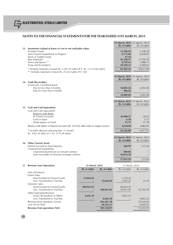|                                                                                                                                               |                |              | 31 March, 2015 31 March, 2014 |                |
|-----------------------------------------------------------------------------------------------------------------------------------------------|----------------|--------------|-------------------------------|----------------|
| 13. Inventories (valued at lower of cost or net realizable value)                                                                             |                |              | Rs. in Lakhs                  | Rs. in Lakhs   |
| <b>Finished Goods</b>                                                                                                                         |                |              | 11,590.92                     | 1,578.18       |
| Semi Finised Goods/Work In Progress<br><b>Stock of Traded Goods</b>                                                                           |                |              | 9,775.86<br>47.16             | 6,930.81       |
| Raw Materials*                                                                                                                                |                |              | 45,338.57                     | 21,750.76      |
| Stores and Spares **                                                                                                                          |                |              | 4,799.61                      | 1,988.11       |
| Scrap and by products                                                                                                                         |                |              | 10,350.21                     | 4,369.63       |
| * Includes materials in transit Rs. 3,291.33 Lakhs (P.Y. Rs. 11,112.66 Lakhs)<br>** Includes materials in transit Rs. 212.63 Lakhs (P.Y. Nil) |                |              | 81,902.32                     | 36,617.49      |
|                                                                                                                                               |                |              | 31 March, 2015                | 31 March, 2014 |
|                                                                                                                                               |                |              | <b>Rs. in Lakhs</b>           | Rs. in Lakhs   |
| 14. Trade Receivables<br>Unsecured, considered good                                                                                           |                |              |                               |                |
| Due for less than 6 months                                                                                                                    |                |              | 14,083.24                     | 2,202.20       |
| Due for more than 6 months                                                                                                                    |                |              | 406.45                        |                |
|                                                                                                                                               |                |              | 14,489.69                     | 2,202.20       |
|                                                                                                                                               |                |              | 31 March, 2015 31 March, 2014 |                |
|                                                                                                                                               |                |              | Rs. in Lakhs                  | Rs. in Lakhs   |
| 15. Cash and Cash Equivalents                                                                                                                 |                |              |                               |                |
| Cash and Cash equivalents                                                                                                                     |                |              |                               |                |
| <b>Balances with Banks</b><br>In Current Accounts                                                                                             |                |              | 16,990.57                     | 20.55          |
| Cash on hand                                                                                                                                  |                |              | 6.30                          | 5.17           |
| Stamp papers on hand                                                                                                                          |                |              | 15.17                         | 27.78          |
| Balance with Banks in Deposit Accounts (Rs. 4314.85 lakhs held as margin money)*                                                              |                |              | 8,314.84                      | 6,864.07       |
| * Includes deposits maturing after 12 months                                                                                                  |                |              | 25,326.88                     | 6,917.57       |
| Rs. 4303.56 lakhs (P.Y. Rs. 2776.40 lakhs)                                                                                                    |                |              |                               |                |
|                                                                                                                                               |                |              | 31 March, 2015                | 31 March, 2014 |
| 16. Other Current Assets                                                                                                                      |                |              | Rs. in Lakhs                  | Rs. in Lakhs   |
| Interest accrued on fixed deposits                                                                                                            |                |              | 160.99                        | 213.26         |
| Unamortized expenditure                                                                                                                       |                |              |                               |                |
| Unamortized premium on forward contract                                                                                                       |                |              | 840.83                        |                |
| Gain receivable on forward exchange contract                                                                                                  |                |              | 36,814.10                     |                |
|                                                                                                                                               |                |              | 37,815.92                     | 213.26         |
| 17. Revenue from Operations                                                                                                                   | 31 March, 2015 |              | 31 March, 2014                |                |
|                                                                                                                                               | Rs. in Lakhs   | Rs. in Lakhs | Rs. in Lakhs                  | Rs. in Lakhs   |
| Sale of Products:                                                                                                                             |                |              |                               |                |
| <b>Export Sales</b><br>Semi-Finished & Finised Goods                                                                                          | 13,664.45      |              | 1,129.16                      |                |
| Less: Transferred to Trial Run                                                                                                                |                | 13,664.45    | 1,107.37                      | 21.79          |
| <b>Domestic Sales</b>                                                                                                                         |                |              |                               |                |
| Semi-Finished & Finised Goods                                                                                                                 | 184,967.03     |              | 69,654.25                     |                |
| Less: Transferred to Trial Run<br>Other Operating Revenue                                                                                     |                | 184,967.03   | 16,911.47                     | 52,742.78      |
| Scrap / By-products & Others                                                                                                                  | 4,656.10       |              | 4,852.35                      |                |
| Less: Transferred to Trial Run                                                                                                                |                | 4,656.10     |                               | 4,852.35       |
| Revenue from operations (Gross)                                                                                                               |                | 203,287.58   |                               | 57,616.92      |
| Less: Excise Duty                                                                                                                             |                | 20,163.51    |                               | 6,294.73       |
| <b>Revenue from operations (Net)</b>                                                                                                          |                | 183, 124.07  |                               | 51,322.19      |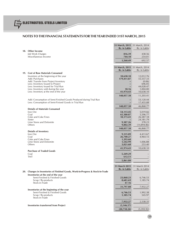|                                                                                                                           | 31 March, 2015 31 March, 2014<br>Rs. in Lakhs | Rs. in Lakhs           |
|---------------------------------------------------------------------------------------------------------------------------|-----------------------------------------------|------------------------|
| 18. Other Income                                                                                                          |                                               |                        |
| Job Work Charges                                                                                                          | 816.39                                        | 438.56                 |
| Miscellaneous Income                                                                                                      | 744.10                                        | 254.01                 |
|                                                                                                                           | 1,560.49                                      | 692.57                 |
|                                                                                                                           | 31 March, 2015                                | 31 March, 2014         |
|                                                                                                                           | Rs. in Lakhs                                  | Rs. in Lakhs           |
| 19. Cost of Raw Materials Consumed                                                                                        |                                               |                        |
| Inventory at the beginning of the year<br>Add: Purchases                                                                  | 10,638.10<br>179,411.87                       | 12,012.76<br>55,557.33 |
| Add: Transfer from Project Inventory                                                                                      |                                               | (0.06)                 |
| Less: Inventory Issued to Project<br>Less: Inventory Issued for Trial Run                                                 |                                               | 696.05<br>44,028.47    |
| Less: Inventory sold during the year                                                                                      | 18.16                                         | 1,004.00               |
| Less: Inventory at the end of the year                                                                                    | 41,974.43                                     | 10,638.10              |
|                                                                                                                           | 148,057.38                                    | 11,203.41              |
| Add: Consumption of Semi-Finished Goods Produced during Trial Run<br>Less: Consumption of Semi-Finised Goods in Trial Run |                                               | 53,120.44<br>17,455.08 |
|                                                                                                                           | 148,057.38                                    | 46,868.77              |
| <b>Details of Materials Consumed</b>                                                                                      |                                               |                        |
| Iron Ore<br>Coal                                                                                                          | 54,113.45<br>65,380.87                        | 5,019.66<br>5,596.77   |
| Coke and Coke Fines                                                                                                       | 10,173.41                                     | 26,587.18              |
| Sinter<br>Lime Stone and Dolomite                                                                                         | 9,387.26                                      | 24,181.79<br>378.23    |
| Others                                                                                                                    | 9,002.39                                      | (14,894.86)            |
|                                                                                                                           | 148,057.38                                    | 46,868.77              |
| <b>Details of Inventory</b><br>Iron Ore                                                                                   | 9,315.89                                      | 4,413.67               |
| Coal                                                                                                                      | 26,700.27                                     | 4,964.15               |
| Coke and Coke Fines<br>Lime Stone and Dolomite                                                                            | 1,393.60<br>1,542.99                          | 1,006.88               |
| Others                                                                                                                    | 3,021.68                                      | 253.40                 |
|                                                                                                                           | 41,974.43                                     | 10,638.10              |
| <b>Purchase of Traded Goods</b><br>Coal                                                                                   | 5,249.29                                      |                        |
| <b>TMT</b>                                                                                                                | 612.51                                        |                        |
|                                                                                                                           | 5,861.80                                      |                        |
|                                                                                                                           | 31 March 2015                                 | 31 March 2014          |
|                                                                                                                           | Rs. in Lakhs                                  | Rs. in Lakhs           |
| 20. Changes in Inventories of Finished Goods, Work-in-Progress & Stock-in-Trade<br>Inventories at the end of the year     |                                               |                        |
| Semi-Finished & Finished Goods                                                                                            | 23,068.23                                     | 6,746.53               |
| Scrap / By-products                                                                                                       | 8,681.69                                      | 1,185.74               |
| Stock-in-Trade                                                                                                            | 47.16                                         |                        |
| Inventories at the beginning of the year                                                                                  | 31,797.08                                     | 7,932.27               |
| Semi-Finished & Finished Goods                                                                                            | 6,746.53                                      | 1,992.38               |
| Scrap / By-products<br>Stock-in-Trade                                                                                     | 1,185.74                                      | 545.97                 |
|                                                                                                                           | 7,932.27                                      | 2,538.35               |
| <b>Inventories transferred from Project</b>                                                                               | (3, 146.57)                                   |                        |
|                                                                                                                           | (20, 718.24)                                  | (5,393.92)             |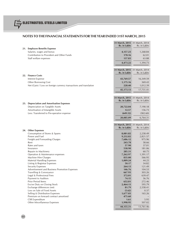|                                                                    | Rs. in Lakhs      | 31 March, 2015 31 March, 2014<br>Rs. in Lakhs |
|--------------------------------------------------------------------|-------------------|-----------------------------------------------|
| 21. Employee Benefits Expense                                      |                   |                                               |
| Salaries, wages and bonus                                          | 4,157.23          | 1,268.84                                      |
| Contribution to Provident and Other Funds                          | 178.16            | 62.01                                         |
| Staff welfare expenses                                             | 137.83            | 63.88                                         |
|                                                                    | 4,473.22          | 1,394.73                                      |
|                                                                    |                   |                                               |
|                                                                    |                   | 31 March, 2015 31 March, 2014                 |
|                                                                    | Rs. in Lakhs      | Rs. in Lakhs                                  |
| 22. Finance Costs                                                  |                   |                                               |
| <b>Interest Expense</b>                                            | 43,769.57         | 16,349.59                                     |
| Other Borrowing Cost                                               | 1,175.16          | 369.43                                        |
| Net (Gain) / Loss on foreign currency transactions and translation | 228.40            | 1,012.39                                      |
|                                                                    |                   |                                               |
|                                                                    | 45,173.13         | 17,731.41                                     |
|                                                                    |                   |                                               |
|                                                                    |                   | 31 March, 2015 31 March, 2014                 |
| 23. Depreciation and Amortisation Expenses                         | Rs. in Lakhs      | Rs. in Lakhs                                  |
| Depreciation on Tangible Assets                                    | 20,722.04         | 7,190.18                                      |
| Amortisation of Intangible Assets                                  | 12.57             | 156.73                                        |
| Less: Transferred to Pre-operative expense                         | (649.52)          | (582.60)                                      |
|                                                                    | 20,085.09         | 6,764.31                                      |
|                                                                    |                   |                                               |
|                                                                    | 31 March, 2015    | 31 March, 2014                                |
|                                                                    | Rs. in Lakhs      | Rs. in Lakhs                                  |
| 24. Other Expenses                                                 |                   |                                               |
| Consumption of Stores & Spares                                     | 8,081.82          | 2,258.49                                      |
| Power and Fuel                                                     | 9,232.82          | 2,821.57                                      |
| Freight and Forwarding Charges                                     | 7,686.12          | 975.96                                        |
| Rent                                                               | 243.78            | 58.66                                         |
| Rates and taxes                                                    | 57.90             | 37.01                                         |
| Insurance                                                          | 538.90            | 181.06                                        |
| Repairs to Machinery                                               | 285.31            | 60.75                                         |
| Operation & Maintenance expenses                                   | 7,262.97          | 1,391.17                                      |
| Machine Hire Charges                                               | 835.00            | 566.95                                        |
| <b>Material Handling Expenses</b>                                  | 1,009.24          | 44.25                                         |
| Listing & Registrar Expenses                                       | 50.17             | 34.82                                         |
| <b>Security Expenses</b>                                           | 264.13            | 121.49                                        |
| Advertisement and Business Promotion Expenses                      | 146.76            | 104.53                                        |
| Travelling & Conveyance                                            | 667.93            | 303.26<br>639.47                              |
| Legal & Professional Fees                                          | 372.01            |                                               |
| Payment to Auditors<br><b>Prior Period Items</b>                   | 74.15<br>652.81   | 56.76<br>272.46                               |
| Excise Duty on Closing Stock                                       |                   | 595.79                                        |
| Exchange differences (net)                                         | 2,464.13<br>81.79 | 2,558.41                                      |
| Loss on Sale of Fixed Assets                                       | (5.62)            | 0.37                                          |
| Selling & Distribution Expenses                                    | 1,677.03          | 165.26                                        |
| Premium on forward contract amortised                              | 475.60            |                                               |
| <b>CSR Expenditure</b>                                             | 1.61              | 5.95                                          |
| Other Miscellaneous Expenses                                       | 1,998.95          | 507.02                                        |
|                                                                    | 44,155.31         | 13,761.46                                     |
|                                                                    |                   |                                               |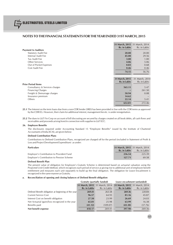|                                | 31 March, 2015 31 March, 2014 |                |
|--------------------------------|-------------------------------|----------------|
|                                | <b>Rs. in Lakhs</b>           | Rs. in Lakhs   |
| <b>Payment to Auditors</b>     |                               |                |
| <b>Statutory Audit Fee</b>     | 20.00                         | 20.00          |
| Internal Audit Fee             | 45.00                         | 29.56          |
| Tax Audit Fee                  | 3.00                          | 1.00           |
| <b>Other Services</b>          | 4.86                          | 5.06           |
| Out of Pocket Expenses         | 0.83                          | 0.68           |
| Cost Audit Fee                 | 0.46                          | 0.46           |
|                                | 74.15                         | 56.76          |
|                                |                               |                |
|                                | 31 March, 2015                | 31 March, 2014 |
|                                | <b>Rs. in Lakhs</b>           | Rs. in Lakhs   |
| <b>Prior Period Items</b>      |                               |                |
| Consultancy & Services charges | 565.11                        | 5.47           |
| <b>Financing Charges</b>       |                               | 261.50         |
| Freight & Demurrage charges    | 50.94                         | 0.08           |
| Insurance premium              | 14.62                         |                |
| Others                         | 22.14                         | 5.41           |
|                                | 652.81                        | 272.46         |

**25.1** The Interest on the term loans due from a non-CDR lender (SREI) has been provided in line with the CDR terms as approved by the CDR EG. However, their claim for additional interest, management fee etc. is under renegotiation.

**25.2** The dues to L&T Fin Corp on account of bill discouting are secured by charges created on all book debts, all cash flows and receivables and proceeds arising from/in connection with supplies to L&T ECC.

#### **26. Employee Benefits**

The disclosures required under Accounting Standard 15 "Employee Benefits" issued by the Institute of Chartered Accountants of India (ICAI), are given below:

#### **Defined Contribution Plans**

Contributions to Defined Contribution Plans, recognized are charged off for the period (included in Statement of Profit & Loss and Project Development Expenditure) as under:

| <b>Particulars</b>                        | 31 March, 2015 31 March, 2014<br>Rs. in Lakhs | Rs. in Lakhs |
|-------------------------------------------|-----------------------------------------------|--------------|
| Employer's Contribution to Provident Fund | 236.54                                        | 225.39       |
| Employer's Contribution to Pension Scheme | 127.71                                        | 69.58        |

#### **Defined Benefit Plan**

The present value of obligation for Employee's Gratuity Scheme is determined based on actuarial valuation using the Projected Unit Credit Method, which recognizes each period of service as giving rise to additional unit of employee benefit entitlement and measures each unit separately to build up the final obligation. The obligation for Leave Encashment is recognized in the same manner as Gratuity.

#### **a. Reconciliation of opening and closing balances of Defined Benefit obligation**

|                                                     | <b>Gratuity (partially funded)</b> |              | Leave encashment (unfunded)   |              |
|-----------------------------------------------------|------------------------------------|--------------|-------------------------------|--------------|
|                                                     | 31 March, 2015 31 March, 2014      |              | 31 March, 2015 31 March, 2014 |              |
|                                                     | Rs. in Lakhs                       | Rs. in Lakhs | Rs. in Lakhs                  | Rs. in Lakhs |
| Defined Benefit obligation at beginning of the year | 269.41                             | 263.58       | 269.36                        | 220.84       |
| <b>Current Service Cost</b>                         | 96.57                              | 64.93        | 81.16                         | 45.87        |
| Interest Cost on benefit obligation                 | 27.50                              | 23.99        | 26.69                         | 24.03        |
| Net Actuarial (gain)/loss recognized in the year    | 65.81                              | 25.98        | 63.99                         | 16.38        |
| Benefits paid                                       | (41.12)                            | (109.07)     | (43.30)                       | (37.76)      |
| Net benefit expense                                 | 418.17                             | 269.41       | 397.90                        | 269.36       |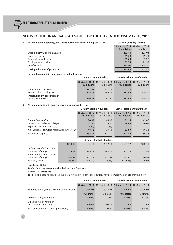**Rs.** in Lakhs

| b. | Reconciliation of opening and closing balances of fair value of plan assets: | <b>Gratuity (partially funded)</b> |              |
|----|------------------------------------------------------------------------------|------------------------------------|--------------|
|    |                                                                              | 31 March, 2015 31 March, 2014      |              |
|    |                                                                              | Rs. in Lakhs                       | Rs. in Lakhs |

|                                   | Rs. in Lakhs | Rs. in Lakhs |
|-----------------------------------|--------------|--------------|
| Opening fair value of plan assets | 202.41       | 227.03       |
| Expected return                   | 19.32        | 19.33        |
| Actuarial gains/(losses)          | 17.68        | (7.83)       |
| Employer contribution             | 83.54        | 72.95        |
| Benefits paid                     | (41.12)      | (109.07)     |
| Closing fair value of plan assets | 281.83       | 202.41       |

#### **c. Reconciliation of fair value of assets and obligations**

|                                                       | Gratuity (partially funded) |              | Leave encashment (unfunded)                                                        |              |
|-------------------------------------------------------|-----------------------------|--------------|------------------------------------------------------------------------------------|--------------|
|                                                       | Rs. in Lakhs                | Rs. in Lakhs | 31 March, 2015 31 March, 2014 31 March, 2015 31 March, 2014<br><b>Rs. in Lakhs</b> | Rs. in Lakhs |
| Fair value of plan assets                             | 281.83                      | 202.41       |                                                                                    |              |
| Present value of obligations                          | 418.17                      | 269.41       | 397.90                                                                             | 269.36       |
| (Assets)/Liability recognized in<br>the Balance Sheet | 136.34                      | 67.00        | 397.90                                                                             | 269.36       |

#### **d. Net employee benefit expense recognized during the year**

|                                                  | <b>Gratuity (partially funded)</b> |              | Leave encashment (unfunded)   |              |
|--------------------------------------------------|------------------------------------|--------------|-------------------------------|--------------|
|                                                  | 31 March, 2015 31 March, 2014      |              | 31 March, 2015 31 March, 2014 |              |
|                                                  | Rs. in Lakhs                       | Rs. in Lakhs | Rs. in Lakhs                  | Rs. in Lakhs |
| <b>Current Service Cost</b>                      | 96.57                              | 64.93        | 81.16                         | 45.87        |
| Interest Cost on benefit obligation              | 27.50                              | 23.99        | 26.69                         | 24.03        |
| Expected return on plan assets                   | (19.32)                            | (19.33)      |                               |              |
| Net Actuarial (gain)/loss recognized in the year | 48.12                              | 33.81        | 63.99                         | 16.38        |
| Net benefit expense                              | 152.87                             | 103.40       | 171.84                        | 86.28        |

|                                         |         | <b>Gratuity (partially funded)</b> |                 |  |  |
|-----------------------------------------|---------|------------------------------------|-----------------|--|--|
| 2013-14                                 | 2012-13 | 2011-12                            | 2010-11         |  |  |
| 269.41                                  | 263.58  | 252.26                             | 83.95           |  |  |
| 202.41                                  | 227.03  | 132.81                             | 130.93<br>46.98 |  |  |
| 2014-15<br>418.17<br>281.83<br>(136.34) | (67.00) | (36.55)                            | (119.45)        |  |  |

#### **e. Investment Details**

100% of the plan assets are with the Insurance Company.

## **f. Actuarial Assumptions**

The principle assumptions used in determining defined benefit obligations for the company's plan are shown below:

|                                                       | <b>Gratuity (partially funded)</b> |            | Leave encashment (unfunded)   |            |
|-------------------------------------------------------|------------------------------------|------------|-------------------------------|------------|
|                                                       | 31 March, 2015 31 March, 2014      |            | 31 March, 2015 31 March, 2014 |            |
| Mortality Table (Indian Assured Lives Mortality)      | 2006-08                            | 2006-08    | 2006-08                       | 2006-08    |
|                                                       | (Ultimate)                         | (Ultimate) | (Ultimate)                    | (Ultimate) |
| Discount rate (per annum)                             | $8.00\%$                           | 8.25%      | $8.00\%$                      | 8.25%      |
| Expected rate of return on<br>plan assets (per annum) | $8.00\%$                           | $9.00\%$   | <b>NA</b>                     | <b>NA</b>  |
| Rate of escalation in salary (per annum)              | $5.00\%$                           | $5.00\%$   | $5.00\%$                      | $5.00\%$   |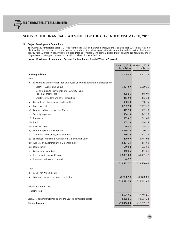#### **27. Project Development Expenditure**

The Company's Integrated Steel & DI Pipe Plant in the State of Jharkhand, India, is under construction & erection. A part of plant facility has commenced production and accordingly the balance proportionate expenditure related to the plant under construction & erection continues to be accounted as 'Project Development Expenditure' pending capitalization under 'Capital Work-in-Progress'. Necessary details have been disclosed below:

**Project Development Expenditure Account (Included under Capital Work-in-Progress)**

|                   |                                                                              | 31 March, 2015 31 March, 2014<br>Rs. in Lakhs | Rs. in Lakhs |
|-------------------|------------------------------------------------------------------------------|-----------------------------------------------|--------------|
|                   | <b>Opening Balance</b>                                                       | 237,709.52                                    | 237,927.18   |
| Add:              |                                                                              |                                               |              |
| (i)               | Payments to and Provisions for Employees (including personnel on deputation) |                                               |              |
|                   | - Salaries, Wages and Bonus                                                  | 5,021.99                                      | 5,089.56     |
|                   | - Contribution to Provident Fund, Gratuity Fund,<br>Pension Scheme, etc.     | 305.56                                        | 348.09       |
|                   | - Employee welfare and other amenities                                       | 317.90                                        | 312.54       |
| (ii)              | Consultancy, Professional and Legal Fees                                     | 938.73                                        | 748.15       |
| (iii)             | Power & Fuel                                                                 | 1,732.98                                      | 2,057.47     |
| (iv)              | Labour and Machinery Hire Charges                                            | 512.55                                        | 503.18       |
| (v)               | Security expenses                                                            | 336.16                                        | 342.28       |
| (v <sub>i</sub> ) | Insurance                                                                    | 685.87                                        | 612.86       |
|                   | (vii) Rent                                                                   | 105.19                                        | 164.14       |
|                   | (viii) Rates & Taxes                                                         | 36.42                                         | 39.21        |
| (ix)              | Stores & Spares consumption                                                  | 5,539.16                                      | 50.71        |
| (x)               | Travelling and Conveyance Expenses                                           | 850.10                                        | 822.79       |
| (x <sub>i</sub> ) | Exchange Fluctuation (Considered as Borrowing Cost)                          | 290.69                                        | 1,741.04     |
|                   | (xii) General and Administrative Expenses (net)                              | 1,804.71                                      | 814.60       |
|                   | (xiii) Depreciation                                                          | 649.52                                        | 582.60       |
|                   | (xiv) Other Borrowing Cost                                                   | 840.26                                        | 341.61       |
|                   | (xv) Interest and Finance Charges                                            | 52,881.09                                     | 61,982.47    |
|                   | (xvi) Premium on forward contract                                            | 24.37                                         |              |
|                   |                                                                              | 310,582.77                                    | 314,480.48   |
| Less:             |                                                                              |                                               |              |
| (i)               | Credit for Project Scrap                                                     |                                               |              |
| (ii)              | Foreign Currency Exchange Fluctuation                                        | (1,038.79)                                    | (7,783.38)   |
|                   |                                                                              | 311,621.56                                    | 322,263.86   |
|                   | Add: Provision for tax                                                       |                                               |              |
|                   | - Income Tax                                                                 |                                               |              |
|                   |                                                                              | 311,621.56                                    | 322,263.86   |
|                   | Less: Allocated/Transferred during the year to completed assets              | 40,165.56                                     | 84,554.34    |
|                   | <b>Closing Balance</b>                                                       | 271,456.00                                    | 237,709.52   |
|                   |                                                                              |                                               |              |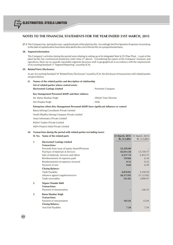**27.1** The Company has, during the year, capitalized part of the plant facility. Accordingly the Pre-Operative Expenses incurred up to the date of capitalization have been allocated to the cost of the facility on a proportionate basis.

#### **28. Segment information**

The Company's activities during the period were relating to setting up of its Integrated Steel & D I Pipe Plant. A part of the plant facility has commenced production (refer Note 27 above). Considering the nature of the Company's business and operations, there are no separate reportable segments (business and/ or geographical) in accordance with the requirements of Accounting Standard 17 'Segment Reporting', issued by ICAI.

#### **29. Related Party Disclosures**

As per Accounting Standard 18 'Related Party Disclosures' issued by ICAI, the disclosure of transactions with related parties are given below:

#### **(i) Names of the related parties and description of relationship**

**List of related parties where control exists:**

**Electrosteel Castings Limited Castings 2 and 2 and 2 and 2 and 2 and 2 and 2 and 2 and 2 and 2 and 2 and 2 and 2 and 2 and 2 and 2 and 2 and 2 and 2 and 2 and 2 and 2 and 2 and 2 and 2 and 2 and 2 and 2 and 2 and 2 and 2** 

#### **Key Management Personnel (KMP) and their relatives**

| Mr. Rama Shankar Singh | - Whole Time Director |
|------------------------|-----------------------|
| Mrs Puspha Singh       | - Wife                |

### **Enterprises where Key Management Personnel (KMP) have significant influence or control**

Rama Mining Consultants Private Limited

North Dhadhu Mining Company Private Limited

Asian Informatics Private Limited

Jhilmil Traders Private Limited

MDA Projects India Private Limited

## **(ii) Transactions during the period with related parties (excluding taxes):**

|                | Sl. No. Name of the related party            |              | 31 March, 2015 31 March, 2014 |
|----------------|----------------------------------------------|--------------|-------------------------------|
|                |                                              | Rs. in Lakhs | Rs. in Lakhs                  |
| 1              | <b>Electrosteel Castings Limited</b>         |              |                               |
|                | <b>Transactions:</b>                         |              |                               |
|                | Proceeds from issue of equity shares/Premium | 22,250.00    |                               |
|                | Purchase of Materials & Services             | 45,011.58    | 13,739.77                     |
|                | Sale of Materials, Services and others       | 6,317.74     | 2,455.75                      |
|                | Reimbursement of expenses paid               | 139.86       | 0.10                          |
|                | Reimbursement of expenses received           | 0.12         | 0.22                          |
|                | Payment of rent                              | 0.60         | 0.39                          |
|                | <b>Closing Balance:</b>                      |              |                               |
|                | Trade Payables                               | 4,870.85     | 3,418.50                      |
|                | Advance against supplies/services            | 26,373.83    | 31,123.82                     |
|                | Trade receivables                            | 521.82       | 1,890.97                      |
| $\overline{2}$ | Nigam Chander Bahl                           |              |                               |
|                | <b>Transactions:</b>                         |              |                               |
|                | Payment of remuneration                      |              | 226.35                        |
| 3              | Rama Shankar Singh                           |              |                               |
|                | <b>Transactions:</b>                         |              |                               |
|                | Payment of remuneration                      | 145.42       | 22.04                         |
|                | <b>Closing Balance:</b>                      |              |                               |
|                | Year End Payables                            | 7.24         | 7.54                          |
|                |                                              |              |                               |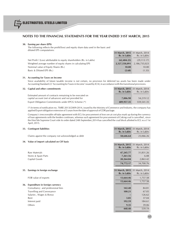#### **30. Earning per share (EPS)**

The following reflects the profit/(loss) and equity share data used in the basic and diluted EPS computations:

|                                                                        | Rs. in Lakhs  | Rs. in Lakhs  |
|------------------------------------------------------------------------|---------------|---------------|
| Net Profit / (Loss) attributable to equity shareholders (Rs. in Lakhs) | (62, 404.23)  | (29, 113, 17) |
| Weighted average number of equity shares in calculating EPS            | 2.327.550.091 | 2,186,735,023 |
| Nominal value of Equity Shares (Rs.)                                   | 10.00         | 10.00         |
| Basic & Diluted EPS (Rs.)                                              | (2.68)        | (1.33)        |
|                                                                        |               |               |

 **31 March, 2015** 31 March, 2014

#### **31. Accounting for Taxes on Income**

Since availability of future taxable income is not certain, no provision for deferred tax assets has been made under Accounting Standard 22 'Accounting for Taxes in Income' issued by ICAI, in accordance with the transitional provisions.

| 32. Capital and other commitments                         | 31 March, 2015 31 March, 2014<br>Rs. in Lakhs |              |
|-----------------------------------------------------------|-----------------------------------------------|--------------|
| Estimated amount of contracts remaining to be executed on |                                               | Rs. in Lakhs |
| capital account (net of advances) and not provided for    | 7.006.90                                      | 54,219.12    |
| Export Obligation Commitments under EPCG Scheme (*)       | 489.957.35                                    | 559.541.35   |

(\*) In terms of notification no. 70(RE-2013)/2009-2014, issued by the Ministry of Commerce and Industry, the company has applied Export obligation extension of 3 years from the date of approval of CDR package.

Company's irrecoverable off-take agreement with ECL for procurement of Iron ore at cost plus mark up during the currency of loan agreements with the lenders continues, whereas such agreement for procurement of Coking coal is cancelled , since the Hon'ble Supreme Court vide its order dated 24th September,2014 has cancelled the coal block allotted to ECL w.e.f 1st April, 2015.

| 33. Contingent liabilities                          | 31 March, 2015 31 March, 2014<br><b>Rs. in Lakhs</b> | Rs. in Lakhs                                  |
|-----------------------------------------------------|------------------------------------------------------|-----------------------------------------------|
| Claims against the company not acknowledged as debt | 58,646.64                                            | 25,066.26                                     |
| 34. Value of import calculated on CIF basis         |                                                      |                                               |
|                                                     | <b>Rs. in Lakhs</b>                                  | 31 March, 2015 31 March, 2014<br>Rs. in Lakhs |
| Raw Materials                                       | 47,245.77                                            | 31,831.26                                     |
| Stores & Spare Parts                                | 7,261.56                                             | 6.08                                          |
| Capital Goods                                       | 20,264.84                                            | 2,863.42                                      |
|                                                     | 74,772.17                                            | 34,700.76                                     |
| 35. Earnings in foreign exchange                    | 31 March, 2015                                       | 31 March, 2014                                |
|                                                     | Rs. in Lakhs                                         | Rs. in Lakhs                                  |
| FOB value of exports                                | 13,664.46                                            | 1,757.58                                      |
|                                                     | 13,664.46                                            | 1,757.58                                      |
| 36. Expenditure in foreign currency                 |                                                      |                                               |
| Consultancy and professional fees                   | 142.40                                               | 84.81                                         |
| Travelling and Conveyance                           | 100.21                                               | 67.05                                         |
| Salaries, Wages & Bonus                             |                                                      | 126.62                                        |
| Rent                                                | 3.85                                                 | 37.04                                         |
| Interest paid                                       | 192.59                                               | 184.61                                        |
| Others                                              | 9.35                                                 | 39.06                                         |
|                                                     | 448.40                                               | 539.19                                        |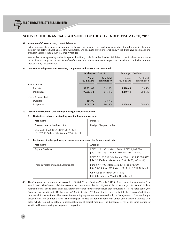#### **37. Valuation of Current Assets, Loan & Advances**

In the opinion of the management, current assets, loans and advances and trade receivables have the value at which these are stated in the Balance Sheet, unless otherwise stated, and adequate provisions for all known liabilities have been made and are not in excess of the amount reasonably required.

Vendor balances appearing under Long-term liabilities, trade Payables & other liabilities, loans & advances and trade receivables are subject to reconciliation/ confirmation and adjustments in this respect are carried out as and when amount thereof, if any, are ascertained.

#### **38. Imported & Indigenous Raw Materials, components and Spares Parts Consumed**

|                       |                       | for the year 2014-15      |                       | for the year 2013-14      |  |
|-----------------------|-----------------------|---------------------------|-----------------------|---------------------------|--|
|                       | Value<br>Rs. in Lakhs | % of total<br>consumption | Value<br>Rs. in Lakhs | % of total<br>consumption |  |
| Raw Materials         |                       |                           |                       |                           |  |
| Imported              | 52,251.88             | 35.29%                    | 4,428.66              | 9.45%                     |  |
| Indigenous            | 95,805.51             | 64.71%                    | 42,440.11             | $90.55\%$                 |  |
| Stores & Spares Parts |                       |                           |                       |                           |  |
| Imported              | 486.05                | 3.87%                     |                       |                           |  |
| Indigenous            | 12,087.74             | 96.13%                    | 2,258.49              | 100.00%                   |  |

#### **39. Derivative instruments and unhedged foreign currency exposure**

#### **A. Derivative contracts outstanding as at the Balance sheet date:**

| <b>Particulars</b>                                                                       | <b>Purpose</b>            |
|------------------------------------------------------------------------------------------|---------------------------|
| <b>Forward contract to buy US \$</b>                                                     | Hedge of buyers creditors |
| US\$ 59,110,635 (31st March 2014 : Nil)<br>(Rs 37,950.66 lacs (31st March 2014 : Rs Nil) |                           |

#### **B. Particulars of unhedged foreign currency exposure as at the Balance sheet date:**

| <b>Particulars</b>                     | Amount                                                                                                        |
|----------------------------------------|---------------------------------------------------------------------------------------------------------------|
| <b>Buyer's Creditors</b>               | (31st March 2014 : USD\$ 8,082,898)<br>USD\$ Nil<br>(31st March 2014 : Rs 4843.47 lacs) 1<br>Nil -<br>I Rs    |
|                                        | USD\$ 52,193,859 (31st March 2014 : USD\$ 55,374,049)<br>[Rs 32,506 lacs (31st March 2014 : Rs 33,180 lacs )] |
| Trade payables (including acceptances) | Euro 3,774,400 (31st March 2014: 38,873,780)<br>[ Rs 2,522.05 lacs (31st March 2014 : Rs 3,191.42 lacs) ]     |
|                                        | GBP 505 (31st March 2014 : Nil)<br>[ Rs 0.47 lacs (31st March 2014 : Rs Nil ) ]                               |

**40.** The Company has incurred a net loss of Rs. 62,404.23 lac ( Previous Year Rs. 29113.17 lac) during the year ended 31st March 2015. The Current liabilities exceeds the current assets by Rs. 163,669.48 lac (Previous year Rs. 76,680.50 lac). Further there has been an erosion of net worth by more than fifty percent because of accumulated losses. As stated earlier, the Company was sanctioned CDR Package on 28th September, 2013 to restructure and reschedule the Company's debt and provide additional facilities. The Master Restructuring Agreement was executed only on 20th January, 2014, resulting in delayed release of additional funds. The consequent release of additional term loan under CDR Package happened with delay which resulted in delay of operationalization of project modules. The Company is yet to get some portion of sanctioned loans requiring for the project completion.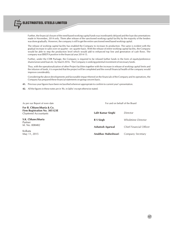

Further, the financial closure of the need based working capital funds was inordinately delayed and the loan documentations made in November, 2014 only. There after release of the sanctioned working capital facility by the majority of the lenders was done gradually. However, the company is still to get the entire sanctioned need based working capital.

The release of working capital facility has enabled the Company to increase its production. The same is evident with the gradual increase in sales over on quarter - on- quarter basis. With the release of entire working capital facility, the Company would be able to step the production level which would add to enhanced top line and generation of cash flows. The company was EBIDTA positive in the financial year 2014-15.

Further, under the CDR Package, the Company is required to be infused further funds in the form of equity/preference shares/unsecured loan etc. by March 2016. The Company is seeking potential investment of necessary funds.

Thus, with the operationalization of other Project facilities together with the increase in release of working capital limits and the infusion of funds, it is expected that the project will be completed and the overall financial health of the company would improve considerably.

Considering the above developments and favourable impact thereof on the financials of the Company and its operations, the Company has prepared these financial statements on going concern basis.

**41.** Previous year figures have been reclassified wherever appropriate to confirm to current year's presentation.

**42.** All the figures in these notes are in 'Rs. in lakhs' except otherwise stated.

**For B. Chhawchharia & Co. Firm Registration No. 305123E** Chartered Accountants

**S.K. Chhawchharia** Partner M. No. 008482

Kolkata May 11, 2015

As per our Report of even date For and on behalf of the Board

| Lalit Kumar Singhi | Director                |
|--------------------|-------------------------|
| R S Singh          | Wholetime Director      |
| Ashutosh Agarwal   | Chief Financial Officer |
| Anubhav Maheshwari | Company Secretary       |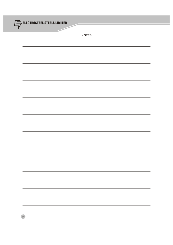

**NOTES**

| - |
|---|
|   |
| - |
|   |
| - |
| - |
|   |
|   |
|   |
|   |
|   |
|   |